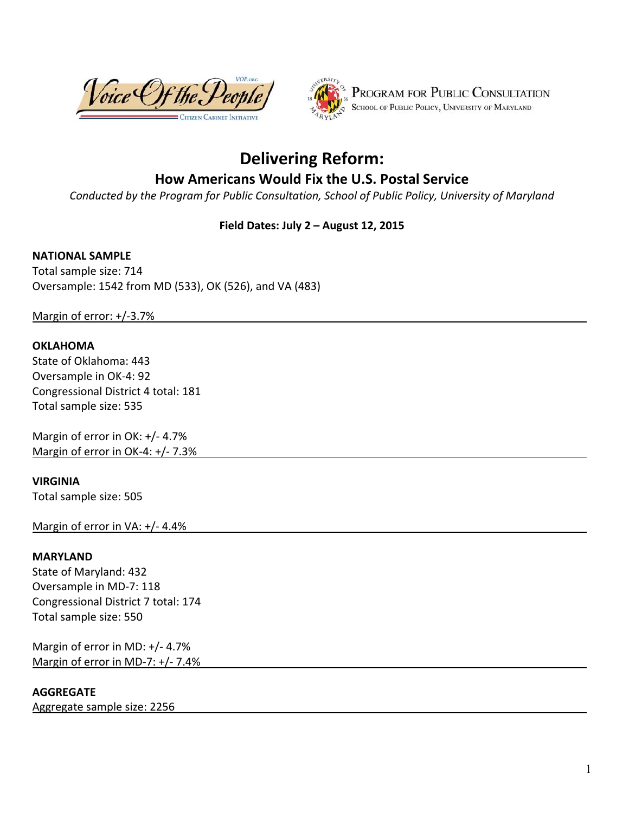



# **Delivering Reform:**

# **How Americans Would Fix the U.S. Postal Service**

*Conducted by the Program for Public Consultation, School of Public Policy, University of Maryland* 

#### **Field Dates: July 2 – August 12, 2015**

#### **NATIONAL SAMPLE**

Total sample size: 714 Oversample: 1542 from MD (533), OK (526), and VA (483)

Margin of error: +/‐3.7%

#### **OKLAHOMA**

State of Oklahoma: 443 Oversample in OK‐4: 92 Congressional District 4 total: 181 Total sample size: 535

Margin of error in OK: +/‐ 4.7% Margin of error in OK-4: +/- 7.3%

#### **VIRGINIA**

Total sample size: 505

Margin of error in VA: +/‐ 4.4%

#### **MARYLAND**

State of Maryland: 432 Oversample in MD‐7: 118 Congressional District 7 total: 174 Total sample size: 550

Margin of error in MD: +/‐ 4.7% Margin of error in MD-7: +/- 7.4%

#### **AGGREGATE**

Aggregate sample size: 2256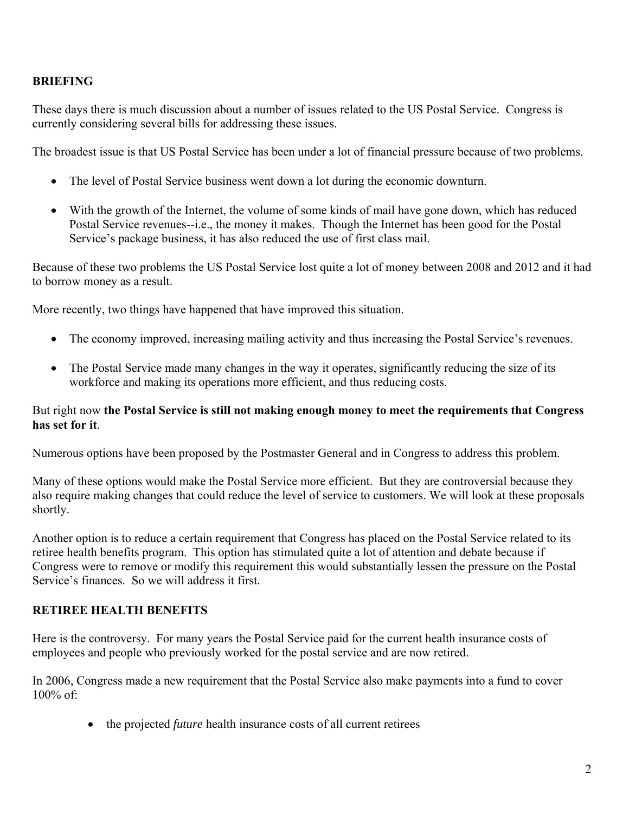#### **BRIEFING**

These days there is much discussion about a number of issues related to the US Postal Service. Congress is currently considering several bills for addressing these issues.

The broadest issue is that US Postal Service has been under a lot of financial pressure because of two problems.

- The level of Postal Service business went down a lot during the economic downturn.
- With the growth of the Internet, the volume of some kinds of mail have gone down, which has reduced Postal Service revenues--i.e., the money it makes. Though the Internet has been good for the Postal Service's package business, it has also reduced the use of first class mail.

Because of these two problems the US Postal Service lost quite a lot of money between 2008 and 2012 and it had to borrow money as a result.

More recently, two things have happened that have improved this situation.

- The economy improved, increasing mailing activity and thus increasing the Postal Service's revenues.
- The Postal Service made many changes in the way it operates, significantly reducing the size of its workforce and making its operations more efficient, and thus reducing costs.

#### But right now **the Postal Service is still not making enough money to meet the requirements that Congress has set for it**.

Numerous options have been proposed by the Postmaster General and in Congress to address this problem.

Many of these options would make the Postal Service more efficient. But they are controversial because they also require making changes that could reduce the level of service to customers. We will look at these proposals shortly.

Another option is to reduce a certain requirement that Congress has placed on the Postal Service related to its retiree health benefits program. This option has stimulated quite a lot of attention and debate because if Congress were to remove or modify this requirement this would substantially lessen the pressure on the Postal Service's finances. So we will address it first.

# **RETIREE HEALTH BENEFITS**

Here is the controversy. For many years the Postal Service paid for the current health insurance costs of employees and people who previously worked for the postal service and are now retired.

In 2006, Congress made a new requirement that the Postal Service also make payments into a fund to cover 100% of:

• the projected *future* health insurance costs of all current retirees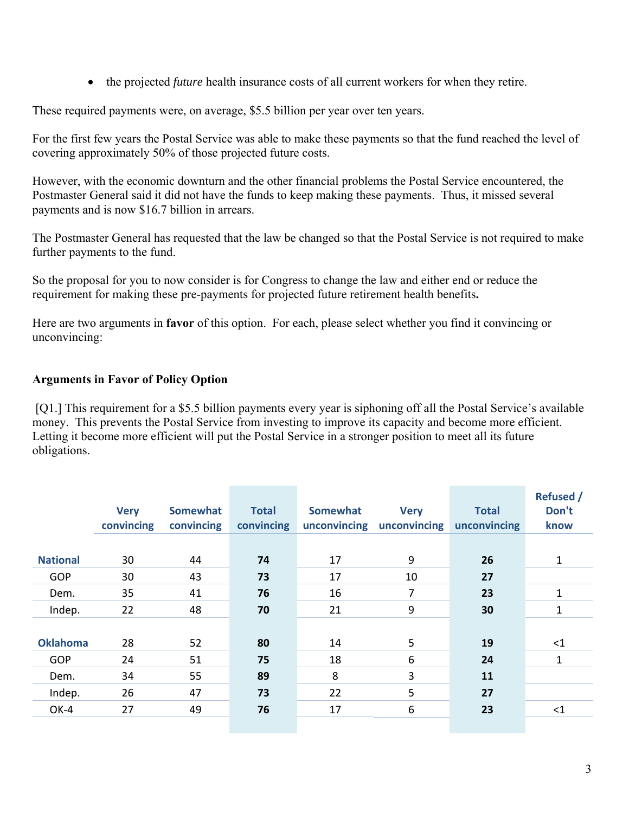• the projected *future* health insurance costs of all current workers for when they retire.

These required payments were, on average, \$5.5 billion per year over ten years.

For the first few years the Postal Service was able to make these payments so that the fund reached the level of covering approximately 50% of those projected future costs.

However, with the economic downturn and the other financial problems the Postal Service encountered, the Postmaster General said it did not have the funds to keep making these payments. Thus, it missed several payments and is now \$16.7 billion in arrears.

The Postmaster General has requested that the law be changed so that the Postal Service is not required to make further payments to the fund.

So the proposal for you to now consider is for Congress to change the law and either end or reduce the requirement for making these pre-payments for projected future retirement health benefits**.**

Here are two arguments in **favor** of this option. For each, please select whether you find it convincing or unconvincing:

#### **Arguments in Favor of Policy Option**

[Q1.] This requirement for a \$5.5 billion payments every year is siphoning off all the Postal Service's available money. This prevents the Postal Service from investing to improve its capacity and become more efficient. Letting it become more efficient will put the Postal Service in a stronger position to meet all its future obligations.

|                 | <b>Very</b><br>convincing | <b>Somewhat</b><br>convincing | <b>Total</b><br>convincing | <b>Somewhat</b><br>unconvincing | <b>Very</b><br>unconvincing | <b>Total</b><br>unconvincing | <b>Refused /</b><br>Don't<br>know |
|-----------------|---------------------------|-------------------------------|----------------------------|---------------------------------|-----------------------------|------------------------------|-----------------------------------|
|                 |                           |                               |                            |                                 |                             |                              |                                   |
| <b>National</b> | 30                        | 44                            | 74                         | 17                              | 9                           | 26                           | $\mathbf{1}$                      |
| GOP             | 30                        | 43                            | 73                         | 17                              | 10                          | 27                           |                                   |
| Dem.            | 35                        | 41                            | 76                         | 16                              | 7                           | 23                           | 1                                 |
| Indep.          | 22                        | 48                            | 70                         | 21                              | 9                           | 30                           | 1                                 |
|                 |                           |                               |                            |                                 |                             |                              |                                   |
| <b>Oklahoma</b> | 28                        | 52                            | 80                         | 14                              | 5                           | 19                           | $\leq$ 1                          |
| GOP             | 24                        | 51                            | 75                         | 18                              | 6                           | 24                           | $\mathbf{1}$                      |
| Dem.            | 34                        | 55                            | 89                         | 8                               | 3                           | 11                           |                                   |
| Indep.          | 26                        | 47                            | 73                         | 22                              | 5                           | 27                           |                                   |
| OK-4            | 27                        | 49                            | 76                         | 17                              | 6                           | 23                           | <1                                |
|                 |                           |                               |                            |                                 |                             |                              |                                   |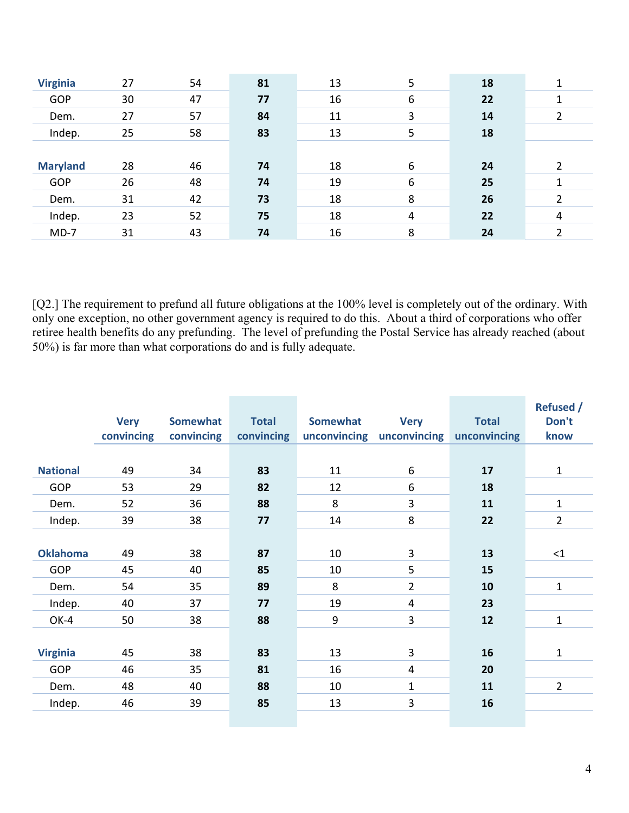| <b>Virginia</b> | 27 | 54 | 81 | 13 | 5 | 18 |   |
|-----------------|----|----|----|----|---|----|---|
| <b>GOP</b>      | 30 | 47 | 77 | 16 | 6 | 22 |   |
| Dem.            | 27 | 57 | 84 | 11 | 3 | 14 |   |
| Indep.          | 25 | 58 | 83 | 13 | 5 | 18 |   |
|                 |    |    |    |    |   |    |   |
|                 |    |    |    |    |   |    |   |
| <b>Maryland</b> | 28 | 46 | 74 | 18 | 6 | 24 |   |
| GOP             | 26 | 48 | 74 | 19 | 6 | 25 |   |
| Dem.            | 31 | 42 | 73 | 18 | 8 | 26 |   |
| Indep.          | 23 | 52 | 75 | 18 | 4 | 22 | 4 |

[Q2.] The requirement to prefund all future obligations at the 100% level is completely out of the ordinary. With only one exception, no other government agency is required to do this. About a third of corporations who offer retiree health benefits do any prefunding. The level of prefunding the Postal Service has already reached (about 50%) is far more than what corporations do and is fully adequate.

|                 | <b>Very</b><br>convincing | <b>Somewhat</b><br>convincing | <b>Total</b><br>convincing | Somewhat | <b>Very</b><br>unconvincing unconvincing | <b>Total</b><br>unconvincing | <b>Refused /</b><br>Don't<br>know |
|-----------------|---------------------------|-------------------------------|----------------------------|----------|------------------------------------------|------------------------------|-----------------------------------|
|                 |                           |                               |                            |          |                                          |                              |                                   |
| <b>National</b> | 49                        | 34                            | 83                         | 11       | 6                                        | 17                           | $\mathbf{1}$                      |
| <b>GOP</b>      | 53                        | 29                            | 82                         | 12       | 6                                        | 18                           |                                   |
| Dem.            | 52                        | 36                            | 88                         | 8        | 3                                        | 11                           | $\mathbf{1}$                      |
| Indep.          | 39                        | 38                            | 77                         | 14       | 8                                        | 22                           | $\overline{2}$                    |
|                 |                           |                               |                            |          |                                          |                              |                                   |
| <b>Oklahoma</b> | 49                        | 38                            | 87                         | 10       | 3                                        | 13                           | $\leq$ 1                          |
| <b>GOP</b>      | 45                        | 40                            | 85                         | 10       | 5                                        | 15                           |                                   |
| Dem.            | 54                        | 35                            | 89                         | 8        | $\overline{2}$                           | 10                           | $\mathbf{1}$                      |
| Indep.          | 40                        | 37                            | 77                         | 19       | $\overline{4}$                           | 23                           |                                   |
| OK-4            | 50                        | 38                            | 88                         | 9        | 3                                        | 12                           | $\mathbf{1}$                      |
|                 |                           |                               |                            |          |                                          |                              |                                   |
| <b>Virginia</b> | 45                        | 38                            | 83                         | 13       | 3                                        | 16                           | $\mathbf{1}$                      |
| <b>GOP</b>      | 46                        | 35                            | 81                         | 16       | 4                                        | 20                           |                                   |
| Dem.            | 48                        | 40                            | 88                         | 10       | $\mathbf{1}$                             | 11                           | $\overline{2}$                    |
| Indep.          | 46                        | 39                            | 85                         | 13       | 3                                        | 16                           |                                   |
|                 |                           |                               |                            |          |                                          |                              |                                   |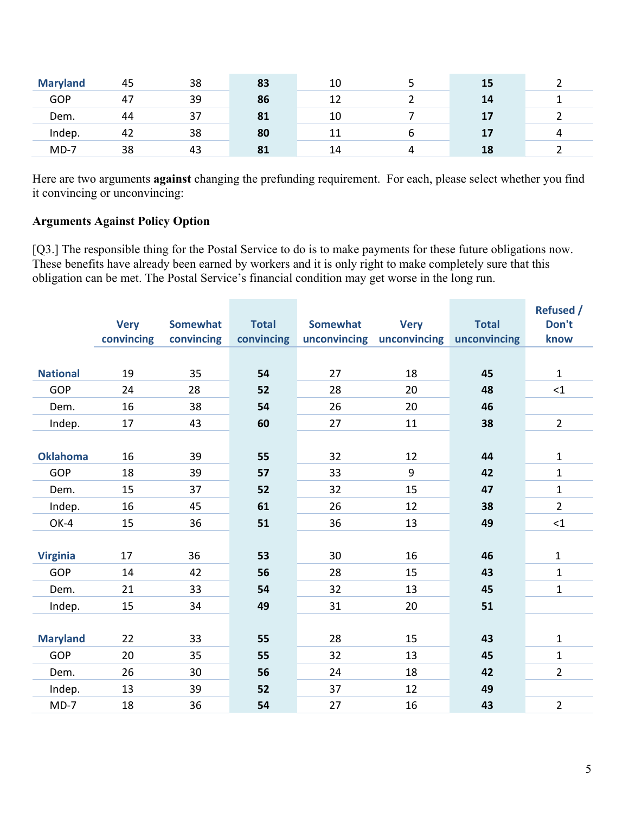| <b>Maryland</b> | 45 | 38 | 83 | 10 |   | 15 |   |
|-----------------|----|----|----|----|---|----|---|
| <b>GOP</b>      | 47 | 39 | 86 | 12 |   | 14 |   |
| Dem.            | 44 | 37 | 81 | 10 |   | 17 |   |
| Indep.          | 42 | 38 | 80 | 11 | O | 17 | 4 |
| $MD-7$          | 38 | 43 | 81 | 14 |   | 18 |   |

Here are two arguments **against** changing the prefunding requirement. For each, please select whether you find it convincing or unconvincing:

# **Arguments Against Policy Option**

[Q3.] The responsible thing for the Postal Service to do is to make payments for these future obligations now. These benefits have already been earned by workers and it is only right to make completely sure that this obligation can be met. The Postal Service's financial condition may get worse in the long run.

|                 |             |                 |              |          |                           |              | <b>Refused /</b> |
|-----------------|-------------|-----------------|--------------|----------|---------------------------|--------------|------------------|
|                 | <b>Very</b> | <b>Somewhat</b> | <b>Total</b> | Somewhat | <b>Very</b>               | <b>Total</b> | Don't            |
|                 | convincing  | convincing      | convincing   |          | unconvincing unconvincing | unconvincing | know             |
|                 |             |                 |              |          |                           |              |                  |
| <b>National</b> | 19          | 35              | 54           | 27       | 18                        | 45           | $\mathbf{1}$     |
| GOP             | 24          | 28              | 52           | 28       | 20                        | 48           | <1               |
| Dem.            | 16          | 38              | 54           | 26       | 20                        | 46           |                  |
| Indep.          | 17          | 43              | 60           | 27       | 11                        | 38           | $\overline{2}$   |
|                 |             |                 |              |          |                           |              |                  |
| <b>Oklahoma</b> | 16          | 39              | 55           | 32       | 12                        | 44           | $\mathbf{1}$     |
| <b>GOP</b>      | 18          | 39              | 57           | 33       | 9                         | 42           | $\mathbf{1}$     |
| Dem.            | 15          | 37              | 52           | 32       | 15                        | 47           | $\mathbf{1}$     |
| Indep.          | 16          | 45              | 61           | 26       | 12                        | 38           | $\overline{2}$   |
| OK-4            | 15          | 36              | 51           | 36       | 13                        | 49           | ${<}1$           |
|                 |             |                 |              |          |                           |              |                  |
| <b>Virginia</b> | 17          | 36              | 53           | 30       | 16                        | 46           | $\mathbf{1}$     |
| <b>GOP</b>      | 14          | 42              | 56           | 28       | 15                        | 43           | $\mathbf{1}$     |
| Dem.            | 21          | 33              | 54           | 32       | 13                        | 45           | $\mathbf{1}$     |
| Indep.          | 15          | 34              | 49           | 31       | 20                        | 51           |                  |
|                 |             |                 |              |          |                           |              |                  |
| <b>Maryland</b> | 22          | 33              | 55           | 28       | 15                        | 43           | $\mathbf{1}$     |
| GOP             | 20          | 35              | 55           | 32       | 13                        | 45           | $\mathbf{1}$     |
| Dem.            | 26          | 30              | 56           | 24       | 18                        | 42           | $\overline{2}$   |
| Indep.          | 13          | 39              | 52           | 37       | 12                        | 49           |                  |
| $MD-7$          | 18          | 36              | 54           | 27       | 16                        | 43           | $\overline{2}$   |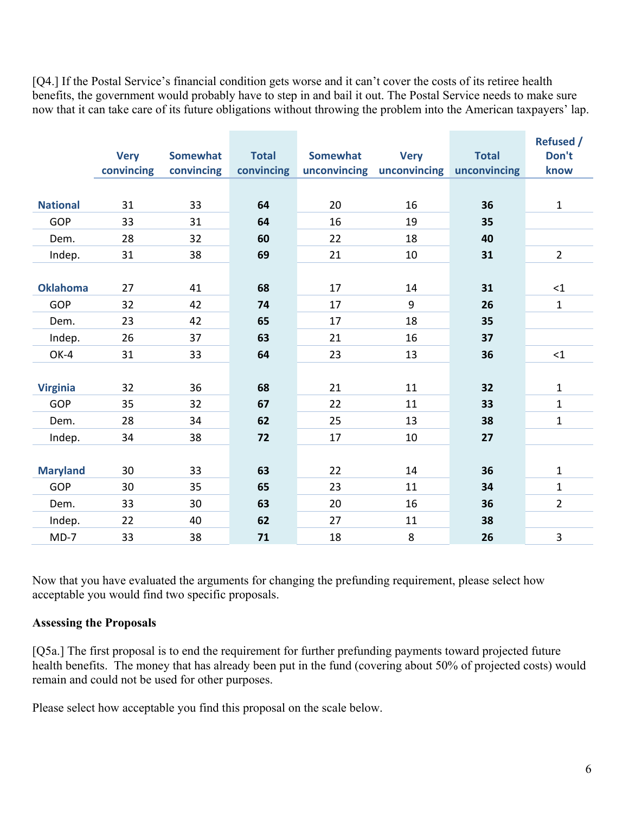[Q4.] If the Postal Service's financial condition gets worse and it can't cover the costs of its retiree health benefits, the government would probably have to step in and bail it out. The Postal Service needs to make sure now that it can take care of its future obligations without throwing the problem into the American taxpayers' lap.

|                 |             |                 |              |                 |                           |              | <b>Refused /</b> |
|-----------------|-------------|-----------------|--------------|-----------------|---------------------------|--------------|------------------|
|                 | <b>Very</b> | <b>Somewhat</b> | <b>Total</b> | <b>Somewhat</b> | <b>Very</b>               | <b>Total</b> | Don't            |
|                 | convincing  | convincing      | convincing   |                 | unconvincing unconvincing | unconvincing | know             |
|                 |             |                 |              |                 |                           |              |                  |
| <b>National</b> | 31          | 33              | 64           | 20              | 16                        | 36           | $\mathbf{1}$     |
| GOP             | 33          | 31              | 64           | 16              | 19                        | 35           |                  |
| Dem.            | 28          | 32              | 60           | 22              | 18                        | 40           |                  |
| Indep.          | 31          | 38              | 69           | 21              | 10                        | 31           | $\overline{2}$   |
|                 |             |                 |              |                 |                           |              |                  |
| <b>Oklahoma</b> | 27          | 41              | 68           | 17              | 14                        | 31           | <1               |
| <b>GOP</b>      | 32          | 42              | 74           | 17              | 9                         | 26           | $\mathbf{1}$     |
| Dem.            | 23          | 42              | 65           | 17              | 18                        | 35           |                  |
| Indep.          | 26          | 37              | 63           | 21              | 16                        | 37           |                  |
| OK-4            | 31          | 33              | 64           | 23              | 13                        | 36           | <1               |
|                 |             |                 |              |                 |                           |              |                  |
| <b>Virginia</b> | 32          | 36              | 68           | 21              | 11                        | 32           | $\mathbf{1}$     |
| <b>GOP</b>      | 35          | 32              | 67           | 22              | 11                        | 33           | $\mathbf 1$      |
| Dem.            | 28          | 34              | 62           | 25              | 13                        | 38           | $\mathbf 1$      |
| Indep.          | 34          | 38              | 72           | 17              | 10                        | 27           |                  |
|                 |             |                 |              |                 |                           |              |                  |
| <b>Maryland</b> | 30          | 33              | 63           | 22              | 14                        | 36           | $\mathbf{1}$     |
| <b>GOP</b>      | 30          | 35              | 65           | 23              | 11                        | 34           | $\mathbf 1$      |
| Dem.            | 33          | 30              | 63           | 20              | 16                        | 36           | $\overline{2}$   |
| Indep.          | 22          | 40              | 62           | 27              | 11                        | 38           |                  |
| $MD-7$          | 33          | 38              | 71           | 18              | 8                         | 26           | $\overline{3}$   |

Now that you have evaluated the arguments for changing the prefunding requirement, please select how acceptable you would find two specific proposals.

#### **Assessing the Proposals**

[Q5a.] The first proposal is to end the requirement for further prefunding payments toward projected future health benefits. The money that has already been put in the fund (covering about 50% of projected costs) would remain and could not be used for other purposes.

Please select how acceptable you find this proposal on the scale below.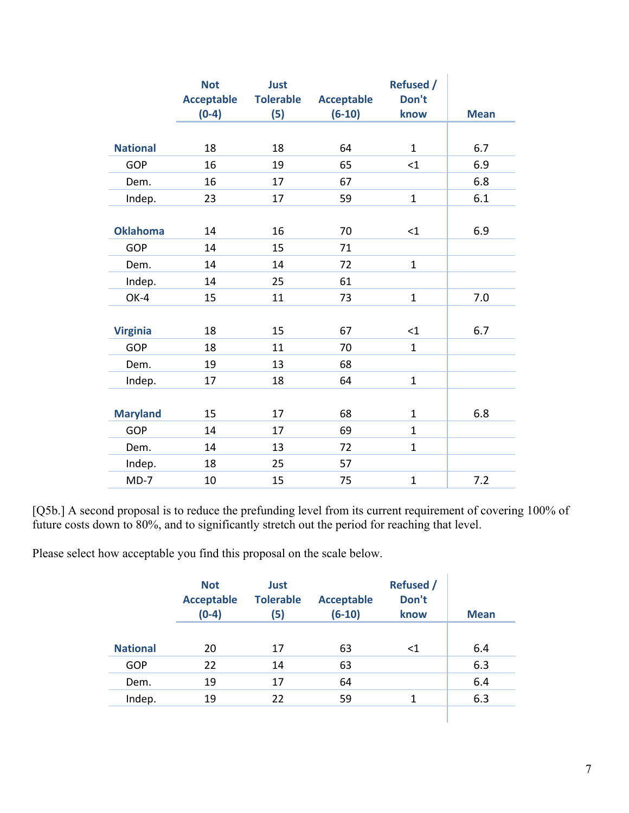|                 | <b>Not</b><br><b>Acceptable</b> | Just<br><b>Tolerable</b> | <b>Acceptable</b> | <b>Refused /</b><br>Don't |             |
|-----------------|---------------------------------|--------------------------|-------------------|---------------------------|-------------|
|                 | $(0-4)$                         | (5)                      | $(6-10)$          | know                      | <b>Mean</b> |
|                 |                                 |                          |                   |                           |             |
| <b>National</b> | 18                              | 18                       | 64                | $\mathbf{1}$              | 6.7         |
| <b>GOP</b>      | 16                              | 19                       | 65                | $\leq$ 1                  | 6.9         |
| Dem.            | 16                              | 17                       | 67                |                           | 6.8         |
| Indep.          | 23                              | 17                       | 59                | $\mathbf{1}$              | 6.1         |
|                 |                                 |                          |                   |                           |             |
| <b>Oklahoma</b> | 14                              | 16                       | 70                | $<$ 1                     | 6.9         |
| <b>GOP</b>      | 14                              | 15                       | 71                |                           |             |
| Dem.            | 14                              | 14                       | 72                | $\mathbf{1}$              |             |
| Indep.          | 14                              | 25                       | 61                |                           |             |
| OK-4            | 15                              | 11                       | 73                | $\mathbf{1}$              | 7.0         |
|                 |                                 |                          |                   |                           |             |
| <b>Virginia</b> | 18                              | 15                       | 67                | $<$ 1                     | 6.7         |
| <b>GOP</b>      | 18                              | 11                       | 70                | $\mathbf{1}$              |             |
| Dem.            | 19                              | 13                       | 68                |                           |             |
| Indep.          | 17                              | 18                       | 64                | $\mathbf{1}$              |             |
|                 |                                 |                          |                   |                           |             |
| <b>Maryland</b> | 15                              | 17                       | 68                | $\mathbf{1}$              | 6.8         |
| GOP             | 14                              | 17                       | 69                | $\mathbf{1}$              |             |
| Dem.            | 14                              | 13                       | 72                | $\mathbf{1}$              |             |
| Indep.          | 18                              | 25                       | 57                |                           |             |
| $MD-7$          | 10                              | 15                       | 75                | $\mathbf{1}$              | 7.2         |

[Q5b.] A second proposal is to reduce the prefunding level from its current requirement of covering 100% of future costs down to 80%, and to significantly stretch out the period for reaching that level.

Please select how acceptable you find this proposal on the scale below.

|                 | <b>Not</b><br><b>Acceptable</b><br>$(0-4)$ | <b>Just</b><br><b>Tolerable</b><br>(5) | <b>Acceptable</b><br>$(6-10)$ | <b>Refused /</b><br>Don't<br>know | <b>Mean</b> |
|-----------------|--------------------------------------------|----------------------------------------|-------------------------------|-----------------------------------|-------------|
| <b>National</b> | 20                                         | 17                                     | 63                            | $<$ 1                             | 6.4         |
| GOP             | 22                                         | 14                                     | 63                            |                                   | 6.3         |
| Dem.            | 19                                         | 17                                     | 64                            |                                   | 6.4         |
| Indep.          | 19                                         | 22                                     | 59                            | 1                                 | 6.3         |
|                 |                                            |                                        |                               |                                   |             |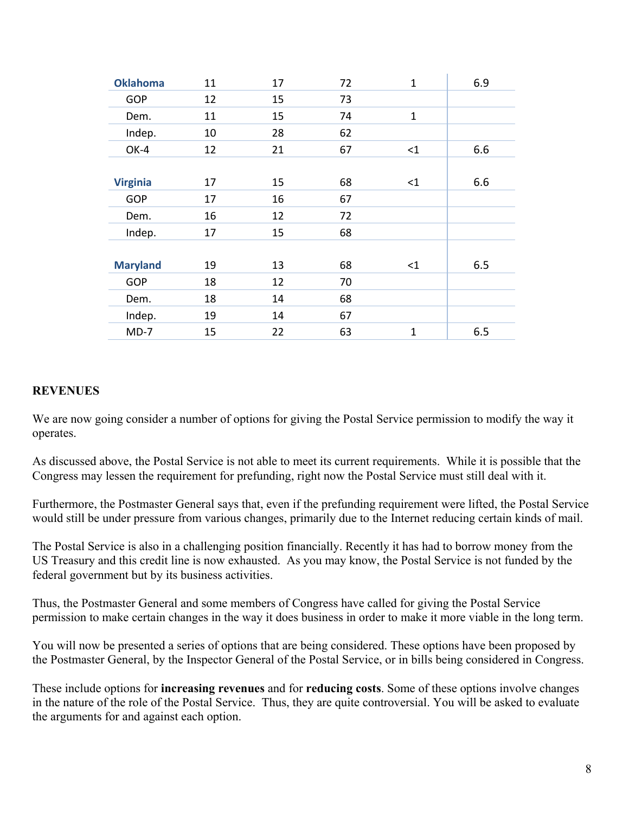| <b>Oklahoma</b> | 11 | 17 | 72 | $\mathbf{1}$ | 6.9 |
|-----------------|----|----|----|--------------|-----|
| <b>GOP</b>      | 12 | 15 | 73 |              |     |
| Dem.            | 11 | 15 | 74 | $\mathbf{1}$ |     |
| Indep.          | 10 | 28 | 62 |              |     |
| OK-4            | 12 | 21 | 67 | <1           | 6.6 |
|                 |    |    |    |              |     |
| <b>Virginia</b> | 17 | 15 | 68 | <1           | 6.6 |
| <b>GOP</b>      | 17 | 16 | 67 |              |     |
| Dem.            | 16 | 12 | 72 |              |     |
| Indep.          | 17 | 15 | 68 |              |     |
|                 |    |    |    |              |     |
| <b>Maryland</b> | 19 | 13 | 68 | $\leq$ 1     | 6.5 |
| <b>GOP</b>      | 18 | 12 | 70 |              |     |
| Dem.            | 18 | 14 | 68 |              |     |
| Indep.          | 19 | 14 | 67 |              |     |
| $MD-7$          | 15 | 22 | 63 | $\mathbf{1}$ | 6.5 |

#### **REVENUES**

We are now going consider a number of options for giving the Postal Service permission to modify the way it operates.

As discussed above, the Postal Service is not able to meet its current requirements. While it is possible that the Congress may lessen the requirement for prefunding, right now the Postal Service must still deal with it.

Furthermore, the Postmaster General says that, even if the prefunding requirement were lifted, the Postal Service would still be under pressure from various changes, primarily due to the Internet reducing certain kinds of mail.

The Postal Service is also in a challenging position financially. Recently it has had to borrow money from the US Treasury and this credit line is now exhausted. As you may know, the Postal Service is not funded by the federal government but by its business activities.

Thus, the Postmaster General and some members of Congress have called for giving the Postal Service permission to make certain changes in the way it does business in order to make it more viable in the long term.

You will now be presented a series of options that are being considered. These options have been proposed by the Postmaster General, by the Inspector General of the Postal Service, or in bills being considered in Congress.

These include options for **increasing revenues** and for **reducing costs**. Some of these options involve changes in the nature of the role of the Postal Service. Thus, they are quite controversial. You will be asked to evaluate the arguments for and against each option.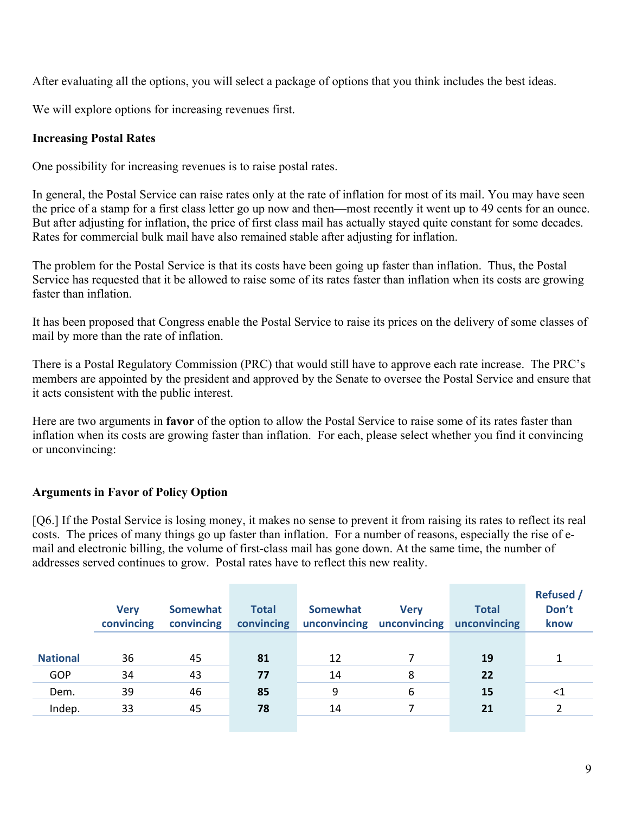After evaluating all the options, you will select a package of options that you think includes the best ideas.

We will explore options for increasing revenues first.

#### **Increasing Postal Rates**

One possibility for increasing revenues is to raise postal rates.

In general, the Postal Service can raise rates only at the rate of inflation for most of its mail. You may have seen the price of a stamp for a first class letter go up now and then—most recently it went up to 49 cents for an ounce. But after adjusting for inflation, the price of first class mail has actually stayed quite constant for some decades. Rates for commercial bulk mail have also remained stable after adjusting for inflation.

The problem for the Postal Service is that its costs have been going up faster than inflation. Thus, the Postal Service has requested that it be allowed to raise some of its rates faster than inflation when its costs are growing faster than inflation.

It has been proposed that Congress enable the Postal Service to raise its prices on the delivery of some classes of mail by more than the rate of inflation.

There is a Postal Regulatory Commission (PRC) that would still have to approve each rate increase. The PRC's members are appointed by the president and approved by the Senate to oversee the Postal Service and ensure that it acts consistent with the public interest.

Here are two arguments in **favor** of the option to allow the Postal Service to raise some of its rates faster than inflation when its costs are growing faster than inflation. For each, please select whether you find it convincing or unconvincing:

# **Arguments in Favor of Policy Option**

[Q6.] If the Postal Service is losing money, it makes no sense to prevent it from raising its rates to reflect its real costs. The prices of many things go up faster than inflation. For a number of reasons, especially the rise of email and electronic billing, the volume of first-class mail has gone down. At the same time, the number of addresses served continues to grow. Postal rates have to reflect this new reality.

|                 | <b>Very</b><br>convincing | <b>Somewhat</b><br>convincing | <b>Total</b><br>convincing | <b>Somewhat</b><br>unconvincing | <b>Verv</b><br>unconvincing | <b>Total</b><br>unconvincing | <b>Refused</b> /<br>Don't<br>know |
|-----------------|---------------------------|-------------------------------|----------------------------|---------------------------------|-----------------------------|------------------------------|-----------------------------------|
| <b>National</b> | 36                        | 45                            | 81                         | 12                              |                             | 19                           |                                   |
| <b>GOP</b>      | 34                        | 43                            | 77                         | 14                              | 8                           | 22                           |                                   |
| Dem.            | 39                        | 46                            | 85                         | 9                               | 6                           | 15                           | $<$ 1                             |
| Indep.          | 33                        | 45                            | 78                         | 14                              |                             | 21                           |                                   |
|                 |                           |                               |                            |                                 |                             |                              |                                   |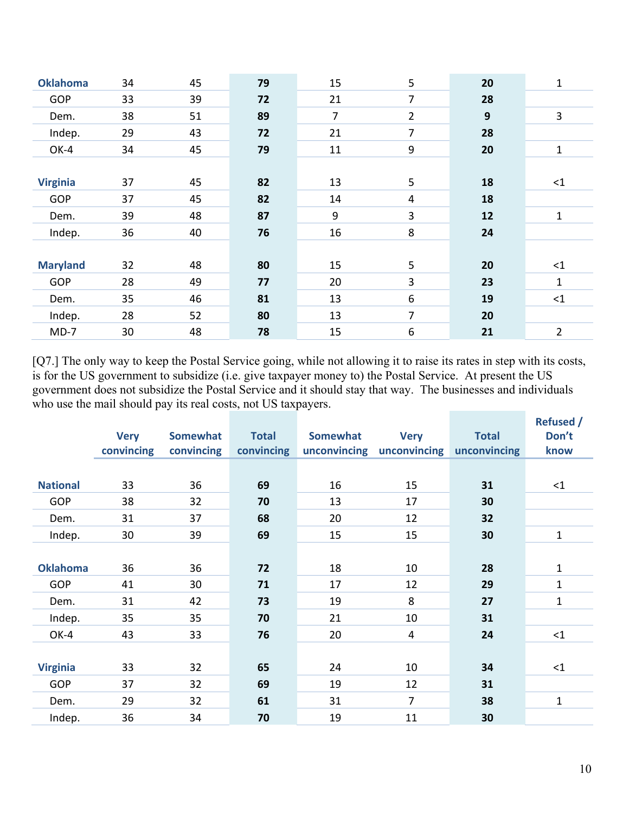| <b>Oklahoma</b> | 34 | 45 | 79 | 15               | 5              | 20               | 1              |
|-----------------|----|----|----|------------------|----------------|------------------|----------------|
| <b>GOP</b>      | 33 | 39 | 72 | 21               | 7              | 28               |                |
| Dem.            | 38 | 51 | 89 | $\overline{7}$   | $\overline{2}$ | $\boldsymbol{9}$ | 3              |
| Indep.          | 29 | 43 | 72 | 21               | $\overline{7}$ | 28               |                |
| OK-4            | 34 | 45 | 79 | 11               | 9              | 20               | 1              |
|                 |    |    |    |                  |                |                  |                |
| <b>Virginia</b> | 37 | 45 | 82 | 13               | 5              | 18               | $\leq$ 1       |
| <b>GOP</b>      | 37 | 45 | 82 | 14               | 4              | 18               |                |
| Dem.            | 39 | 48 | 87 | $\boldsymbol{9}$ | 3              | 12               | 1              |
| Indep.          | 36 | 40 | 76 | 16               | 8              | 24               |                |
|                 |    |    |    |                  |                |                  |                |
| <b>Maryland</b> | 32 | 48 | 80 | 15               | 5              | 20               | $\leq$ 1       |
| <b>GOP</b>      | 28 | 49 | 77 | 20               | 3              | 23               | $\mathbf{1}$   |
| Dem.            | 35 | 46 | 81 | 13               | 6              | 19               | $\leq$ 1       |
| Indep.          | 28 | 52 | 80 | 13               | $\overline{7}$ | 20               |                |
| $MD-7$          | 30 | 48 | 78 | 15               | 6              | 21               | $\overline{2}$ |
|                 |    |    |    |                  |                |                  |                |

[Q7.] The only way to keep the Postal Service going, while not allowing it to raise its rates in step with its costs, is for the US government to subsidize (i.e. give taxpayer money to) the Postal Service. At present the US government does not subsidize the Postal Service and it should stay that way. The businesses and individuals who use the mail should pay its real costs, not US taxpayers. **Refused /** 

|                 |             |            |              |              |                |              | <b>Refused</b> / |
|-----------------|-------------|------------|--------------|--------------|----------------|--------------|------------------|
|                 | <b>Very</b> | Somewhat   | <b>Total</b> | Somewhat     | <b>Very</b>    | <b>Total</b> | Don't            |
|                 | convincing  | convincing | convincing   | unconvincing | unconvincing   | unconvincing | know             |
|                 |             |            |              |              |                |              |                  |
|                 |             |            |              |              |                |              |                  |
| <b>National</b> | 33          | 36         | 69           | 16           | 15             | 31           | $\leq$ 1         |
| GOP             | 38          | 32         | 70           | 13           | 17             | 30           |                  |
| Dem.            | 31          | 37         | 68           | 20           | 12             | 32           |                  |
| Indep.          | 30          | 39         | 69           | 15           | 15             | 30           | 1                |
|                 |             |            |              |              |                |              |                  |
| <b>Oklahoma</b> | 36          | 36         | 72           | 18           | 10             | 28           | 1                |
| GOP             | 41          | 30         | 71           | 17           | 12             | 29           | $\mathbf{1}$     |
| Dem.            | 31          | 42         | 73           | 19           | 8              | 27           | $\mathbf{1}$     |
| Indep.          | 35          | 35         | 70           | 21           | 10             | 31           |                  |
| OK-4            | 43          | 33         | 76           | 20           | $\overline{4}$ | 24           | $\leq$ 1         |
|                 |             |            |              |              |                |              |                  |
| <b>Virginia</b> | 33          | 32         | 65           | 24           | 10             | 34           | $\leq$ 1         |
| GOP             | 37          | 32         | 69           | 19           | 12             | 31           |                  |
|                 |             |            |              |              |                |              |                  |
| Dem.            | 29          | 32         | 61           | 31           | $\overline{7}$ | 38           | 1                |
| Indep.          | 36          | 34         | 70           | 19           | 11             | 30           |                  |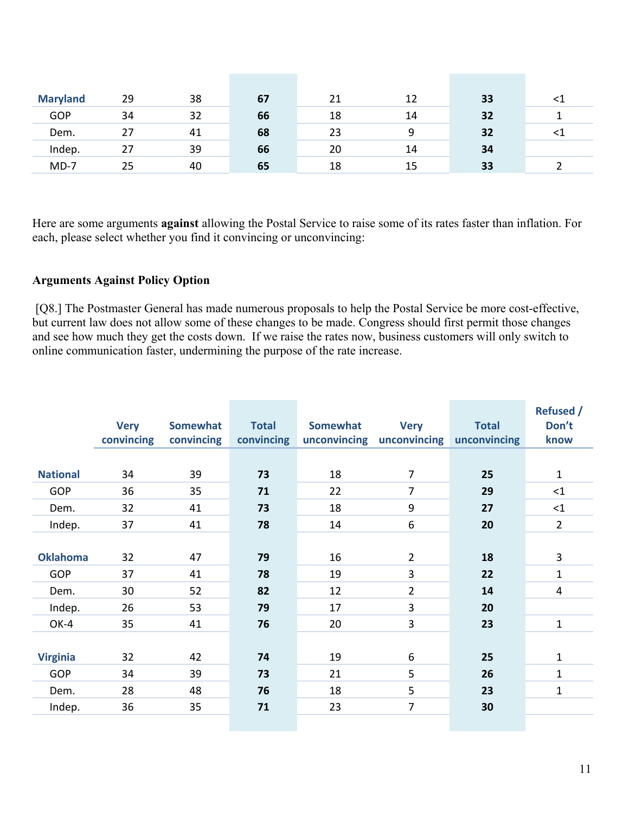| <b>Maryland</b> | 29 | 38 | 67 | 21 | 12 | 33 | -41 |
|-----------------|----|----|----|----|----|----|-----|
| <b>GOP</b>      | 34 | 32 | 66 | 18 | 14 | 32 |     |
| Dem.            | 27 | 41 | 68 | 23 | 9  | 32 | <⊥  |
| Indep.          | 27 | 39 | 66 | 20 | 14 | 34 |     |
| $MD-7$          | 25 | 40 | 65 | 18 | 15 | 33 |     |

Here are some arguments **against** allowing the Postal Service to raise some of its rates faster than inflation. For each, please select whether you find it convincing or unconvincing:

#### **Arguments Against Policy Option**

 [Q8.] The Postmaster General has made numerous proposals to help the Postal Service be more cost-effective, but current law does not allow some of these changes to be made. Congress should first permit those changes and see how much they get the costs down. If we raise the rates now, business customers will only switch to online communication faster, undermining the purpose of the rate increase.

|                 | <b>Very</b><br>convincing | Somewhat<br>convincing | <b>Total</b><br>convincing | <b>Somewhat</b><br>unconvincing | <b>Very</b><br>unconvincing | <b>Total</b><br>unconvincing | <b>Refused /</b><br>Don't<br>know |
|-----------------|---------------------------|------------------------|----------------------------|---------------------------------|-----------------------------|------------------------------|-----------------------------------|
|                 |                           |                        |                            |                                 |                             |                              |                                   |
| <b>National</b> | 34                        | 39                     | 73                         | 18                              | $\overline{7}$              | 25                           | $\mathbf{1}$                      |
| <b>GOP</b>      | 36                        | 35                     | 71                         | 22                              | $\overline{7}$              | 29                           | <1                                |
| Dem.            | 32                        | 41                     | 73                         | 18                              | 9                           | 27                           | <1                                |
| Indep.          | 37                        | 41                     | 78                         | 14                              | 6                           | 20                           | $\overline{2}$                    |
|                 |                           |                        |                            |                                 |                             |                              |                                   |
| <b>Oklahoma</b> | 32                        | 47                     | 79                         | 16                              | $\overline{2}$              | 18                           | 3                                 |
| <b>GOP</b>      | 37                        | 41                     | 78                         | 19                              | 3                           | 22                           | 1                                 |
| Dem.            | 30                        | 52                     | 82                         | 12                              | $\overline{2}$              | 14                           | 4                                 |
| Indep.          | 26                        | 53                     | 79                         | 17                              | $\mathbf{3}$                | 20                           |                                   |
| OK-4            | 35                        | 41                     | 76                         | 20                              | 3                           | 23                           | $\mathbf{1}$                      |
|                 |                           |                        |                            |                                 |                             |                              |                                   |
| <b>Virginia</b> | 32                        | 42                     | 74                         | 19                              | 6                           | 25                           | $\mathbf{1}$                      |
| <b>GOP</b>      | 34                        | 39                     | 73                         | 21                              | 5                           | 26                           | $\mathbf{1}$                      |
| Dem.            | 28                        | 48                     | 76                         | 18                              | 5                           | 23                           | $\mathbf{1}$                      |
| Indep.          | 36                        | 35                     | 71                         | 23                              | $\overline{7}$              | 30                           |                                   |
|                 |                           |                        |                            |                                 |                             |                              |                                   |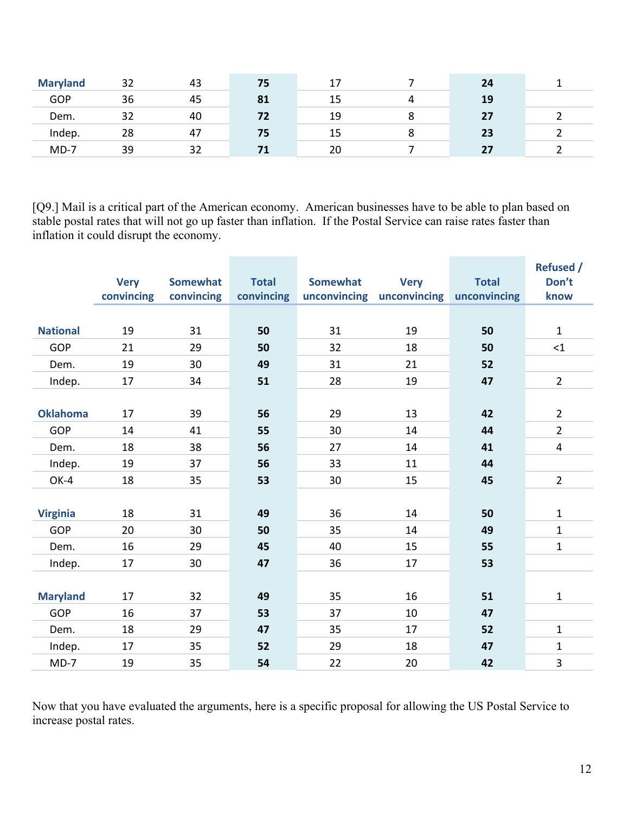| <b>Maryland</b> | 32 | 43 | 75 |    | 24 |  |
|-----------------|----|----|----|----|----|--|
| <b>GOP</b>      | 36 | 45 | 81 | 15 | 19 |  |
| Dem.            | 20 | 40 | 72 | 19 | 27 |  |
| Indep.          | 28 | 47 | 75 | 15 | 23 |  |
| $MD-7$          | 39 | 32 |    | 20 | 27 |  |

[Q9.] Mail is a critical part of the American economy. American businesses have to be able to plan based on stable postal rates that will not go up faster than inflation. If the Postal Service can raise rates faster than inflation it could disrupt the economy.

|                 | <b>Very</b><br>convincing | <b>Somewhat</b><br>convincing | <b>Total</b><br>convincing | <b>Somewhat</b><br>unconvincing | <b>Very</b><br>unconvincing | <b>Total</b><br>unconvincing | <b>Refused /</b><br>Don't<br>know |
|-----------------|---------------------------|-------------------------------|----------------------------|---------------------------------|-----------------------------|------------------------------|-----------------------------------|
|                 |                           |                               |                            |                                 |                             |                              |                                   |
| <b>National</b> | 19                        | 31                            | 50                         | 31                              | 19                          | 50                           | $\mathbf{1}$                      |
| <b>GOP</b>      | 21                        | 29                            | 50                         | 32                              | 18                          | 50                           | $\leq$ 1                          |
| Dem.            | 19                        | 30                            | 49                         | 31                              | 21                          | 52                           |                                   |
| Indep.          | 17                        | 34                            | 51                         | 28                              | 19                          | 47                           | $\overline{2}$                    |
|                 |                           |                               |                            |                                 |                             |                              |                                   |
| <b>Oklahoma</b> | 17                        | 39                            | 56                         | 29                              | 13                          | 42                           | $\overline{2}$                    |
| <b>GOP</b>      | 14                        | 41                            | 55                         | 30                              | 14                          | 44                           | $\overline{2}$                    |
| Dem.            | 18                        | 38                            | 56                         | 27                              | 14                          | 41                           | 4                                 |
| Indep.          | 19                        | 37                            | 56                         | 33                              | 11                          | 44                           |                                   |
| OK-4            | 18                        | 35                            | 53                         | 30                              | 15                          | 45                           | $\overline{2}$                    |
|                 |                           |                               |                            |                                 |                             |                              |                                   |
| <b>Virginia</b> | 18                        | 31                            | 49                         | 36                              | 14                          | 50                           | $\mathbf{1}$                      |
| <b>GOP</b>      | 20                        | 30                            | 50                         | 35                              | 14                          | 49                           | $\mathbf{1}$                      |
| Dem.            | 16                        | 29                            | 45                         | 40                              | 15                          | 55                           | $\mathbf{1}$                      |
| Indep.          | 17                        | 30                            | 47                         | 36                              | 17                          | 53                           |                                   |
|                 |                           |                               |                            |                                 |                             |                              |                                   |
| <b>Maryland</b> | 17                        | 32                            | 49                         | 35                              | 16                          | 51                           | $\mathbf{1}$                      |
| <b>GOP</b>      | 16                        | 37                            | 53                         | 37                              | 10                          | 47                           |                                   |
| Dem.            | 18                        | 29                            | 47                         | 35                              | 17                          | 52                           | $\mathbf{1}$                      |
| Indep.          | 17                        | 35                            | 52                         | 29                              | 18                          | 47                           | $\mathbf{1}$                      |
| $MD-7$          | 19                        | 35                            | 54                         | 22                              | 20                          | 42                           | $\overline{\mathbf{3}}$           |

Now that you have evaluated the arguments, here is a specific proposal for allowing the US Postal Service to increase postal rates.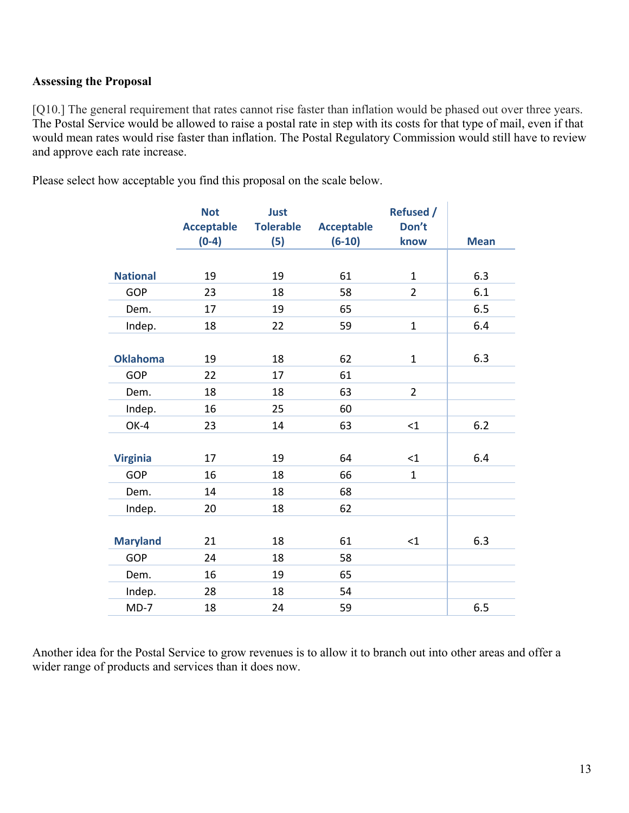#### **Assessing the Proposal**

[Q10.] The general requirement that rates cannot rise faster than inflation would be phased out over three years. The Postal Service would be allowed to raise a postal rate in step with its costs for that type of mail, even if that would mean rates would rise faster than inflation. The Postal Regulatory Commission would still have to review and approve each rate increase.

Please select how acceptable you find this proposal on the scale below.

|                 | <b>Not</b>        | Just             |                   | <b>Refused /</b> |             |
|-----------------|-------------------|------------------|-------------------|------------------|-------------|
|                 | <b>Acceptable</b> | <b>Tolerable</b> | <b>Acceptable</b> | Don't            |             |
|                 | $(0-4)$           | (5)              | $(6-10)$          | know             | <b>Mean</b> |
|                 |                   |                  |                   |                  |             |
| <b>National</b> | 19                | 19               | 61                | $\mathbf{1}$     | 6.3         |
| <b>GOP</b>      | 23                | 18               | 58                | $\overline{2}$   | 6.1         |
| Dem.            | 17                | 19               | 65                |                  | 6.5         |
| Indep.          | 18                | 22               | 59                | $\mathbf{1}$     | 6.4         |
|                 |                   |                  |                   |                  |             |
| <b>Oklahoma</b> | 19                | 18               | 62                | $\mathbf{1}$     | 6.3         |
| <b>GOP</b>      | 22                | 17               | 61                |                  |             |
| Dem.            | 18                | 18               | 63                | $\overline{2}$   |             |
| Indep.          | 16                | 25               | 60                |                  |             |
| OK-4            | 23                | 14               | 63                | $<$ 1            | 6.2         |
|                 |                   |                  |                   |                  |             |
| <b>Virginia</b> | 17                | 19               | 64                | $<$ 1            | 6.4         |
| <b>GOP</b>      | 16                | 18               | 66                | $\mathbf{1}$     |             |
| Dem.            | 14                | 18               | 68                |                  |             |
| Indep.          | 20                | 18               | 62                |                  |             |
|                 |                   |                  |                   |                  |             |
| <b>Maryland</b> | 21                | 18               | 61                | $<$ 1            | 6.3         |
| <b>GOP</b>      | 24                | 18               | 58                |                  |             |
| Dem.            | 16                | 19               | 65                |                  |             |
| Indep.          | 28                | 18               | 54                |                  |             |
| $MD-7$          | 18                | 24               | 59                |                  | 6.5         |

Another idea for the Postal Service to grow revenues is to allow it to branch out into other areas and offer a wider range of products and services than it does now.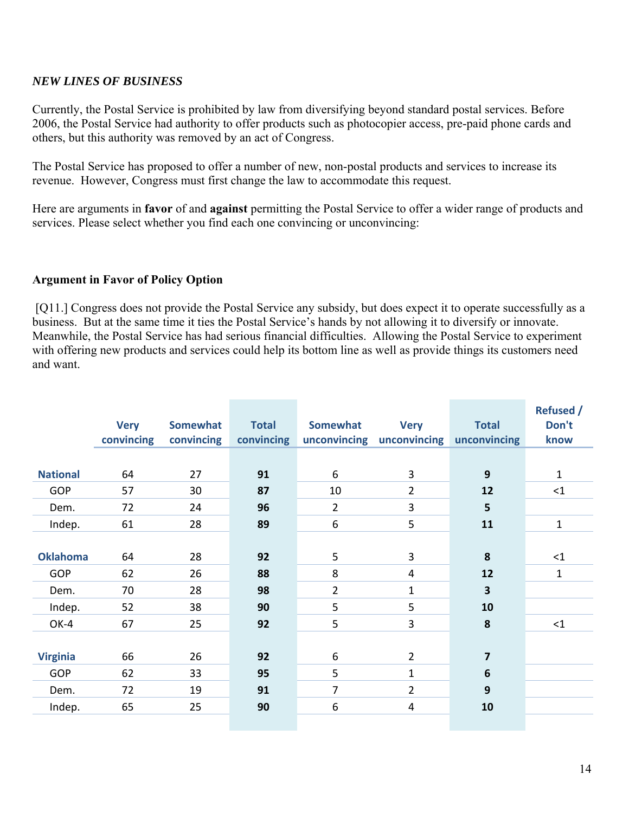#### *NEW LINES OF BUSINESS*

Currently, the Postal Service is prohibited by law from diversifying beyond standard postal services. Before 2006, the Postal Service had authority to offer products such as photocopier access, pre-paid phone cards and others, but this authority was removed by an act of Congress.

The Postal Service has proposed to offer a number of new, non-postal products and services to increase its revenue. However, Congress must first change the law to accommodate this request.

Here are arguments in **favor** of and **against** permitting the Postal Service to offer a wider range of products and services. Please select whether you find each one convincing or unconvincing:

#### **Argument in Favor of Policy Option**

[Q11.] Congress does not provide the Postal Service any subsidy, but does expect it to operate successfully as a business. But at the same time it ties the Postal Service's hands by not allowing it to diversify or innovate. Meanwhile, the Postal Service has had serious financial difficulties. Allowing the Postal Service to experiment with offering new products and services could help its bottom line as well as provide things its customers need and want.

|                 | <b>Very</b><br>convincing | Somewhat<br>convincing | <b>Total</b><br>convincing | Somewhat       | <b>Very</b><br>unconvincing unconvincing | <b>Total</b><br>unconvincing | <b>Refused /</b><br>Don't<br>know |
|-----------------|---------------------------|------------------------|----------------------------|----------------|------------------------------------------|------------------------------|-----------------------------------|
|                 |                           |                        |                            |                |                                          |                              |                                   |
| <b>National</b> | 64                        | 27                     | 91                         | 6              | 3                                        | 9                            | 1                                 |
| <b>GOP</b>      | 57                        | 30                     | 87                         | 10             | $\overline{2}$                           | 12                           | $\leq$ 1                          |
| Dem.            | 72                        | 24                     | 96                         | $\overline{2}$ | 3                                        | 5                            |                                   |
| Indep.          | 61                        | 28                     | 89                         | 6              | 5                                        | 11                           | 1                                 |
|                 |                           |                        |                            |                |                                          |                              |                                   |
| <b>Oklahoma</b> | 64                        | 28                     | 92                         | 5              | 3                                        | 8                            | $\leq$ 1                          |
| <b>GOP</b>      | 62                        | 26                     | 88                         | 8              | $\overline{4}$                           | 12                           | $\mathbf{1}$                      |
| Dem.            | 70                        | 28                     | 98                         | $\overline{2}$ | $\mathbf{1}$                             | $\overline{\mathbf{3}}$      |                                   |
| Indep.          | 52                        | 38                     | 90                         | 5              | 5                                        | 10                           |                                   |
| OK-4            | 67                        | 25                     | 92                         | 5              | 3                                        | 8                            | $\leq$ 1                          |
|                 |                           |                        |                            |                |                                          |                              |                                   |
| <b>Virginia</b> | 66                        | 26                     | 92                         | 6              | $\overline{2}$                           | $\overline{7}$               |                                   |
| <b>GOP</b>      | 62                        | 33                     | 95                         | 5              | $\mathbf{1}$                             | $6\phantom{1}6$              |                                   |
| Dem.            | 72                        | 19                     | 91                         | $\overline{7}$ | $\overline{2}$                           | 9                            |                                   |
| Indep.          | 65                        | 25                     | 90                         | 6              | $\overline{\mathbf{4}}$                  | 10                           |                                   |
|                 |                           |                        |                            |                |                                          |                              |                                   |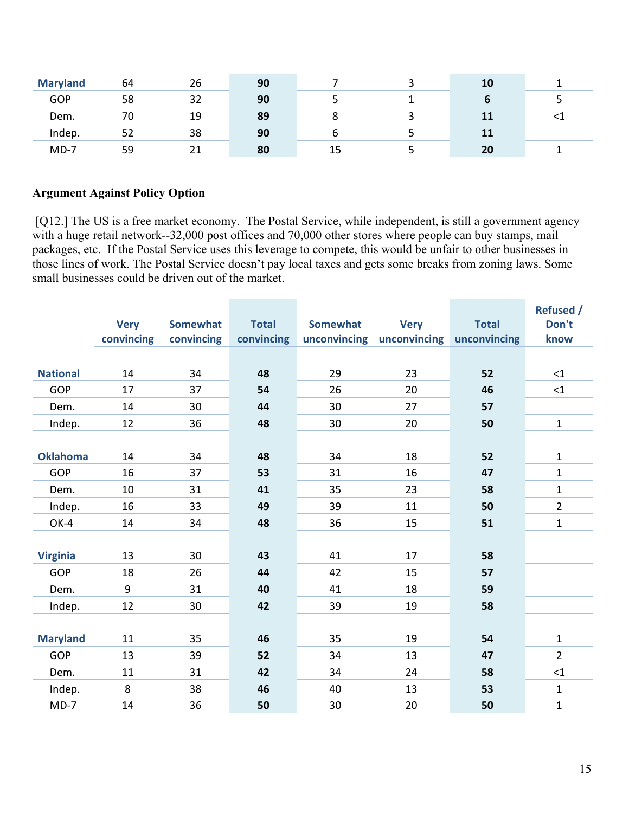| <b>Maryland</b> | 64 | 26 | 90 |         | <b>10</b> |  |
|-----------------|----|----|----|---------|-----------|--|
| <b>GOP</b>      | 58 | 32 | 90 |         |           |  |
| Dem.            | 70 | 19 | 89 | $\circ$ | 11        |  |
| Indep.          | ےر | 38 | 90 |         | 11        |  |
| $MD-7$          | 59 |    | 80 |         | 20        |  |

#### **Argument Against Policy Option**

[Q12.] The US is a free market economy. The Postal Service, while independent, is still a government agency with a huge retail network--32,000 post offices and 70,000 other stores where people can buy stamps, mail packages, etc. If the Postal Service uses this leverage to compete, this would be unfair to other businesses in those lines of work. The Postal Service doesn't pay local taxes and gets some breaks from zoning laws. Some small businesses could be driven out of the market.

|                 |             |                 |              |                 |              |              | <b>Refused /</b> |
|-----------------|-------------|-----------------|--------------|-----------------|--------------|--------------|------------------|
|                 | <b>Very</b> | <b>Somewhat</b> | <b>Total</b> | <b>Somewhat</b> | <b>Very</b>  | <b>Total</b> | Don't            |
|                 | convincing  | convincing      | convincing   | unconvincing    | unconvincing | unconvincing | know             |
|                 |             |                 |              |                 |              |              |                  |
| <b>National</b> | 14          | 34              | 48           | 29              | 23           | 52           | <1               |
| GOP             | 17          | 37              | 54           | 26              | 20           | 46           | ${<}1$           |
| Dem.            | 14          | 30              | 44           | 30              | 27           | 57           |                  |
| Indep.          | 12          | 36              | 48           | 30              | 20           | 50           | $\mathbf{1}$     |
|                 |             |                 |              |                 |              |              |                  |
| <b>Oklahoma</b> | 14          | 34              | 48           | 34              | 18           | 52           | $\mathbf{1}$     |
| <b>GOP</b>      | 16          | 37              | 53           | 31              | 16           | 47           | $\mathbf{1}$     |
| Dem.            | 10          | 31              | 41           | 35              | 23           | 58           | $\mathbf{1}$     |
| Indep.          | 16          | 33              | 49           | 39              | 11           | 50           | $\overline{2}$   |
| OK-4            | 14          | 34              | 48           | 36              | 15           | 51           | $\mathbf{1}$     |
|                 |             |                 |              |                 |              |              |                  |
| <b>Virginia</b> | 13          | 30              | 43           | 41              | 17           | 58           |                  |
| <b>GOP</b>      | 18          | 26              | 44           | 42              | 15           | 57           |                  |
| Dem.            | 9           | 31              | 40           | 41              | 18           | 59           |                  |
| Indep.          | 12          | 30              | 42           | 39              | 19           | 58           |                  |
|                 |             |                 |              |                 |              |              |                  |
| <b>Maryland</b> | 11          | 35              | 46           | 35              | 19           | 54           | $\mathbf{1}$     |
| <b>GOP</b>      | 13          | 39              | 52           | 34              | 13           | 47           | $\overline{2}$   |
| Dem.            | 11          | 31              | 42           | 34              | 24           | 58           | $\leq 1$         |
| Indep.          | 8           | 38              | 46           | 40              | 13           | 53           | $\mathbf{1}$     |
| $MD-7$          | 14          | 36              | 50           | 30              | 20           | 50           | $\mathbf{1}$     |
|                 |             |                 |              |                 |              |              |                  |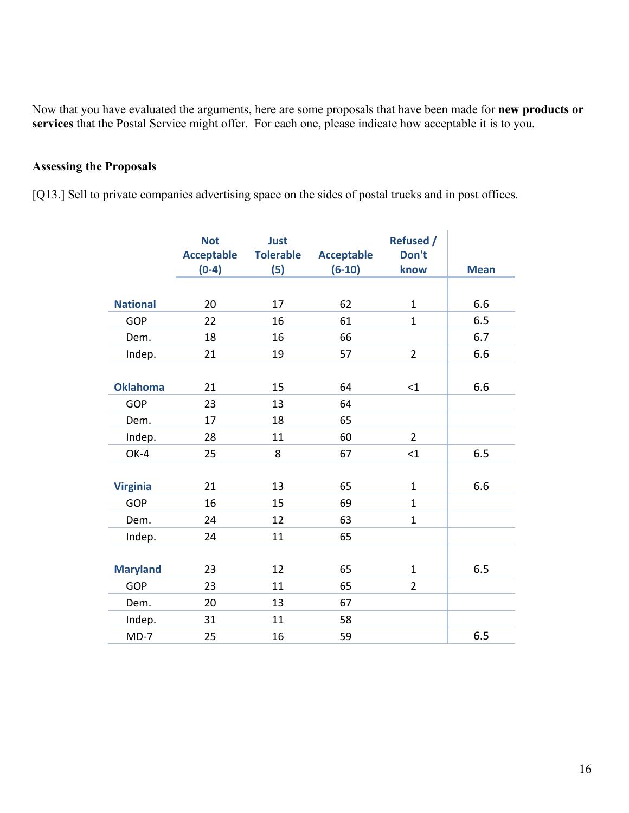Now that you have evaluated the arguments, here are some proposals that have been made for **new products or services** that the Postal Service might offer. For each one, please indicate how acceptable it is to you.

# **Assessing the Proposals**

[Q13.] Sell to private companies advertising space on the sides of postal trucks and in post offices.

|                 | <b>Not</b><br><b>Acceptable</b><br>$(0-4)$ | <b>Just</b><br><b>Tolerable</b><br>(5) | <b>Acceptable</b><br>$(6-10)$ | <b>Refused /</b><br>Don't<br>know | <b>Mean</b> |
|-----------------|--------------------------------------------|----------------------------------------|-------------------------------|-----------------------------------|-------------|
|                 |                                            |                                        |                               |                                   |             |
| <b>National</b> | 20                                         | 17                                     | 62                            | $\mathbf{1}$                      | 6.6         |
| GOP             | 22                                         | 16                                     | 61                            | $\mathbf{1}$                      | 6.5         |
| Dem.            | 18                                         | 16                                     | 66                            |                                   | 6.7         |
| Indep.          | 21                                         | 19                                     | 57                            | $\overline{2}$                    | 6.6         |
|                 |                                            |                                        |                               |                                   |             |
| <b>Oklahoma</b> | 21                                         | 15                                     | 64                            | <1                                | 6.6         |
| <b>GOP</b>      | 23                                         | 13                                     | 64                            |                                   |             |
| Dem.            | 17                                         | 18                                     | 65                            |                                   |             |
| Indep.          | 28                                         | 11                                     | 60                            | $\overline{2}$                    |             |
| OK-4            | 25                                         | 8                                      | 67                            | $\leq 1$                          | 6.5         |
|                 |                                            |                                        |                               |                                   |             |
| <b>Virginia</b> | 21                                         | 13                                     | 65                            | $\mathbf 1$                       | 6.6         |
| GOP             | 16                                         | 15                                     | 69                            | $\mathbf 1$                       |             |
| Dem.            | 24                                         | 12                                     | 63                            | $\mathbf{1}$                      |             |
| Indep.          | 24                                         | 11                                     | 65                            |                                   |             |
|                 |                                            |                                        |                               |                                   |             |
| <b>Maryland</b> | 23                                         | 12                                     | 65                            | $\mathbf{1}$                      | 6.5         |
| GOP             | 23                                         | 11                                     | 65                            | $\overline{2}$                    |             |
| Dem.            | 20                                         | 13                                     | 67                            |                                   |             |
| Indep.          | 31                                         | 11                                     | 58                            |                                   |             |
| $MD-7$          | 25                                         | 16                                     | 59                            |                                   | 6.5         |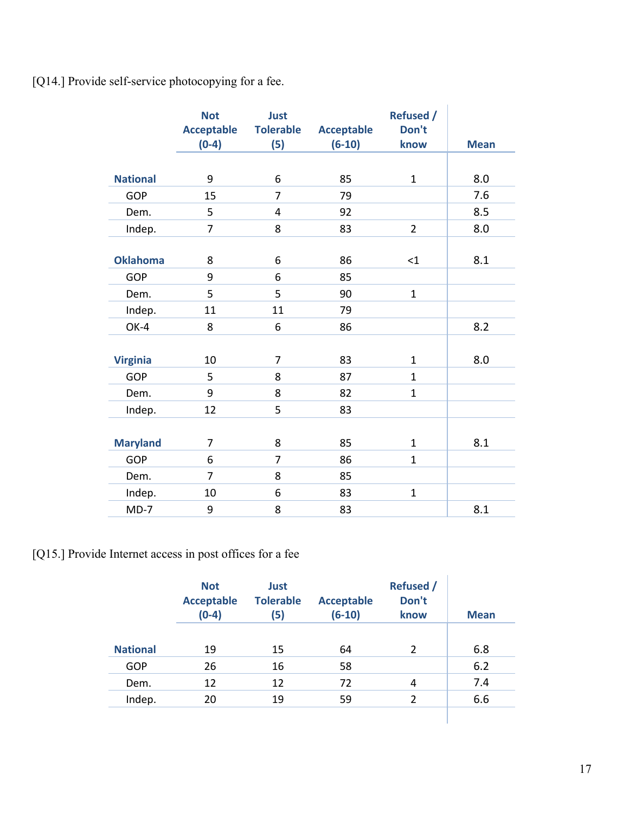[Q14.] Provide self-service photocopying for a fee.

|                 | <b>Not</b><br><b>Acceptable</b><br>$(0-4)$ | Just<br><b>Tolerable</b><br>(5) | <b>Acceptable</b><br>$(6-10)$ | <b>Refused /</b><br>Don't<br>know | <b>Mean</b> |
|-----------------|--------------------------------------------|---------------------------------|-------------------------------|-----------------------------------|-------------|
|                 |                                            |                                 |                               |                                   |             |
| <b>National</b> | 9                                          | 6                               | 85                            | $\mathbf{1}$                      | 8.0         |
| <b>GOP</b>      | 15                                         | $\overline{7}$                  | 79                            |                                   | 7.6         |
| Dem.            | 5                                          | 4                               | 92                            |                                   | 8.5         |
| Indep.          | 7                                          | 8                               | 83                            | $\overline{2}$                    | 8.0         |
|                 |                                            |                                 |                               |                                   |             |
| <b>Oklahoma</b> | 8                                          | 6                               | 86                            | $\leq$ 1                          | 8.1         |
| GOP             | 9                                          | 6                               | 85                            |                                   |             |
| Dem.            | 5                                          | 5                               | 90                            | $\mathbf{1}$                      |             |
| Indep.          | 11                                         | 11                              | 79                            |                                   |             |
| OK-4            | 8                                          | 6                               | 86                            |                                   | 8.2         |
|                 |                                            |                                 |                               |                                   |             |
| <b>Virginia</b> | 10                                         | $\overline{7}$                  | 83                            | $\mathbf{1}$                      | 8.0         |
| <b>GOP</b>      | 5                                          | 8                               | 87                            | $\mathbf{1}$                      |             |
| Dem.            | 9                                          | 8                               | 82                            | $\mathbf{1}$                      |             |
| Indep.          | 12                                         | 5                               | 83                            |                                   |             |
|                 |                                            |                                 |                               |                                   |             |
| <b>Maryland</b> | 7                                          | 8                               | 85                            | $\mathbf{1}$                      | 8.1         |
| <b>GOP</b>      | 6                                          | $\overline{7}$                  | 86                            | $\mathbf{1}$                      |             |
| Dem.            | $\overline{7}$                             | 8                               | 85                            |                                   |             |
| Indep.          | 10                                         | 6                               | 83                            | $\mathbf{1}$                      |             |
| $MD-7$          | 9                                          | 8                               | 83                            |                                   | 8.1         |

[Q15.] Provide Internet access in post offices for a fee

|                 | <b>Not</b><br><b>Acceptable</b><br>$(0-4)$ | <b>Just</b><br><b>Tolerable</b><br>(5) | <b>Acceptable</b><br>$(6-10)$ | <b>Refused</b> /<br>Don't<br>know | <b>Mean</b> |
|-----------------|--------------------------------------------|----------------------------------------|-------------------------------|-----------------------------------|-------------|
| <b>National</b> | 19                                         | 15                                     | 64                            | 2                                 | 6.8         |
| GOP             | 26                                         | 16                                     | 58                            |                                   | 6.2         |
| Dem.            | 12                                         | 12                                     | 72                            | 4                                 | 7.4         |
| Indep.          | 20                                         | 19                                     | 59                            | $\overline{2}$                    | 6.6         |
|                 |                                            |                                        |                               |                                   |             |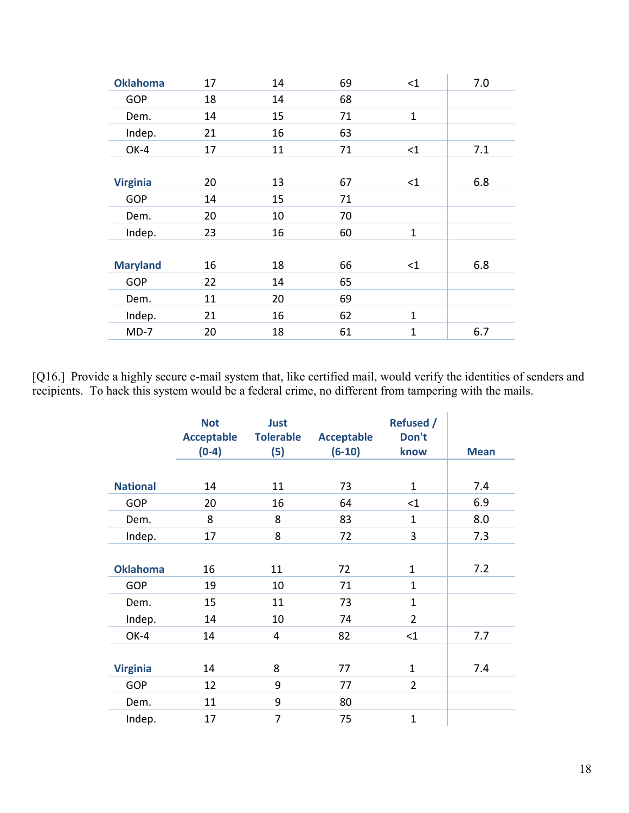| 17 | 14 | 69 | <1           | 7.0 |
|----|----|----|--------------|-----|
| 18 | 14 | 68 |              |     |
| 14 | 15 | 71 | $\mathbf{1}$ |     |
| 21 | 16 | 63 |              |     |
| 17 | 11 | 71 | <1           | 7.1 |
|    |    |    |              |     |
| 20 | 13 | 67 | <1           | 6.8 |
| 14 | 15 | 71 |              |     |
| 20 | 10 | 70 |              |     |
| 23 | 16 | 60 | $\mathbf{1}$ |     |
|    |    |    |              |     |
| 16 | 18 | 66 | <1           | 6.8 |
| 22 | 14 | 65 |              |     |
| 11 | 20 | 69 |              |     |
| 21 | 16 | 62 | $\mathbf{1}$ |     |
| 20 | 18 | 61 | $\mathbf{1}$ | 6.7 |
|    |    |    |              |     |

[Q16.] Provide a highly secure e-mail system that, like certified mail, would verify the identities of senders and recipients. To hack this system would be a federal crime, no different from tampering with the mails.

|                 | <b>Not</b><br><b>Acceptable</b><br>$(0-4)$ | Just<br><b>Tolerable</b><br>(5) | <b>Acceptable</b><br>$(6-10)$ | <b>Refused /</b><br>Don't<br>know | <b>Mean</b> |
|-----------------|--------------------------------------------|---------------------------------|-------------------------------|-----------------------------------|-------------|
|                 |                                            |                                 |                               |                                   |             |
| <b>National</b> | 14                                         | 11                              | 73                            | $\mathbf{1}$                      | 7.4         |
| <b>GOP</b>      | 20                                         | 16                              | 64                            | <1                                | 6.9         |
| Dem.            | 8                                          | 8                               | 83                            | $\mathbf{1}$                      | 8.0         |
| Indep.          | 17                                         | 8                               | 72                            | 3                                 | 7.3         |
| <b>Oklahoma</b> | 16                                         | 11                              | 72                            | $\mathbf{1}$                      | 7.2         |
| <b>GOP</b>      | 19                                         | 10                              | 71                            | $\mathbf{1}$                      |             |
| Dem.            | 15                                         | 11                              | 73                            | $\mathbf{1}$                      |             |
| Indep.          | 14                                         | 10                              | 74                            | $\overline{2}$                    |             |
| OK-4            | 14                                         | 4                               | 82                            | <1                                | 7.7         |
|                 |                                            |                                 |                               |                                   |             |
| <b>Virginia</b> | 14                                         | 8                               | 77                            | $\mathbf{1}$                      | 7.4         |
| <b>GOP</b>      | 12                                         | 9                               | 77                            | $\overline{2}$                    |             |
| Dem.            | 11                                         | 9                               | 80                            |                                   |             |
| Indep.          | 17                                         | 7                               | 75                            | $\mathbf{1}$                      |             |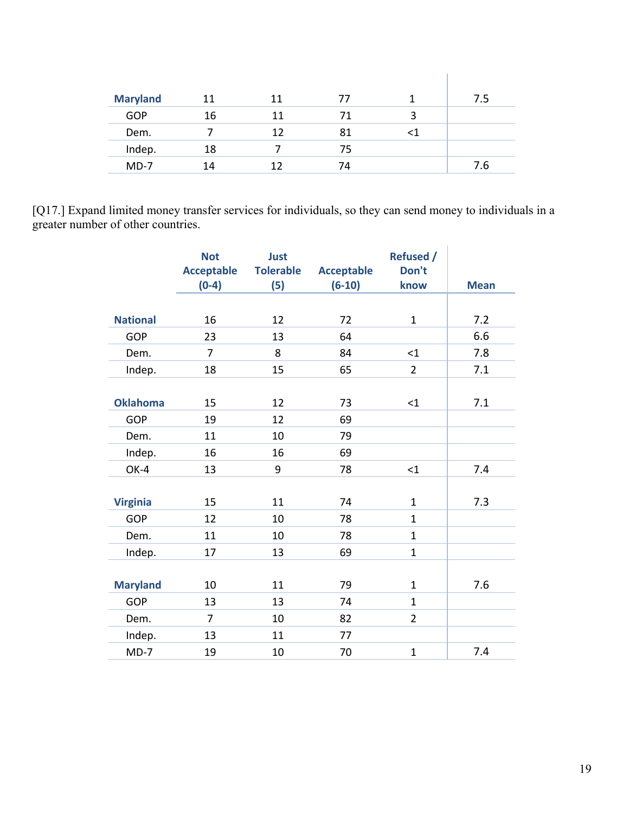| <b>Maryland</b> | 11 | 11 | 77 |   | 7.5 |
|-----------------|----|----|----|---|-----|
| <b>GOP</b>      | 16 | 11 | 71 | 3 |     |
| Dem.            |    | 12 | 81 |   |     |
| Indep.          | 18 |    | 75 |   |     |
| $MD-7$          | 14 | 12 | 74 |   | 7.6 |

[Q17.] Expand limited money transfer services for individuals, so they can send money to individuals in a greater number of other countries.

|                 | <b>Not</b><br><b>Acceptable</b><br>$(0-4)$ | Just<br><b>Tolerable</b><br>(5) | <b>Acceptable</b><br>$(6-10)$ | <b>Refused /</b><br>Don't<br>know | <b>Mean</b> |
|-----------------|--------------------------------------------|---------------------------------|-------------------------------|-----------------------------------|-------------|
|                 |                                            |                                 |                               |                                   |             |
| <b>National</b> | 16                                         | 12                              | 72                            | $\mathbf{1}$                      | 7.2         |
| <b>GOP</b>      | 23                                         | 13                              | 64                            |                                   | 6.6         |
| Dem.            | $\overline{7}$                             | 8                               | 84                            | $\leq 1$                          | 7.8         |
| Indep.          | 18                                         | 15                              | 65                            | $\overline{2}$                    | 7.1         |
|                 |                                            |                                 |                               |                                   |             |
| <b>Oklahoma</b> | 15                                         | 12                              | 73                            | <1                                | 7.1         |
| <b>GOP</b>      | 19                                         | 12                              | 69                            |                                   |             |
| Dem.            | 11                                         | 10                              | 79                            |                                   |             |
| Indep.          | 16                                         | 16                              | 69                            |                                   |             |
| OK-4            | 13                                         | 9                               | 78                            | $\leq$ 1                          | 7.4         |
|                 |                                            |                                 |                               |                                   |             |
| <b>Virginia</b> | 15                                         | 11                              | 74                            | $\mathbf{1}$                      | 7.3         |
| GOP             | 12                                         | 10                              | 78                            | $\mathbf{1}$                      |             |
| Dem.            | 11                                         | 10                              | 78                            | $\mathbf{1}$                      |             |
| Indep.          | 17                                         | 13                              | 69                            | $\mathbf{1}$                      |             |
|                 |                                            |                                 |                               |                                   |             |
| <b>Maryland</b> | 10                                         | 11                              | 79                            | $\mathbf{1}$                      | 7.6         |
| <b>GOP</b>      | 13                                         | 13                              | 74                            | $\mathbf{1}$                      |             |
| Dem.            | $\overline{7}$                             | 10                              | 82                            | $\overline{2}$                    |             |
| Indep.          | 13                                         | 11                              | 77                            |                                   |             |
| $MD-7$          | 19                                         | 10                              | 70                            | $\mathbf{1}$                      | 7.4         |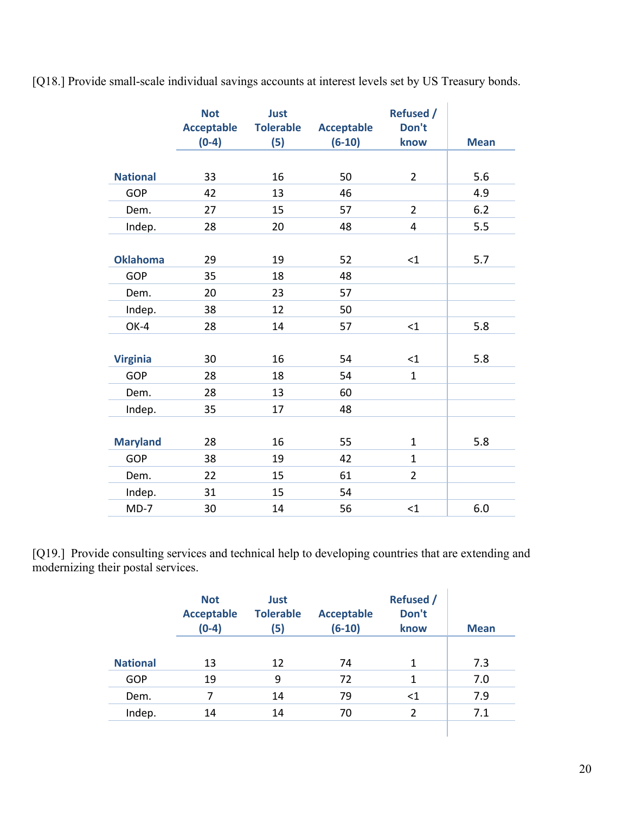[Q18.] Provide small-scale individual savings accounts at interest levels set by US Treasury bonds.

|                 | <b>Not</b><br><b>Acceptable</b> | <b>Just</b><br><b>Tolerable</b> |                               | <b>Refused /</b><br>Don't |             |
|-----------------|---------------------------------|---------------------------------|-------------------------------|---------------------------|-------------|
|                 | $(0-4)$                         | (5)                             | <b>Acceptable</b><br>$(6-10)$ | know                      | <b>Mean</b> |
|                 |                                 |                                 |                               |                           |             |
| <b>National</b> | 33                              | 16                              | 50                            | $\overline{2}$            | 5.6         |
| <b>GOP</b>      | 42                              | 13                              | 46                            |                           | 4.9         |
| Dem.            | 27                              | 15                              | 57                            | $\overline{2}$            | 6.2         |
| Indep.          | 28                              | 20                              | 48                            | 4                         | 5.5         |
|                 |                                 |                                 |                               |                           |             |
| <b>Oklahoma</b> | 29                              | 19                              | 52                            | $<$ 1                     | 5.7         |
| <b>GOP</b>      | 35                              | 18                              | 48                            |                           |             |
| Dem.            | 20                              | 23                              | 57                            |                           |             |
| Indep.          | 38                              | 12                              | 50                            |                           |             |
| OK-4            | 28                              | 14                              | 57                            | $\leq 1$                  | 5.8         |
|                 |                                 |                                 |                               |                           |             |
| <b>Virginia</b> | 30                              | 16                              | 54                            | $<$ 1                     | 5.8         |
| <b>GOP</b>      | 28                              | 18                              | 54                            | $\mathbf{1}$              |             |
| Dem.            | 28                              | 13                              | 60                            |                           |             |
| Indep.          | 35                              | 17                              | 48                            |                           |             |
|                 |                                 |                                 |                               |                           |             |
| <b>Maryland</b> | 28                              | 16                              | 55                            | $\mathbf{1}$              | 5.8         |
| <b>GOP</b>      | 38                              | 19                              | 42                            | $\mathbf{1}$              |             |
| Dem.            | 22                              | 15                              | 61                            | $\overline{2}$            |             |
| Indep.          | 31                              | 15                              | 54                            |                           |             |
| $MD-7$          | 30                              | 14                              | 56                            | $\leq$ 1                  | 6.0         |

[Q19.] Provide consulting services and technical help to developing countries that are extending and modernizing their postal services.

|                 | <b>Not</b><br><b>Acceptable</b><br>$(0-4)$ | Just<br><b>Tolerable</b><br>(5) | <b>Acceptable</b><br>$(6-10)$ | <b>Refused</b> /<br>Don't<br>know | <b>Mean</b> |
|-----------------|--------------------------------------------|---------------------------------|-------------------------------|-----------------------------------|-------------|
| <b>National</b> | 13                                         | 12                              | 74                            | 1                                 | 7.3         |
| <b>GOP</b>      | 19                                         | 9                               | 72                            | 1                                 | 7.0         |
| Dem.            | 7                                          | 14                              | 79                            | $<$ 1                             | 7.9         |
| Indep.          | 14                                         | 14                              | 70                            | $\overline{2}$                    | 7.1         |
|                 |                                            |                                 |                               |                                   |             |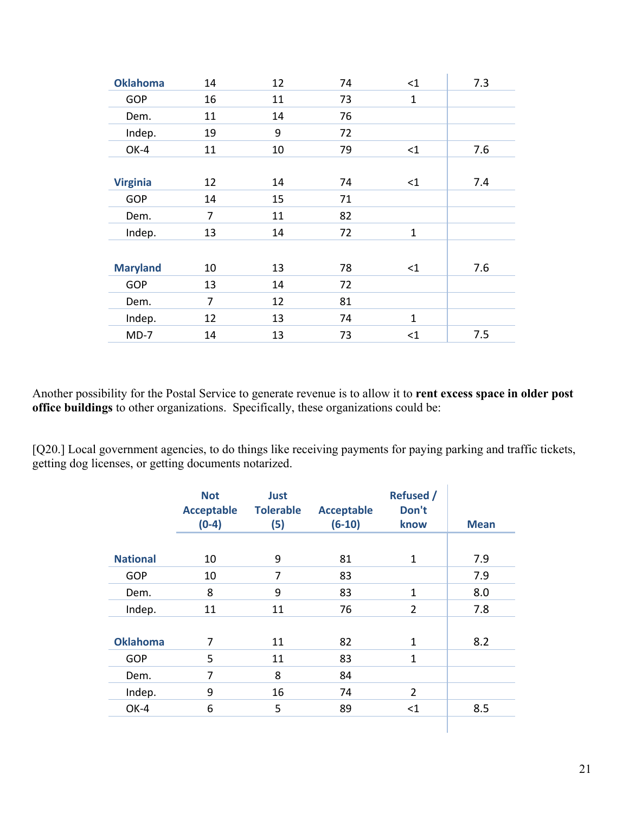| <b>Oklahoma</b> | 14             | 12 | 74 | $<$ 1        | 7.3 |
|-----------------|----------------|----|----|--------------|-----|
| <b>GOP</b>      | 16             | 11 | 73 | $\mathbf{1}$ |     |
| Dem.            | 11             | 14 | 76 |              |     |
| Indep.          | 19             | 9  | 72 |              |     |
| OK-4            | 11             | 10 | 79 | $<$ 1        | 7.6 |
|                 |                |    |    |              |     |
| <b>Virginia</b> | 12             | 14 | 74 | $<$ 1        | 7.4 |
| <b>GOP</b>      | 14             | 15 | 71 |              |     |
| Dem.            | $\overline{7}$ | 11 | 82 |              |     |
| Indep.          | 13             | 14 | 72 | $\mathbf{1}$ |     |
|                 |                |    |    |              |     |
| <b>Maryland</b> | 10             | 13 | 78 | $\leq$ 1     | 7.6 |
| <b>GOP</b>      | 13             | 14 | 72 |              |     |
| Dem.            | 7              | 12 | 81 |              |     |
| Indep.          | 12             | 13 | 74 | $\mathbf{1}$ |     |
| $MD-7$          | 14             | 13 | 73 | $<$ 1        | 7.5 |

Another possibility for the Postal Service to generate revenue is to allow it to **rent excess space in older post office buildings** to other organizations. Specifically, these organizations could be:

[Q20.] Local government agencies, to do things like receiving payments for paying parking and traffic tickets, getting dog licenses, or getting documents notarized.

|                 | <b>Not</b><br><b>Acceptable</b><br>$(0-4)$ | Just<br><b>Tolerable</b><br>(5) | <b>Acceptable</b><br>$(6-10)$ | <b>Refused</b> /<br>Don't<br>know | <b>Mean</b> |
|-----------------|--------------------------------------------|---------------------------------|-------------------------------|-----------------------------------|-------------|
|                 |                                            |                                 |                               |                                   |             |
| <b>National</b> | 10                                         | 9                               | 81                            | 1                                 | 7.9         |
| <b>GOP</b>      | 10                                         | $\overline{7}$                  | 83                            |                                   | 7.9         |
| Dem.            | 8                                          | 9                               | 83                            | $\mathbf{1}$                      | 8.0         |
| Indep.          | 11                                         | 11                              | 76                            | $\overline{2}$                    | 7.8         |
|                 |                                            |                                 |                               |                                   |             |
| <b>Oklahoma</b> | 7                                          | 11                              | 82                            | $\mathbf{1}$                      | 8.2         |
| <b>GOP</b>      | 5                                          | 11                              | 83                            | $\mathbf{1}$                      |             |
| Dem.            | 7                                          | 8                               | 84                            |                                   |             |
| Indep.          | 9                                          | 16                              | 74                            | $\overline{2}$                    |             |
| OK-4            | 6                                          | 5                               | 89                            | $<$ 1                             | 8.5         |
|                 |                                            |                                 |                               |                                   |             |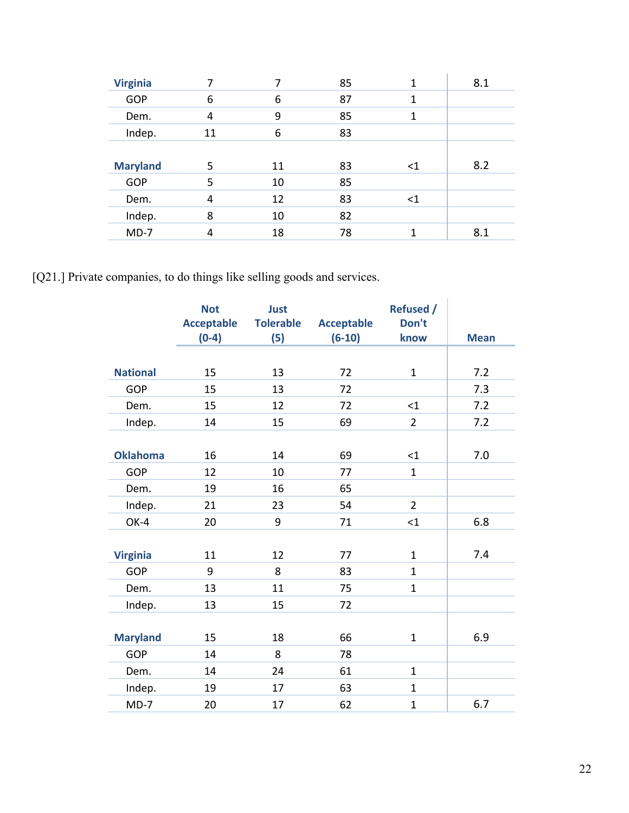| <b>Virginia</b> |    |    | 85 | 1        | 8.1 |
|-----------------|----|----|----|----------|-----|
| <b>GOP</b>      | 6  | 6  | 87 | 1        |     |
| Dem.            | 4  | 9  | 85 | 1        |     |
| Indep.          | 11 | 6  | 83 |          |     |
|                 |    |    |    |          |     |
|                 |    |    |    |          |     |
| <b>Maryland</b> | 5  | 11 | 83 | $\leq$ 1 | 8.2 |
| <b>GOP</b>      | 5  | 10 | 85 |          |     |
| Dem.            | 4  | 12 | 83 | $<$ 1    |     |
| Indep.          | 8  | 10 | 82 |          |     |

[Q21.] Private companies, to do things like selling goods and services.

|                 | <b>Not</b><br><b>Acceptable</b><br>$(0-4)$ | <b>Just</b><br><b>Tolerable</b><br>(5) | <b>Acceptable</b><br>$(6-10)$ | <b>Refused /</b><br>Don't<br>know | <b>Mean</b> |
|-----------------|--------------------------------------------|----------------------------------------|-------------------------------|-----------------------------------|-------------|
|                 |                                            |                                        |                               |                                   |             |
| <b>National</b> | 15                                         | 13                                     | 72                            | $\mathbf{1}$                      | 7.2         |
| GOP             | 15                                         | 13                                     | 72                            |                                   | 7.3         |
| Dem.            | 15                                         | 12                                     | 72                            | $<$ 1                             | 7.2         |
| Indep.          | 14                                         | 15                                     | 69                            | $\overline{2}$                    | 7.2         |
|                 |                                            |                                        |                               |                                   |             |
| <b>Oklahoma</b> | 16                                         | 14                                     | 69                            | $<$ 1                             | 7.0         |
| GOP             | 12                                         | 10                                     | 77                            | $\mathbf{1}$                      |             |
| Dem.            | 19                                         | 16                                     | 65                            |                                   |             |
| Indep.          | 21                                         | 23                                     | 54                            | $\overline{2}$                    |             |
| OK-4            | 20                                         | 9                                      | 71                            | $\leq$ 1                          | 6.8         |
|                 |                                            |                                        |                               |                                   |             |
| <b>Virginia</b> | 11                                         | 12                                     | 77                            | $\mathbf{1}$                      | 7.4         |
| <b>GOP</b>      | 9                                          | 8                                      | 83                            | $\mathbf{1}$                      |             |
| Dem.            | 13                                         | 11                                     | 75                            | $\mathbf{1}$                      |             |
| Indep.          | 13                                         | 15                                     | 72                            |                                   |             |
|                 |                                            |                                        |                               |                                   |             |
| <b>Maryland</b> | 15                                         | 18                                     | 66                            | $\mathbf{1}$                      | 6.9         |
| GOP             | 14                                         | 8                                      | 78                            |                                   |             |
| Dem.            | 14                                         | 24                                     | 61                            | $\mathbf{1}$                      |             |
| Indep.          | 19                                         | 17                                     | 63                            | $\mathbf{1}$                      |             |
| $MD-7$          | 20                                         | 17                                     | 62                            | $\mathbf{1}$                      | 6.7         |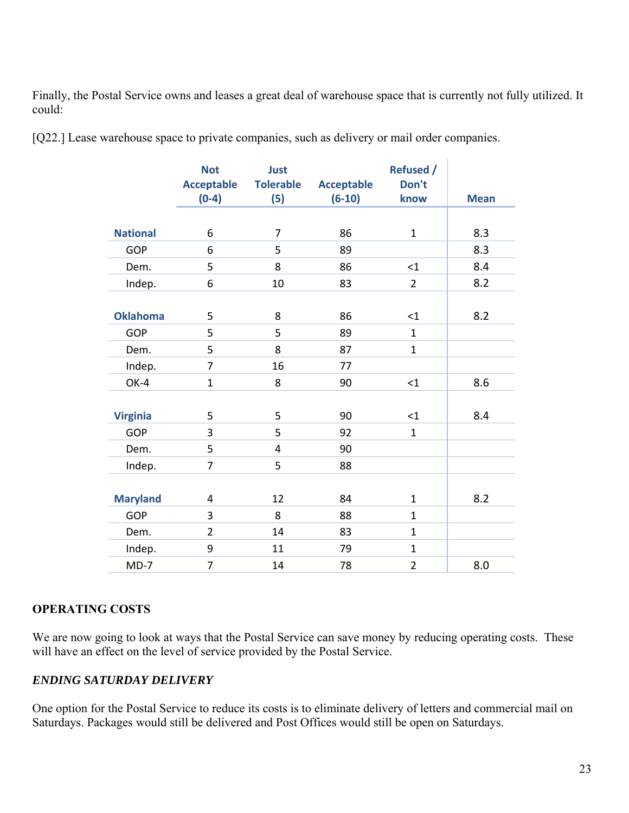Finally, the Postal Service owns and leases a great deal of warehouse space that is currently not fully utilized. It could:

[Q22.] Lease warehouse space to private companies, such as delivery or mail order companies.

|                 | <b>Not</b>        | Just             |                   | <b>Refused /</b> |             |
|-----------------|-------------------|------------------|-------------------|------------------|-------------|
|                 | <b>Acceptable</b> | <b>Tolerable</b> | <b>Acceptable</b> | Don't            |             |
|                 | $(0-4)$           | (5)              | $(6-10)$          | know             | <b>Mean</b> |
|                 |                   |                  |                   |                  |             |
| <b>National</b> | 6                 | $\overline{7}$   | 86                | $\mathbf{1}$     | 8.3         |
| <b>GOP</b>      | 6                 | 5                | 89                |                  | 8.3         |
| Dem.            | 5                 | 8                | 86                | $<$ 1            | 8.4         |
| Indep.          | 6                 | 10               | 83                | $\overline{2}$   | 8.2         |
|                 |                   |                  |                   |                  |             |
| <b>Oklahoma</b> | 5                 | 8                | 86                | $<$ 1            | 8.2         |
| <b>GOP</b>      | 5                 | 5                | 89                | $\mathbf{1}$     |             |
| Dem.            | 5                 | 8                | 87                | $\mathbf{1}$     |             |
| Indep.          | $\overline{7}$    | 16               | 77                |                  |             |
| OK-4            | $\mathbf{1}$      | 8                | 90                | $<$ 1            | 8.6         |
|                 |                   |                  |                   |                  |             |
| <b>Virginia</b> | 5                 | 5                | 90                | $\leq 1$         | 8.4         |
| GOP             | 3                 | 5                | 92                | $\mathbf{1}$     |             |
| Dem.            | 5                 | 4                | 90                |                  |             |
| Indep.          | $\overline{7}$    | 5                | 88                |                  |             |
|                 |                   |                  |                   |                  |             |
| <b>Maryland</b> | 4                 | 12               | 84                | $\mathbf{1}$     | 8.2         |
| <b>GOP</b>      | 3                 | 8                | 88                | $\mathbf{1}$     |             |
| Dem.            | $\overline{2}$    | 14               | 83                | $\mathbf{1}$     |             |
| Indep.          | 9                 | 11               | 79                | $\mathbf{1}$     |             |
| $MD-7$          | $\overline{7}$    | 14               | 78                | $\overline{2}$   | 8.0         |

#### **OPERATING COSTS**

We are now going to look at ways that the Postal Service can save money by reducing operating costs. These will have an effect on the level of service provided by the Postal Service.

#### *ENDING SATURDAY DELIVERY*

One option for the Postal Service to reduce its costs is to eliminate delivery of letters and commercial mail on Saturdays. Packages would still be delivered and Post Offices would still be open on Saturdays.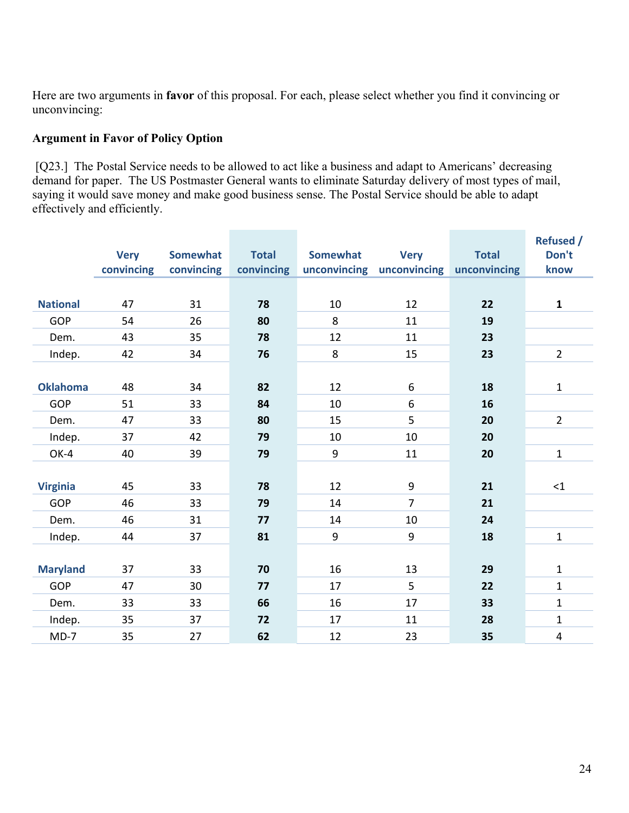Here are two arguments in **favor** of this proposal. For each, please select whether you find it convincing or unconvincing:

# **Argument in Favor of Policy Option**

 [Q23.] The Postal Service needs to be allowed to act like a business and adapt to Americans' decreasing demand for paper. The US Postmaster General wants to eliminate Saturday delivery of most types of mail, saying it would save money and make good business sense. The Postal Service should be able to adapt effectively and efficiently.

|                 |             |                 |              |                 |                           |              | <b>Refused /</b>        |
|-----------------|-------------|-----------------|--------------|-----------------|---------------------------|--------------|-------------------------|
|                 | <b>Very</b> | <b>Somewhat</b> | <b>Total</b> | <b>Somewhat</b> | <b>Very</b>               | <b>Total</b> | Don't                   |
|                 | convincing  | convincing      | convincing   |                 | unconvincing unconvincing | unconvincing | know                    |
|                 |             |                 |              |                 |                           |              |                         |
| <b>National</b> | 47          | 31              | 78           | 10              | 12                        | 22           | $\mathbf{1}$            |
| GOP             | 54          | 26              | 80           | 8               | 11                        | 19           |                         |
| Dem.            | 43          | 35              | 78           | 12              | 11                        | 23           |                         |
| Indep.          | 42          | 34              | 76           | 8               | 15                        | 23           | $\overline{2}$          |
|                 |             |                 |              |                 |                           |              |                         |
| <b>Oklahoma</b> | 48          | 34              | 82           | 12              | 6                         | 18           | $\mathbf{1}$            |
| <b>GOP</b>      | 51          | 33              | 84           | 10              | 6                         | 16           |                         |
| Dem.            | 47          | 33              | 80           | 15              | 5                         | 20           | $\overline{2}$          |
| Indep.          | 37          | 42              | 79           | 10              | 10                        | 20           |                         |
| OK-4            | 40          | 39              | 79           | 9               | 11                        | 20           | $\mathbf{1}$            |
|                 |             |                 |              |                 |                           |              |                         |
| <b>Virginia</b> | 45          | 33              | 78           | 12              | $\boldsymbol{9}$          | 21           | $\leq 1$                |
| <b>GOP</b>      | 46          | 33              | 79           | 14              | $\overline{7}$            | 21           |                         |
| Dem.            | 46          | 31              | 77           | 14              | 10                        | 24           |                         |
| Indep.          | 44          | 37              | 81           | 9               | 9                         | 18           | $\mathbf{1}$            |
|                 |             |                 |              |                 |                           |              |                         |
| <b>Maryland</b> | 37          | 33              | 70           | 16              | 13                        | 29           | $\mathbf{1}$            |
| <b>GOP</b>      | 47          | 30              | 77           | 17              | 5                         | 22           | $\mathbf{1}$            |
| Dem.            | 33          | 33              | 66           | 16              | 17                        | 33           | $\mathbf{1}$            |
| Indep.          | 35          | 37              | 72           | 17              | 11                        | 28           | $\mathbf{1}$            |
| $MD-7$          | 35          | 27              | 62           | 12              | 23                        | 35           | $\overline{\mathbf{4}}$ |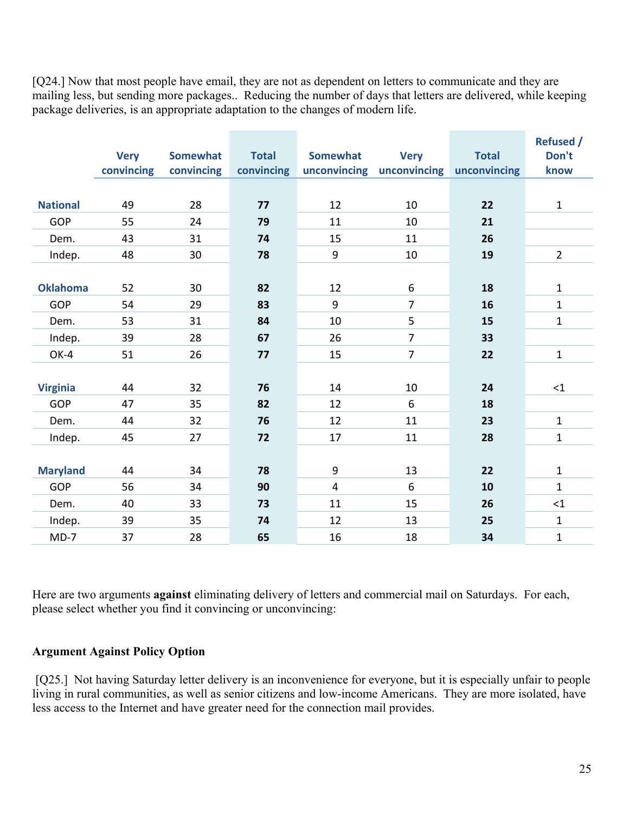[Q24.] Now that most people have email, they are not as dependent on letters to communicate and they are mailing less, but sending more packages.. Reducing the number of days that letters are delivered, while keeping package deliveries, is an appropriate adaptation to the changes of modern life.

|                 |             |                 |              |                 |                           |              | <b>Refused /</b> |
|-----------------|-------------|-----------------|--------------|-----------------|---------------------------|--------------|------------------|
|                 | <b>Very</b> | <b>Somewhat</b> | <b>Total</b> | <b>Somewhat</b> | <b>Very</b>               | <b>Total</b> | Don't            |
|                 | convincing  | convincing      | convincing   |                 | unconvincing unconvincing | unconvincing | know             |
|                 |             |                 |              |                 |                           |              |                  |
| <b>National</b> | 49          | 28              | 77           | 12              | 10                        | 22           | $\mathbf{1}$     |
| <b>GOP</b>      | 55          | 24              | 79           | 11              | 10                        | 21           |                  |
| Dem.            | 43          | 31              | 74           | 15              | 11                        | 26           |                  |
| Indep.          | 48          | 30              | 78           | 9               | 10                        | 19           | $\overline{2}$   |
|                 |             |                 |              |                 |                           |              |                  |
| <b>Oklahoma</b> | 52          | 30              | 82           | 12              | 6                         | 18           | $\mathbf{1}$     |
| <b>GOP</b>      | 54          | 29              | 83           | 9               | $\overline{7}$            | 16           | $\mathbf{1}$     |
| Dem.            | 53          | 31              | 84           | 10              | 5                         | 15           | $\mathbf 1$      |
| Indep.          | 39          | 28              | 67           | 26              | $\overline{7}$            | 33           |                  |
| OK-4            | 51          | 26              | 77           | 15              | $\overline{7}$            | 22           | $\mathbf 1$      |
|                 |             |                 |              |                 |                           |              |                  |
| <b>Virginia</b> | 44          | 32              | 76           | 14              | 10                        | 24           | <1               |
| <b>GOP</b>      | 47          | 35              | 82           | 12              | 6                         | 18           |                  |
| Dem.            | 44          | 32              | 76           | 12              | 11                        | 23           | $\mathbf{1}$     |
| Indep.          | 45          | 27              | 72           | 17              | 11                        | 28           | $\mathbf 1$      |
|                 |             |                 |              |                 |                           |              |                  |
| <b>Maryland</b> | 44          | 34              | 78           | 9               | 13                        | 22           | $\mathbf{1}$     |
| <b>GOP</b>      | 56          | 34              | 90           | $\overline{4}$  | 6                         | 10           | $\mathbf{1}$     |
| Dem.            | 40          | 33              | 73           | 11              | 15                        | 26           | <1               |
| Indep.          | 39          | 35              | 74           | 12              | 13                        | 25           | $\mathbf{1}$     |
| $MD-7$          | 37          | 28              | 65           | 16              | 18                        | 34           | $\mathbf 1$      |

Here are two arguments **against** eliminating delivery of letters and commercial mail on Saturdays. For each, please select whether you find it convincing or unconvincing:

#### **Argument Against Policy Option**

[Q25.] Not having Saturday letter delivery is an inconvenience for everyone, but it is especially unfair to people living in rural communities, as well as senior citizens and low-income Americans. They are more isolated, have less access to the Internet and have greater need for the connection mail provides.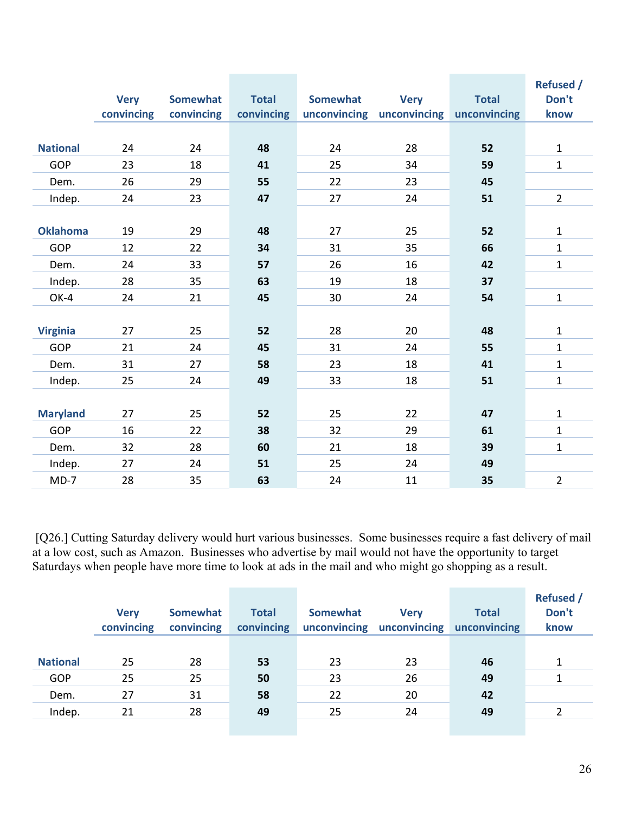|                 |             |                 |              |                 |                           |              | <b>Refused /</b> |
|-----------------|-------------|-----------------|--------------|-----------------|---------------------------|--------------|------------------|
|                 | <b>Very</b> | <b>Somewhat</b> | <b>Total</b> | <b>Somewhat</b> | <b>Very</b>               | <b>Total</b> | Don't            |
|                 | convincing  | convincing      | convincing   |                 | unconvincing unconvincing | unconvincing | know             |
|                 |             |                 |              |                 |                           |              |                  |
| <b>National</b> | 24          | 24              | 48           | 24              | 28                        | 52           | $\mathbf{1}$     |
| <b>GOP</b>      | 23          | 18              | 41           | 25              | 34                        | 59           | $\mathbf{1}$     |
| Dem.            | 26          | 29              | 55           | 22              | 23                        | 45           |                  |
| Indep.          | 24          | 23              | 47           | 27              | 24                        | 51           | $\overline{2}$   |
|                 |             |                 |              |                 |                           |              |                  |
| <b>Oklahoma</b> | 19          | 29              | 48           | 27              | 25                        | 52           | $\mathbf{1}$     |
| <b>GOP</b>      | 12          | 22              | 34           | 31              | 35                        | 66           | $\mathbf{1}$     |
| Dem.            | 24          | 33              | 57           | 26              | 16                        | 42           | $\mathbf{1}$     |
| Indep.          | 28          | 35              | 63           | 19              | 18                        | 37           |                  |
| OK-4            | 24          | 21              | 45           | 30              | 24                        | 54           | $\mathbf{1}$     |
|                 |             |                 |              |                 |                           |              |                  |
| <b>Virginia</b> | 27          | 25              | 52           | 28              | 20                        | 48           | $\mathbf{1}$     |
| <b>GOP</b>      | 21          | 24              | 45           | 31              | 24                        | 55           | $\mathbf{1}$     |
| Dem.            | 31          | 27              | 58           | 23              | 18                        | 41           | $\mathbf{1}$     |
| Indep.          | 25          | 24              | 49           | 33              | 18                        | 51           | $\mathbf 1$      |
|                 |             |                 |              |                 |                           |              |                  |
| <b>Maryland</b> | 27          | 25              | 52           | 25              | 22                        | 47           | 1                |
| <b>GOP</b>      | 16          | 22              | 38           | 32              | 29                        | 61           | $\mathbf{1}$     |
| Dem.            | 32          | 28              | 60           | 21              | 18                        | 39           | $\mathbf{1}$     |
| Indep.          | 27          | 24              | 51           | 25              | 24                        | 49           |                  |
| $MD-7$          | 28          | 35              | 63           | 24              | 11                        | 35           | $\overline{2}$   |

 [Q26.] Cutting Saturday delivery would hurt various businesses. Some businesses require a fast delivery of mail at a low cost, such as Amazon. Businesses who advertise by mail would not have the opportunity to target Saturdays when people have more time to look at ads in the mail and who might go shopping as a result.

|                 | <b>Very</b><br>convincing | <b>Somewhat</b><br>convincing | <b>Total</b><br>convincing | <b>Somewhat</b><br>unconvincing | <b>Very</b><br>unconvincing | <b>Total</b><br>unconvincing | <b>Refused</b> /<br>Don't<br>know |
|-----------------|---------------------------|-------------------------------|----------------------------|---------------------------------|-----------------------------|------------------------------|-----------------------------------|
| <b>National</b> | 25                        | 28                            | 53                         | 23                              | 23                          | 46                           | 1                                 |
|                 |                           |                               |                            |                                 |                             |                              |                                   |
| GOP             | 25                        | 25                            | 50                         | 23                              | 26                          | 49                           |                                   |
| Dem.            | 27                        | 31                            | 58                         | 22                              | 20                          | 42                           |                                   |
| Indep.          | 21                        | 28                            | 49                         | 25                              | 24                          | 49                           |                                   |
|                 |                           |                               |                            |                                 |                             |                              |                                   |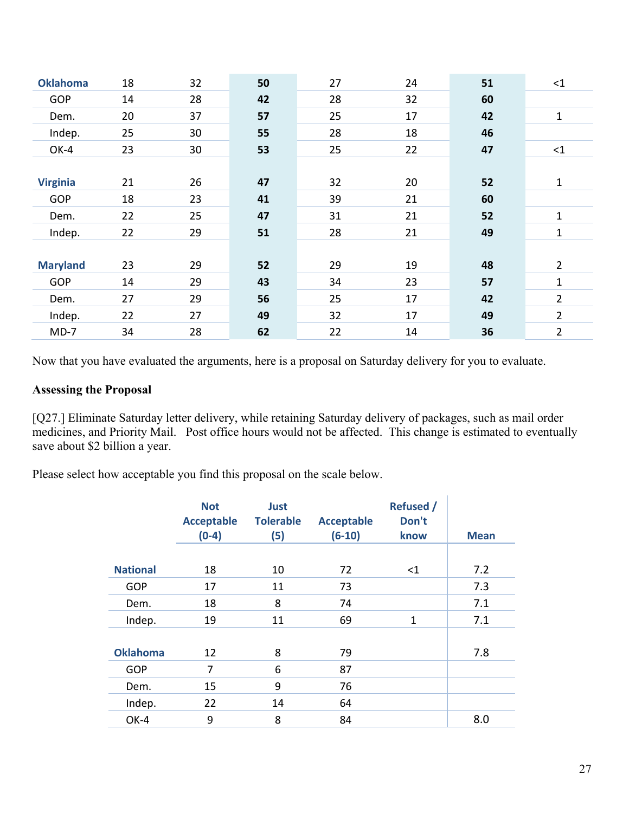| <b>Oklahoma</b> | 18 | 32 | 50 | 27 | 24 | 51 | $\leq$ 1       |
|-----------------|----|----|----|----|----|----|----------------|
| GOP             | 14 | 28 | 42 | 28 | 32 | 60 |                |
| Dem.            | 20 | 37 | 57 | 25 | 17 | 42 | $\mathbf{1}$   |
| Indep.          | 25 | 30 | 55 | 28 | 18 | 46 |                |
| OK-4            | 23 | 30 | 53 | 25 | 22 | 47 | $\leq$ 1       |
|                 |    |    |    |    |    |    |                |
| <b>Virginia</b> | 21 | 26 | 47 | 32 | 20 | 52 | $\mathbf{1}$   |
| GOP             | 18 | 23 | 41 | 39 | 21 | 60 |                |
| Dem.            | 22 | 25 | 47 | 31 | 21 | 52 | 1              |
| Indep.          | 22 | 29 | 51 | 28 | 21 | 49 | 1              |
|                 |    |    |    |    |    |    |                |
| <b>Maryland</b> | 23 | 29 | 52 | 29 | 19 | 48 | $\overline{2}$ |
| <b>GOP</b>      | 14 | 29 | 43 | 34 | 23 | 57 | $\mathbf{1}$   |
| Dem.            | 27 | 29 | 56 | 25 | 17 | 42 | $\overline{2}$ |
| Indep.          | 22 | 27 | 49 | 32 | 17 | 49 | $\overline{2}$ |
| $MD-7$          | 34 | 28 | 62 | 22 | 14 | 36 | $\overline{2}$ |
|                 |    |    |    |    |    |    |                |

Now that you have evaluated the arguments, here is a proposal on Saturday delivery for you to evaluate.

#### **Assessing the Proposal**

[Q27.] Eliminate Saturday letter delivery, while retaining Saturday delivery of packages, such as mail order medicines, and Priority Mail. Post office hours would not be affected. This change is estimated to eventually save about \$2 billion a year.

Please select how acceptable you find this proposal on the scale below.

|                 | <b>Not</b><br><b>Acceptable</b><br>$(0-4)$ | <b>Just</b><br><b>Tolerable</b><br>(5) | <b>Acceptable</b><br>$(6-10)$ | <b>Refused /</b><br>Don't<br>know | <b>Mean</b> |
|-----------------|--------------------------------------------|----------------------------------------|-------------------------------|-----------------------------------|-------------|
|                 |                                            |                                        |                               |                                   |             |
| <b>National</b> | 18                                         | 10                                     | 72                            | $<$ 1                             | 7.2         |
| <b>GOP</b>      | 17                                         | 11                                     | 73                            |                                   | 7.3         |
| Dem.            | 18                                         | 8                                      | 74                            |                                   | 7.1         |
| Indep.          | 19                                         | 11                                     | 69                            | 1                                 | 7.1         |
|                 |                                            |                                        |                               |                                   |             |
| <b>Oklahoma</b> | 12                                         | 8                                      | 79                            |                                   | 7.8         |
| <b>GOP</b>      | 7                                          | 6                                      | 87                            |                                   |             |
| Dem.            | 15                                         | 9                                      | 76                            |                                   |             |
| Indep.          | 22                                         | 14                                     | 64                            |                                   |             |
| OK-4            | 9                                          | 8                                      | 84                            |                                   | 8.0         |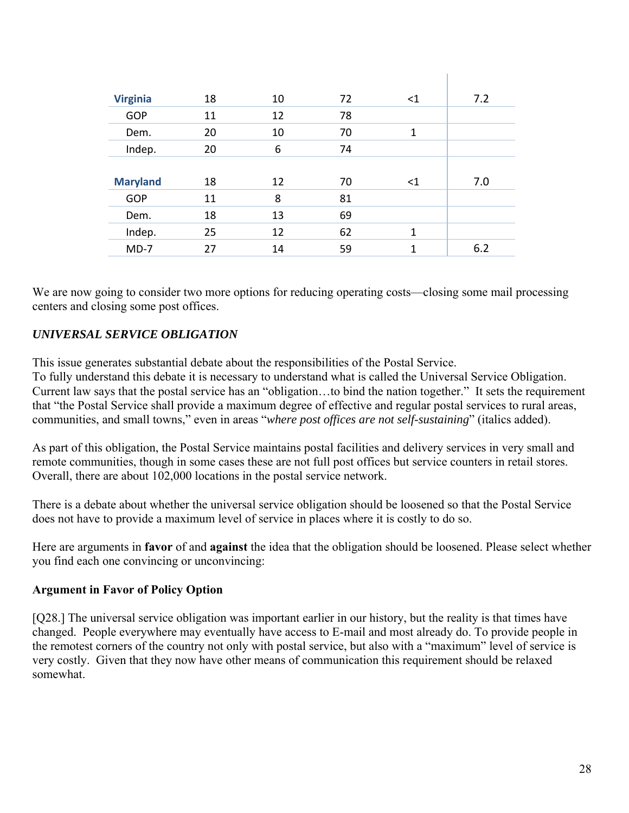| <b>Virginia</b> | 18 | 10 | 72 | $\leq$ 1 | 7.2 |
|-----------------|----|----|----|----------|-----|
| GOP             | 11 | 12 | 78 |          |     |
| Dem.            | 20 | 10 | 70 | 1        |     |
| Indep.          | 20 | 6  | 74 |          |     |
|                 |    |    |    |          |     |
| <b>Maryland</b> | 18 | 12 | 70 | $<$ 1    | 7.0 |
| GOP             | 11 | 8  | 81 |          |     |
| Dem.            | 18 | 13 | 69 |          |     |
| Indep.          | 25 | 12 | 62 | 1        |     |
| $MD-7$          | 27 | 14 | 59 | 1        | 6.2 |

 $\mathbf{L}$ 

We are now going to consider two more options for reducing operating costs—closing some mail processing centers and closing some post offices.

#### *UNIVERSAL SERVICE OBLIGATION*

This issue generates substantial debate about the responsibilities of the Postal Service.

To fully understand this debate it is necessary to understand what is called the Universal Service Obligation. Current law says that the postal service has an "obligation…to bind the nation together." It sets the requirement that "the Postal Service shall provide a maximum degree of effective and regular postal services to rural areas, communities, and small towns," even in areas "*where post offices are not self-sustaining*" (italics added).

As part of this obligation, the Postal Service maintains postal facilities and delivery services in very small and remote communities, though in some cases these are not full post offices but service counters in retail stores. Overall, there are about 102,000 locations in the postal service network.

There is a debate about whether the universal service obligation should be loosened so that the Postal Service does not have to provide a maximum level of service in places where it is costly to do so.

Here are arguments in **favor** of and **against** the idea that the obligation should be loosened. Please select whether you find each one convincing or unconvincing:

#### **Argument in Favor of Policy Option**

[Q28.] The universal service obligation was important earlier in our history, but the reality is that times have changed. People everywhere may eventually have access to E-mail and most already do. To provide people in the remotest corners of the country not only with postal service, but also with a "maximum" level of service is very costly. Given that they now have other means of communication this requirement should be relaxed somewhat.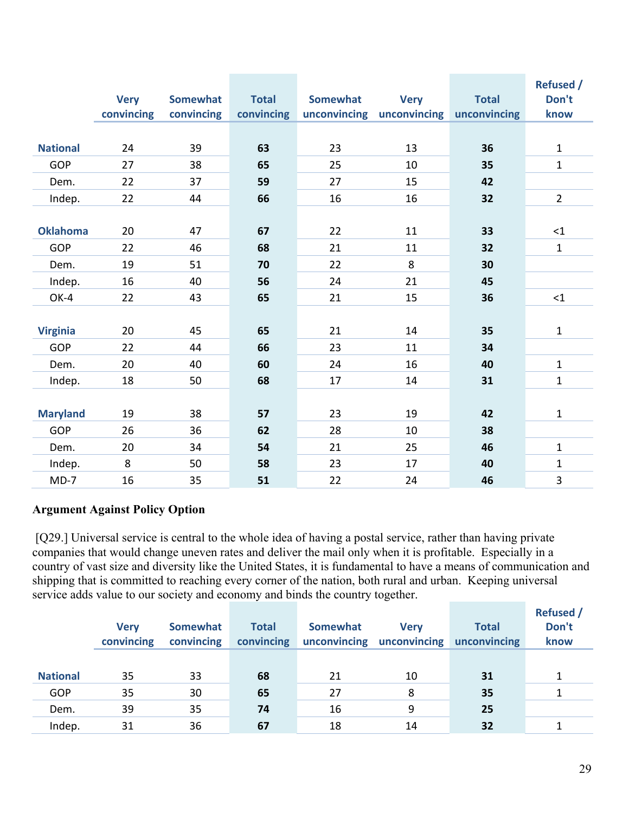|                 | <b>Very</b> | <b>Somewhat</b> | <b>Total</b> | <b>Somewhat</b> | <b>Very</b>               | <b>Total</b> | <b>Refused /</b><br>Don't |
|-----------------|-------------|-----------------|--------------|-----------------|---------------------------|--------------|---------------------------|
|                 | convincing  | convincing      | convincing   |                 | unconvincing unconvincing | unconvincing | know                      |
|                 |             |                 |              |                 |                           |              |                           |
| <b>National</b> | 24          | 39              | 63           | 23              | 13                        | 36           | $\mathbf{1}$              |
| <b>GOP</b>      | 27          | 38              | 65           | 25              | 10                        | 35           | $\mathbf 1$               |
| Dem.            | 22          | 37              | 59           | 27              | 15                        | 42           |                           |
| Indep.          | 22          | 44              | 66           | 16              | 16                        | 32           | $\overline{2}$            |
|                 |             |                 |              |                 |                           |              |                           |
| <b>Oklahoma</b> | 20          | 47              | 67           | 22              | 11                        | 33           | <1                        |
| <b>GOP</b>      | 22          | 46              | 68           | 21              | 11                        | 32           | $\mathbf 1$               |
| Dem.            | 19          | 51              | 70           | 22              | 8                         | 30           |                           |
| Indep.          | 16          | 40              | 56           | 24              | 21                        | 45           |                           |
| OK-4            | 22          | 43              | 65           | 21              | 15                        | 36           | <1                        |
|                 |             |                 |              |                 |                           |              |                           |
| <b>Virginia</b> | 20          | 45              | 65           | 21              | 14                        | 35           | $\mathbf 1$               |
| <b>GOP</b>      | 22          | 44              | 66           | 23              | 11                        | 34           |                           |
| Dem.            | 20          | 40              | 60           | 24              | 16                        | 40           | $\mathbf{1}$              |
| Indep.          | 18          | 50              | 68           | 17              | 14                        | 31           | $\mathbf{1}$              |
|                 |             |                 |              |                 |                           |              |                           |
| <b>Maryland</b> | 19          | 38              | 57           | 23              | 19                        | 42           | $\mathbf{1}$              |
| GOP             | 26          | 36              | 62           | 28              | 10                        | 38           |                           |
| Dem.            | 20          | 34              | 54           | 21              | 25                        | 46           | $\mathbf{1}$              |
| Indep.          | 8           | 50              | 58           | 23              | 17                        | 40           | $\mathbf 1$               |
| $MD-7$          | 16          | 35              | 51           | 22              | 24                        | 46           | 3                         |

### **Argument Against Policy Option**

 [Q29.] Universal service is central to the whole idea of having a postal service, rather than having private companies that would change uneven rates and deliver the mail only when it is profitable. Especially in a country of vast size and diversity like the United States, it is fundamental to have a means of communication and shipping that is committed to reaching every corner of the nation, both rural and urban. Keeping universal service adds value to our society and economy and binds the country together.

|                 |             |            |              |                 |                           |              | <b>Refused</b> / |
|-----------------|-------------|------------|--------------|-----------------|---------------------------|--------------|------------------|
|                 | <b>Verv</b> | Somewhat   | <b>Total</b> | <b>Somewhat</b> | <b>Verv</b>               | <b>Total</b> | Don't            |
|                 | convincing  | convincing | convincing   |                 | unconvincing unconvincing | unconvincing | know             |
|                 |             |            |              |                 |                           |              |                  |
| <b>National</b> | 35          | 33         | 68           | 21              | 10                        | 31           |                  |
| GOP             | 35          | 30         | 65           | 27              | 8                         | 35           |                  |
| Dem.            | 39          | 35         | 74           | 16              | 9                         | 25           |                  |
| Indep.          | 31          | 36         | 67           | 18              | 14                        | 32           |                  |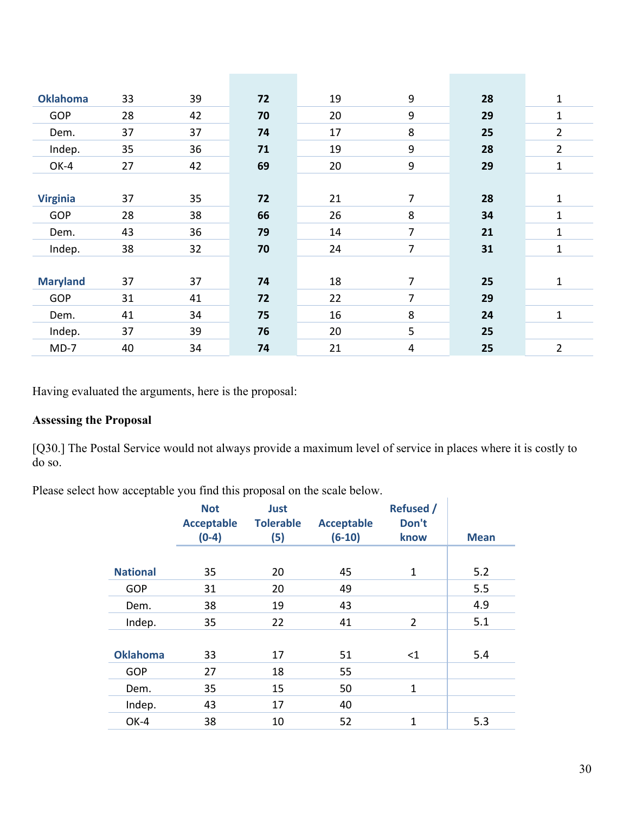| <b>Oklahoma</b> | 33 | 39 | 72 | 19 | 9              | 28 | 1              |
|-----------------|----|----|----|----|----------------|----|----------------|
| <b>GOP</b>      | 28 | 42 | 70 | 20 | 9              | 29 | 1              |
| Dem.            | 37 | 37 | 74 | 17 | 8              | 25 | $\overline{2}$ |
| Indep.          | 35 | 36 | 71 | 19 | 9              | 28 | $\overline{2}$ |
| OK-4            | 27 | 42 | 69 | 20 | 9              | 29 | 1              |
|                 |    |    |    |    |                |    |                |
| <b>Virginia</b> | 37 | 35 | 72 | 21 | $\overline{7}$ | 28 | 1              |
| <b>GOP</b>      | 28 | 38 | 66 | 26 | 8              | 34 | 1              |
| Dem.            | 43 | 36 | 79 | 14 | 7              | 21 | 1              |
| Indep.          | 38 | 32 | 70 | 24 | 7              | 31 | 1              |
|                 |    |    |    |    |                |    |                |
| <b>Maryland</b> | 37 | 37 | 74 | 18 | 7              | 25 | 1              |
| <b>GOP</b>      | 31 | 41 | 72 | 22 | 7              | 29 |                |
| Dem.            | 41 | 34 | 75 | 16 | 8              | 24 | 1              |
| Indep.          | 37 | 39 | 76 | 20 | 5              | 25 |                |
| $MD-7$          | 40 | 34 | 74 | 21 | $\overline{4}$ | 25 | $\overline{2}$ |
|                 |    |    |    |    |                |    |                |

Having evaluated the arguments, here is the proposal:

# **Assessing the Proposal**

[Q30.] The Postal Service would not always provide a maximum level of service in places where it is costly to do so.

 $\mathbf{r}$ 

Please select how acceptable you find this proposal on the scale below.

|                 | <b>Not</b>        | Just             |                   | <b>Refused /</b> |             |
|-----------------|-------------------|------------------|-------------------|------------------|-------------|
|                 | <b>Acceptable</b> | <b>Tolerable</b> | <b>Acceptable</b> | Don't            |             |
|                 | $(0-4)$           | (5)              | $(6-10)$          | know             | <b>Mean</b> |
|                 |                   |                  |                   |                  |             |
| <b>National</b> | 35                | 20               | 45                | $\mathbf{1}$     | 5.2         |
| <b>GOP</b>      | 31                | 20               | 49                |                  | 5.5         |
| Dem.            | 38                | 19               | 43                |                  | 4.9         |
| Indep.          | 35                | 22               | 41                | 2                | 5.1         |
|                 |                   |                  |                   |                  |             |
| <b>Oklahoma</b> | 33                | 17               | 51                | $<$ 1            | 5.4         |
| GOP             | 27                | 18               | 55                |                  |             |
| Dem.            | 35                | 15               | 50                | $\mathbf{1}$     |             |
| Indep.          | 43                | 17               | 40                |                  |             |
| OK-4            | 38                | 10               | 52                | 1                | 5.3         |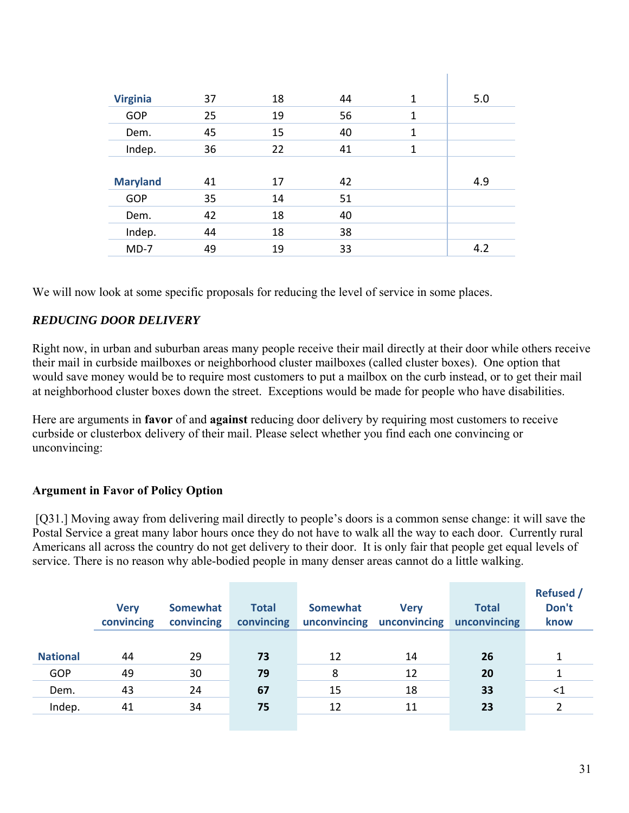| <b>Virginia</b> | 37 | 18 | 44 | $\mathbf{1}$ | 5.0 |
|-----------------|----|----|----|--------------|-----|
| <b>GOP</b>      | 25 | 19 | 56 | $\mathbf{1}$ |     |
| Dem.            | 45 | 15 | 40 | $\mathbf{1}$ |     |
| Indep.          | 36 | 22 | 41 | $\mathbf{1}$ |     |
|                 |    |    |    |              |     |
| <b>Maryland</b> | 41 | 17 | 42 |              | 4.9 |
| GOP             | 35 | 14 | 51 |              |     |
| Dem.            | 42 | 18 | 40 |              |     |
| Indep.          | 44 | 18 | 38 |              |     |
| $MD-7$          | 49 | 19 | 33 |              | 4.2 |

We will now look at some specific proposals for reducing the level of service in some places.

# *REDUCING DOOR DELIVERY*

Right now, in urban and suburban areas many people receive their mail directly at their door while others receive their mail in curbside mailboxes or neighborhood cluster mailboxes (called cluster boxes). One option that would save money would be to require most customers to put a mailbox on the curb instead, or to get their mail at neighborhood cluster boxes down the street. Exceptions would be made for people who have disabilities.

Here are arguments in **favor** of and **against** reducing door delivery by requiring most customers to receive curbside or clusterbox delivery of their mail. Please select whether you find each one convincing or unconvincing:

# **Argument in Favor of Policy Option**

 [Q31.] Moving away from delivering mail directly to people's doors is a common sense change: it will save the Postal Service a great many labor hours once they do not have to walk all the way to each door. Currently rural Americans all across the country do not get delivery to their door. It is only fair that people get equal levels of service. There is no reason why able-bodied people in many denser areas cannot do a little walking.

|                 | <b>Very</b><br>convincing | Somewhat<br>convincing | <b>Total</b><br>convincing | <b>Somewhat</b><br>unconvincing | <b>Very</b><br>unconvincing | <b>Total</b><br>unconvincing | <b>Refused</b> /<br>Don't<br>know |
|-----------------|---------------------------|------------------------|----------------------------|---------------------------------|-----------------------------|------------------------------|-----------------------------------|
| <b>National</b> | 44                        | 29                     | 73                         | 12                              | 14                          | 26                           |                                   |
| GOP             | 49                        | 30                     | 79                         | 8                               | 12                          | 20                           |                                   |
| Dem.            | 43                        | 24                     | 67                         | 15                              | 18                          | 33                           | $<$ 1                             |
| Indep.          | 41                        | 34                     | 75                         | 12                              | 11                          | 23                           |                                   |
|                 |                           |                        |                            |                                 |                             |                              |                                   |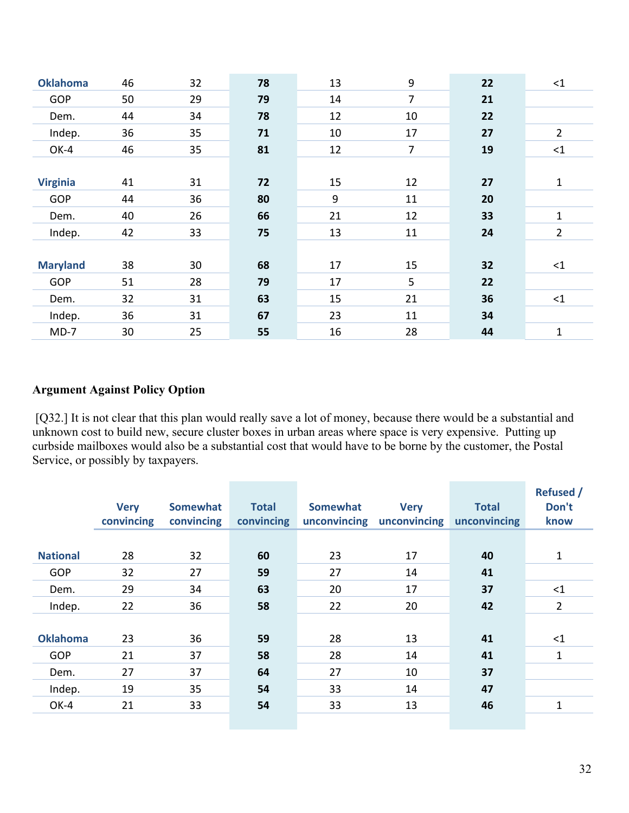| <b>Oklahoma</b> | 46 | 32 | 78 | 13 | 9              | 22 | $\leq$ 1       |
|-----------------|----|----|----|----|----------------|----|----------------|
| <b>GOP</b>      | 50 | 29 | 79 | 14 | $\overline{7}$ | 21 |                |
| Dem.            | 44 | 34 | 78 | 12 | 10             | 22 |                |
| Indep.          | 36 | 35 | 71 | 10 | 17             | 27 | $\overline{2}$ |
| OK-4            | 46 | 35 | 81 | 12 | $\overline{7}$ | 19 | $\leq$ 1       |
|                 |    |    |    |    |                |    |                |
| <b>Virginia</b> | 41 | 31 | 72 | 15 | 12             | 27 | 1              |
| <b>GOP</b>      | 44 | 36 | 80 | 9  | 11             | 20 |                |
| Dem.            | 40 | 26 | 66 | 21 | 12             | 33 | 1              |
| Indep.          | 42 | 33 | 75 | 13 | 11             | 24 | $\overline{2}$ |
|                 |    |    |    |    |                |    |                |
| <b>Maryland</b> | 38 | 30 | 68 | 17 | 15             | 32 | $\leq$ 1       |
| GOP             | 51 | 28 | 79 | 17 | 5              | 22 |                |
| Dem.            | 32 | 31 | 63 | 15 | 21             | 36 | $\leq$ 1       |
| Indep.          | 36 | 31 | 67 | 23 | 11             | 34 |                |
| $MD-7$          | 30 | 25 | 55 | 16 | 28             | 44 | 1              |
|                 |    |    |    |    |                |    |                |

#### **Argument Against Policy Option**

[Q32.] It is not clear that this plan would really save a lot of money, because there would be a substantial and unknown cost to build new, secure cluster boxes in urban areas where space is very expensive. Putting up curbside mailboxes would also be a substantial cost that would have to be borne by the customer, the Postal Service, or possibly by taxpayers.

|                 | <b>Very</b><br>convincing | <b>Somewhat</b><br>convincing | <b>Total</b><br>convincing | <b>Somewhat</b><br>unconvincing | <b>Very</b><br>unconvincing | <b>Total</b><br>unconvincing | <b>Refused /</b><br>Don't<br>know |
|-----------------|---------------------------|-------------------------------|----------------------------|---------------------------------|-----------------------------|------------------------------|-----------------------------------|
|                 |                           |                               |                            |                                 |                             |                              |                                   |
| <b>National</b> | 28                        | 32                            | 60                         | 23                              | 17                          | 40                           | $\mathbf{1}$                      |
| GOP             | 32                        | 27                            | 59                         | 27                              | 14                          | 41                           |                                   |
| Dem.            | 29                        | 34                            | 63                         | 20                              | 17                          | 37                           | $<$ 1                             |
| Indep.          | 22                        | 36                            | 58                         | 22                              | 20                          | 42                           | 2                                 |
|                 |                           |                               |                            |                                 |                             |                              |                                   |
| <b>Oklahoma</b> | 23                        | 36                            | 59                         | 28                              | 13                          | 41                           | $\leq$ 1                          |
| GOP             | 21                        | 37                            | 58                         | 28                              | 14                          | 41                           | $\mathbf{1}$                      |
| Dem.            | 27                        | 37                            | 64                         | 27                              | 10                          | 37                           |                                   |
| Indep.          | 19                        | 35                            | 54                         | 33                              | 14                          | 47                           |                                   |
| OK-4            | 21                        | 33                            | 54                         | 33                              | 13                          | 46                           | $\mathbf{1}$                      |
|                 |                           |                               |                            |                                 |                             |                              |                                   |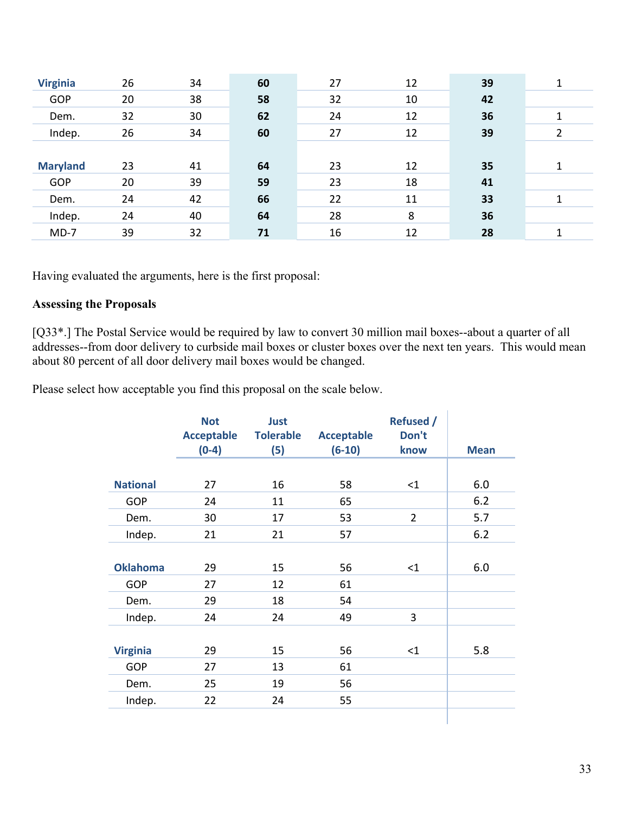| <b>Virginia</b> | 26 | 34 | 60 | 27 | 12 | 39 |  |
|-----------------|----|----|----|----|----|----|--|
| GOP             | 20 | 38 | 58 | 32 | 10 | 42 |  |
| Dem.            | 32 | 30 | 62 | 24 | 12 | 36 |  |
| Indep.          | 26 | 34 | 60 | 27 | 12 | 39 |  |
|                 |    |    |    |    |    |    |  |
| <b>Maryland</b> | 23 | 41 | 64 | 23 | 12 | 35 |  |
| <b>GOP</b>      | 20 | 39 | 59 | 23 | 18 | 41 |  |
| Dem.            | 24 | 42 | 66 | 22 | 11 | 33 |  |
| Indep.          | 24 | 40 | 64 | 28 | 8  | 36 |  |
| $MD-7$          | 39 | 32 | 71 | 16 | 12 | 28 |  |

Having evaluated the arguments, here is the first proposal:

#### **Assessing the Proposals**

[Q33\*.] The Postal Service would be required by law to convert 30 million mail boxes--about a quarter of all addresses--from door delivery to curbside mail boxes or cluster boxes over the next ten years. This would mean about 80 percent of all door delivery mail boxes would be changed.

Please select how acceptable you find this proposal on the scale below.

|                 | <b>Not</b><br><b>Acceptable</b><br>$(0-4)$ | Just<br><b>Tolerable</b><br>(5) | <b>Acceptable</b><br>$(6-10)$ | <b>Refused /</b><br>Don't<br>know | <b>Mean</b> |
|-----------------|--------------------------------------------|---------------------------------|-------------------------------|-----------------------------------|-------------|
|                 |                                            |                                 |                               |                                   |             |
| <b>National</b> | 27                                         | 16                              | 58                            | $\leq$ 1                          | 6.0         |
| GOP             | 24                                         | 11                              | 65                            |                                   | 6.2         |
| Dem.            | 30                                         | 17                              | 53                            | $\overline{2}$                    | 5.7         |
| Indep.          | 21                                         | 21                              | 57                            |                                   | 6.2         |
|                 |                                            |                                 |                               |                                   |             |
| <b>Oklahoma</b> | 29                                         | 15                              | 56                            | $<$ 1                             | 6.0         |
| <b>GOP</b>      | 27                                         | 12                              | 61                            |                                   |             |
| Dem.            | 29                                         | 18                              | 54                            |                                   |             |
| Indep.          | 24                                         | 24                              | 49                            | 3                                 |             |
|                 |                                            |                                 |                               |                                   |             |
| <b>Virginia</b> | 29                                         | 15                              | 56                            | $\leq$ 1                          | 5.8         |
| <b>GOP</b>      | 27                                         | 13                              | 61                            |                                   |             |
| Dem.            | 25                                         | 19                              | 56                            |                                   |             |
| Indep.          | 22                                         | 24                              | 55                            |                                   |             |
|                 |                                            |                                 |                               |                                   |             |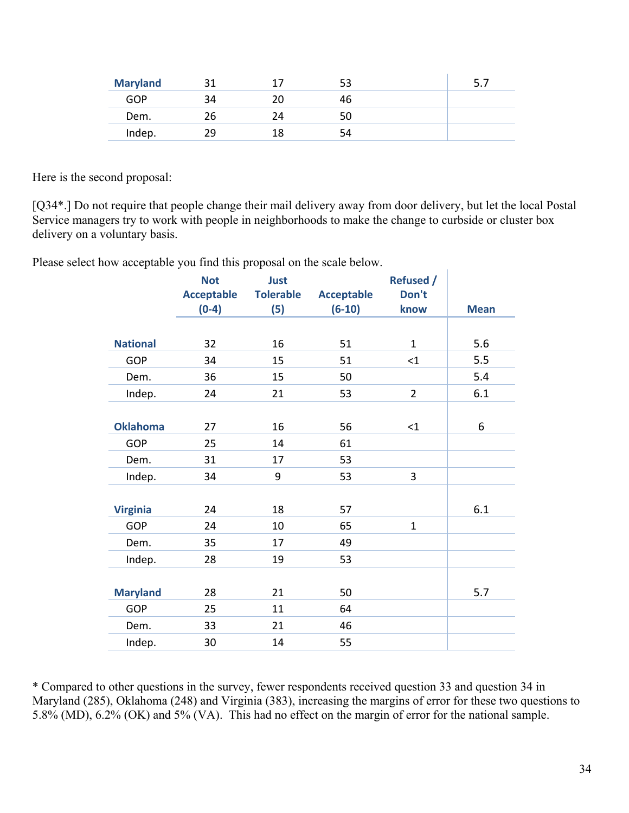| <b>Maryland</b> |     |    |  |
|-----------------|-----|----|--|
| GOP             |     | 46 |  |
| Dem.            | ገ6. | 50 |  |
| Indep.          | າ໑  | 54 |  |

Here is the second proposal:

[Q34\*.] Do not require that people change their mail delivery away from door delivery, but let the local Postal Service managers try to work with people in neighborhoods to make the change to curbside or cluster box delivery on a voluntary basis.

Please select how acceptable you find this proposal on the scale below.

|                 | <b>Not</b><br><b>Acceptable</b><br>$(0-4)$ | Just<br><b>Tolerable</b> | <b>Acceptable</b><br>$(6-10)$ | <b>Refused /</b><br>Don't<br>know | <b>Mean</b> |
|-----------------|--------------------------------------------|--------------------------|-------------------------------|-----------------------------------|-------------|
|                 |                                            | (5)                      |                               |                                   |             |
| <b>National</b> | 32                                         | 16                       | 51                            | $\mathbf{1}$                      | 5.6         |
|                 |                                            |                          |                               |                                   |             |
| GOP             | 34                                         | 15                       | 51                            | $<$ 1                             | 5.5         |
| Dem.            | 36                                         | 15                       | 50                            |                                   | 5.4         |
| Indep.          | 24                                         | 21                       | 53                            | $\overline{2}$                    | 6.1         |
|                 |                                            |                          |                               |                                   |             |
| <b>Oklahoma</b> | 27                                         | 16                       | 56                            | <1                                | 6           |
| GOP             | 25                                         | 14                       | 61                            |                                   |             |
| Dem.            | 31                                         | 17                       | 53                            |                                   |             |
| Indep.          | 34                                         | 9                        | 53                            | 3                                 |             |
|                 |                                            |                          |                               |                                   |             |
| <b>Virginia</b> | 24                                         | 18                       | 57                            |                                   | 6.1         |
| <b>GOP</b>      | 24                                         | 10                       | 65                            | $\mathbf{1}$                      |             |
| Dem.            | 35                                         | 17                       | 49                            |                                   |             |
| Indep.          | 28                                         | 19                       | 53                            |                                   |             |
|                 |                                            |                          |                               |                                   |             |
| <b>Maryland</b> | 28                                         | 21                       | 50                            |                                   | 5.7         |
| <b>GOP</b>      | 25                                         | 11                       | 64                            |                                   |             |
| Dem.            | 33                                         | 21                       | 46                            |                                   |             |
| Indep.          | 30                                         | 14                       | 55                            |                                   |             |

\* Compared to other questions in the survey, fewer respondents received question 33 and question 34 in Maryland (285), Oklahoma (248) and Virginia (383), increasing the margins of error for these two questions to 5.8% (MD), 6.2% (OK) and 5% (VA). This had no effect on the margin of error for the national sample.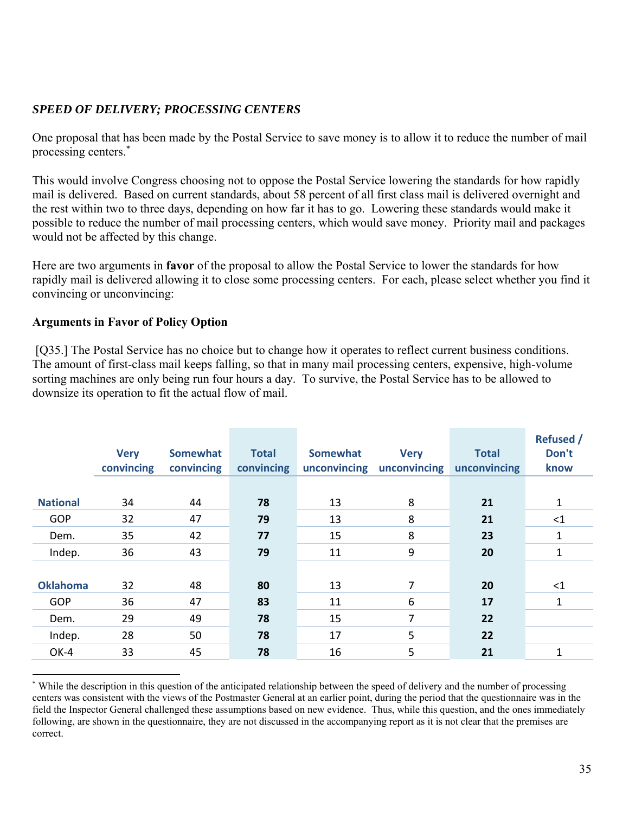# *SPEED OF DELIVERY; PROCESSING CENTERS*

One proposal that has been made by the Postal Service to save money is to allow it to reduce the number of mail processing centers.\*

This would involve Congress choosing not to oppose the Postal Service lowering the standards for how rapidly mail is delivered. Based on current standards, about 58 percent of all first class mail is delivered overnight and the rest within two to three days, depending on how far it has to go. Lowering these standards would make it possible to reduce the number of mail processing centers, which would save money. Priority mail and packages would not be affected by this change.

Here are two arguments in **favor** of the proposal to allow the Postal Service to lower the standards for how rapidly mail is delivered allowing it to close some processing centers. For each, please select whether you find it convincing or unconvincing:

#### **Arguments in Favor of Policy Option**

 $\overline{a}$ 

[Q35.] The Postal Service has no choice but to change how it operates to reflect current business conditions. The amount of first-class mail keeps falling, so that in many mail processing centers, expensive, high-volume sorting machines are only being run four hours a day. To survive, the Postal Service has to be allowed to downsize its operation to fit the actual flow of mail.

|                 | <b>Very</b><br>convincing | <b>Somewhat</b><br>convincing | <b>Total</b><br>convincing | <b>Somewhat</b><br>unconvincing | <b>Very</b><br>unconvincing | <b>Total</b><br>unconvincing | <b>Refused /</b><br>Don't<br>know |
|-----------------|---------------------------|-------------------------------|----------------------------|---------------------------------|-----------------------------|------------------------------|-----------------------------------|
| <b>National</b> | 34                        | 44                            | 78                         | 13                              | 8                           | 21                           | 1                                 |
| <b>GOP</b>      | 32                        | 47                            | 79                         | 13                              | 8                           | 21                           | <1                                |
| Dem.            | 35                        | 42                            | 77                         | 15                              | 8                           | 23                           | 1                                 |
| Indep.          | 36                        | 43                            | 79                         | 11                              | 9                           | 20                           | 1                                 |
|                 |                           |                               |                            |                                 |                             |                              |                                   |
| <b>Oklahoma</b> | 32                        | 48                            | 80                         | 13                              | 7                           | 20                           | $<$ 1                             |
| <b>GOP</b>      | 36                        | 47                            | 83                         | 11                              | 6                           | 17                           | 1                                 |
| Dem.            | 29                        | 49                            | 78                         | 15                              | 7                           | 22                           |                                   |
| Indep.          | 28                        | 50                            | 78                         | 17                              | 5                           | 22                           |                                   |
| OK-4            | 33                        | 45                            | 78                         | 16                              | 5                           | 21                           | 1                                 |

<sup>\*</sup> While the description in this question of the anticipated relationship between the speed of delivery and the number of processing centers was consistent with the views of the Postmaster General at an earlier point, during the period that the questionnaire was in the field the Inspector General challenged these assumptions based on new evidence. Thus, while this question, and the ones immediately following, are shown in the questionnaire, they are not discussed in the accompanying report as it is not clear that the premises are correct.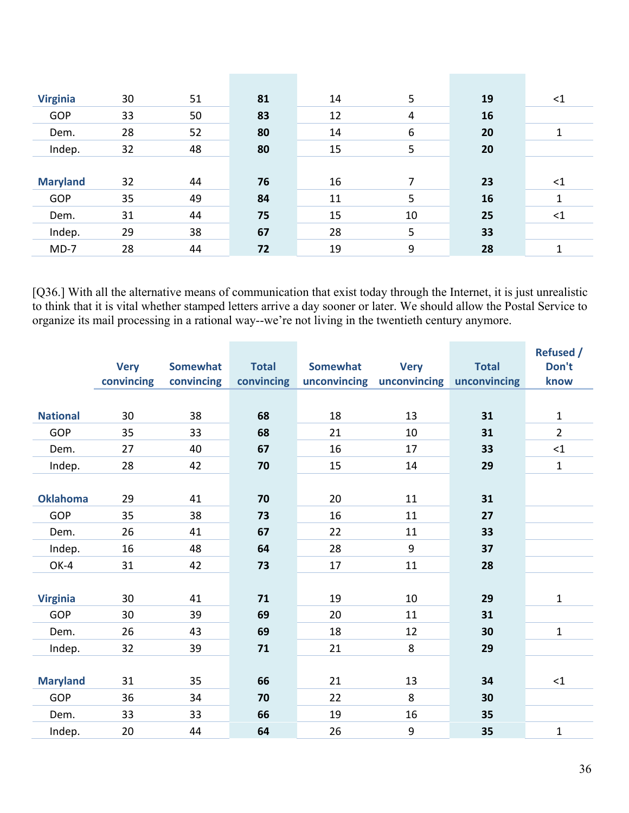| <b>Virginia</b> | 30 | 51 | 81 | 14 | 5              | 19 | $<$ 1 |
|-----------------|----|----|----|----|----------------|----|-------|
| <b>GOP</b>      | 33 | 50 | 83 | 12 | $\overline{4}$ | 16 |       |
| Dem.            | 28 | 52 | 80 | 14 | 6              | 20 | 1     |
| Indep.          | 32 | 48 | 80 | 15 | 5              | 20 |       |
|                 |    |    |    |    |                |    |       |
| <b>Maryland</b> | 32 | 44 | 76 | 16 | 7              | 23 | $<$ 1 |
| <b>GOP</b>      | 35 | 49 | 84 | 11 | 5              | 16 | 1     |
| Dem.            | 31 | 44 | 75 | 15 | 10             | 25 | $<$ 1 |
| Indep.          | 29 | 38 | 67 | 28 | 5              | 33 |       |
| $MD-7$          | 28 | 44 | 72 | 19 | 9              | 28 | 1     |

[Q36.] With all the alternative means of communication that exist today through the Internet, it is just unrealistic to think that it is vital whether stamped letters arrive a day sooner or later. We should allow the Postal Service to organize its mail processing in a rational way--we're not living in the twentieth century anymore.

|                 |             |                 |              |                 |              |              | <b>Refused /</b> |
|-----------------|-------------|-----------------|--------------|-----------------|--------------|--------------|------------------|
|                 | <b>Very</b> | <b>Somewhat</b> | <b>Total</b> | <b>Somewhat</b> | <b>Very</b>  | <b>Total</b> | Don't            |
|                 | convincing  | convincing      | convincing   | unconvincing    | unconvincing | unconvincing | know             |
|                 |             |                 |              |                 |              |              |                  |
| <b>National</b> | 30          | 38              | 68           | 18              | 13           | 31           | $\mathbf{1}$     |
| GOP             | 35          | 33              | 68           | 21              | 10           | 31           | $\overline{2}$   |
| Dem.            | 27          | 40              | 67           | 16              | 17           | 33           | $\leq 1$         |
| Indep.          | 28          | 42              | 70           | 15              | 14           | 29           | $\mathbf{1}$     |
|                 |             |                 |              |                 |              |              |                  |
| <b>Oklahoma</b> | 29          | 41              | 70           | 20              | 11           | 31           |                  |
| GOP             | 35          | 38              | 73           | 16              | 11           | 27           |                  |
| Dem.            | 26          | 41              | 67           | 22              | 11           | 33           |                  |
| Indep.          | 16          | 48              | 64           | 28              | 9            | 37           |                  |
| OK-4            | 31          | 42              | 73           | 17              | 11           | 28           |                  |
|                 |             |                 |              |                 |              |              |                  |
| <b>Virginia</b> | 30          | 41              | 71           | 19              | 10           | 29           | $\mathbf 1$      |
| GOP             | 30          | 39              | 69           | 20              | 11           | 31           |                  |
| Dem.            | 26          | 43              | 69           | 18              | 12           | 30           | $\mathbf{1}$     |
| Indep.          | 32          | 39              | 71           | 21              | 8            | 29           |                  |
|                 |             |                 |              |                 |              |              |                  |
| <b>Maryland</b> | 31          | 35              | 66           | 21              | 13           | 34           | $\leq$ 1         |
| GOP             | 36          | 34              | 70           | 22              | 8            | 30           |                  |
| Dem.            | 33          | 33              | 66           | 19              | 16           | 35           |                  |
| Indep.          | 20          | 44              | 64           | 26              | 9            | 35           | $\mathbf 1$      |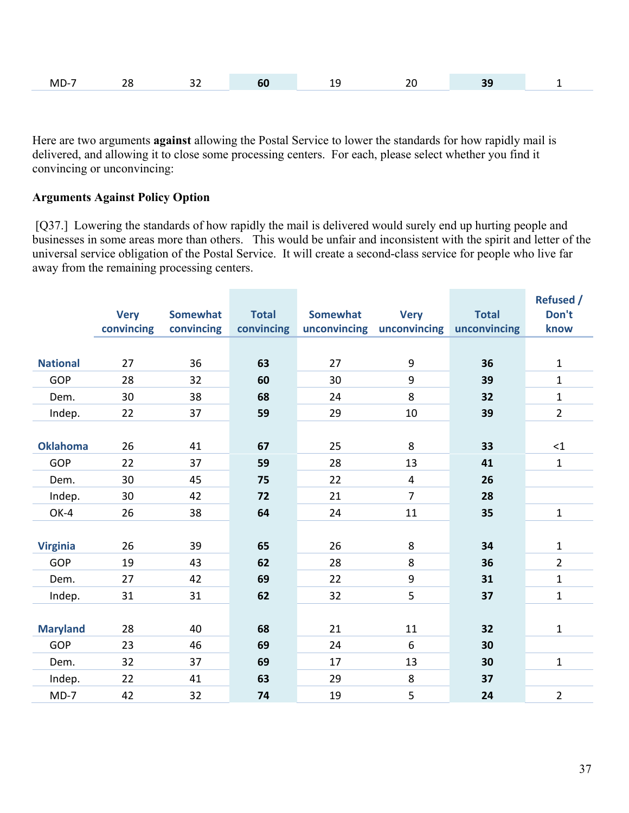| M | $-$ | $\sim$ $\sim$ |  | $\sim$ |  |
|---|-----|---------------|--|--------|--|
|   |     |               |  |        |  |

Here are two arguments **against** allowing the Postal Service to lower the standards for how rapidly mail is delivered, and allowing it to close some processing centers. For each, please select whether you find it convincing or unconvincing:

#### **Arguments Against Policy Option**

[Q37.] Lowering the standards of how rapidly the mail is delivered would surely end up hurting people and businesses in some areas more than others. This would be unfair and inconsistent with the spirit and letter of the universal service obligation of the Postal Service. It will create a second-class service for people who live far away from the remaining processing centers.

|                 |             |                 |              |                 |                           |              | <b>Refused /</b> |
|-----------------|-------------|-----------------|--------------|-----------------|---------------------------|--------------|------------------|
|                 | <b>Very</b> | <b>Somewhat</b> | <b>Total</b> | <b>Somewhat</b> | <b>Very</b>               | <b>Total</b> | Don't            |
|                 | convincing  | convincing      | convincing   |                 | unconvincing unconvincing | unconvincing | know             |
|                 |             |                 |              |                 |                           |              |                  |
| <b>National</b> | 27          | 36              | 63           | 27              | 9                         | 36           | $\mathbf 1$      |
| GOP             | 28          | 32              | 60           | 30              | 9                         | 39           | $\mathbf{1}$     |
| Dem.            | 30          | 38              | 68           | 24              | 8                         | 32           | $\mathbf{1}$     |
| Indep.          | 22          | 37              | 59           | 29              | 10                        | 39           | $\overline{2}$   |
|                 |             |                 |              |                 |                           |              |                  |
| <b>Oklahoma</b> | 26          | 41              | 67           | 25              | 8                         | 33           | <1               |
| GOP             | 22          | 37              | 59           | 28              | 13                        | 41           | $\mathbf{1}$     |
| Dem.            | 30          | 45              | 75           | 22              | $\overline{4}$            | 26           |                  |
| Indep.          | 30          | 42              | 72           | 21              | $\overline{7}$            | 28           |                  |
| OK-4            | 26          | 38              | 64           | 24              | 11                        | 35           | $\mathbf{1}$     |
|                 |             |                 |              |                 |                           |              |                  |
| <b>Virginia</b> | 26          | 39              | 65           | 26              | 8                         | 34           | $\mathbf{1}$     |
| GOP             | 19          | 43              | 62           | 28              | 8                         | 36           | $\overline{2}$   |
| Dem.            | 27          | 42              | 69           | 22              | 9                         | 31           | $\mathbf{1}$     |
| Indep.          | 31          | 31              | 62           | 32              | 5                         | 37           | $\mathbf{1}$     |
|                 |             |                 |              |                 |                           |              |                  |
| <b>Maryland</b> | 28          | 40              | 68           | 21              | 11                        | 32           | 1                |
| GOP             | 23          | 46              | 69           | 24              | 6                         | 30           |                  |
| Dem.            | 32          | 37              | 69           | 17              | 13                        | 30           | $\mathbf{1}$     |
| Indep.          | 22          | 41              | 63           | 29              | 8                         | 37           |                  |
| $MD-7$          | 42          | 32              | 74           | 19              | 5                         | 24           | $\overline{2}$   |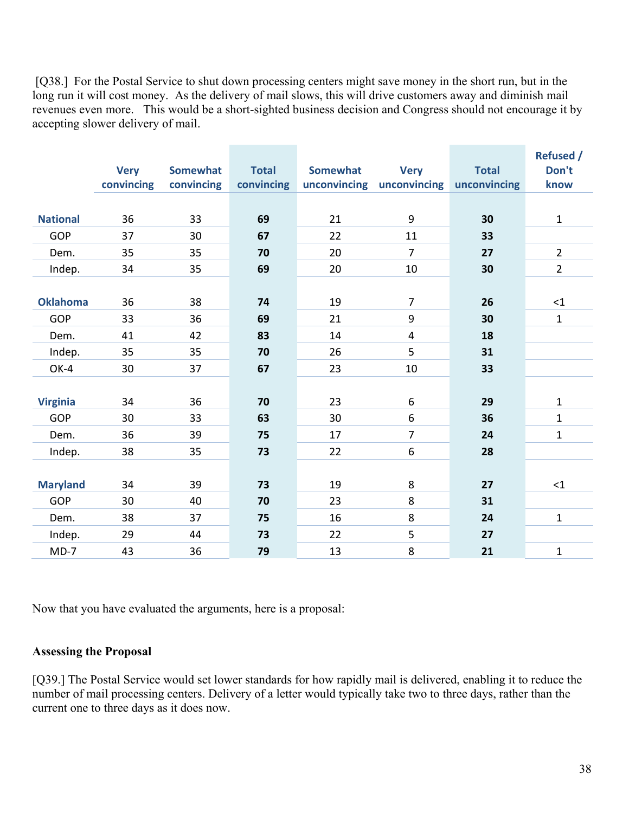[Q38.] For the Postal Service to shut down processing centers might save money in the short run, but in the long run it will cost money. As the delivery of mail slows, this will drive customers away and diminish mail revenues even more. This would be a short-sighted business decision and Congress should not encourage it by accepting slower delivery of mail.

|                 | <b>Very</b> | <b>Somewhat</b> | <b>Total</b> | <b>Somewhat</b> | <b>Very</b>               | <b>Total</b> | <b>Refused /</b><br>Don't |
|-----------------|-------------|-----------------|--------------|-----------------|---------------------------|--------------|---------------------------|
|                 | convincing  | convincing      | convincing   |                 | unconvincing unconvincing | unconvincing | know                      |
|                 |             |                 |              |                 |                           |              |                           |
| <b>National</b> | 36          | 33              | 69           | 21              | 9                         | 30           | $\mathbf{1}$              |
| <b>GOP</b>      | 37          | 30              | 67           | 22              | 11                        | 33           |                           |
| Dem.            | 35          | 35              | 70           | 20              | $\overline{7}$            | 27           | $\overline{2}$            |
| Indep.          | 34          | 35              | 69           | 20              | 10                        | 30           | $\overline{2}$            |
|                 |             |                 |              |                 |                           |              |                           |
| <b>Oklahoma</b> | 36          | 38              | 74           | 19              | $\overline{7}$            | 26           | <1                        |
| <b>GOP</b>      | 33          | 36              | 69           | 21              | 9                         | 30           | $\mathbf{1}$              |
| Dem.            | 41          | 42              | 83           | 14              | $\overline{\mathbf{4}}$   | 18           |                           |
| Indep.          | 35          | 35              | 70           | 26              | 5                         | 31           |                           |
| OK-4            | 30          | 37              | 67           | 23              | 10                        | 33           |                           |
|                 |             |                 |              |                 |                           |              |                           |
| <b>Virginia</b> | 34          | 36              | 70           | 23              | 6                         | 29           | $\mathbf{1}$              |
| <b>GOP</b>      | 30          | 33              | 63           | 30              | 6                         | 36           | $\mathbf{1}$              |
| Dem.            | 36          | 39              | 75           | 17              | $\overline{7}$            | 24           | $\mathbf{1}$              |
| Indep.          | 38          | 35              | 73           | 22              | 6                         | 28           |                           |
|                 |             |                 |              |                 |                           |              |                           |
| <b>Maryland</b> | 34          | 39              | 73           | 19              | 8                         | 27           | <1                        |
| GOP             | 30          | 40              | 70           | 23              | 8                         | 31           |                           |
| Dem.            | 38          | 37              | 75           | 16              | 8                         | 24           | $\mathbf{1}$              |
| Indep.          | 29          | 44              | 73           | 22              | 5                         | 27           |                           |
| $MD-7$          | 43          | 36              | 79           | 13              | 8                         | 21           | $\mathbf 1$               |

Now that you have evaluated the arguments, here is a proposal:

#### **Assessing the Proposal**

[Q39.] The Postal Service would set lower standards for how rapidly mail is delivered, enabling it to reduce the number of mail processing centers. Delivery of a letter would typically take two to three days, rather than the current one to three days as it does now.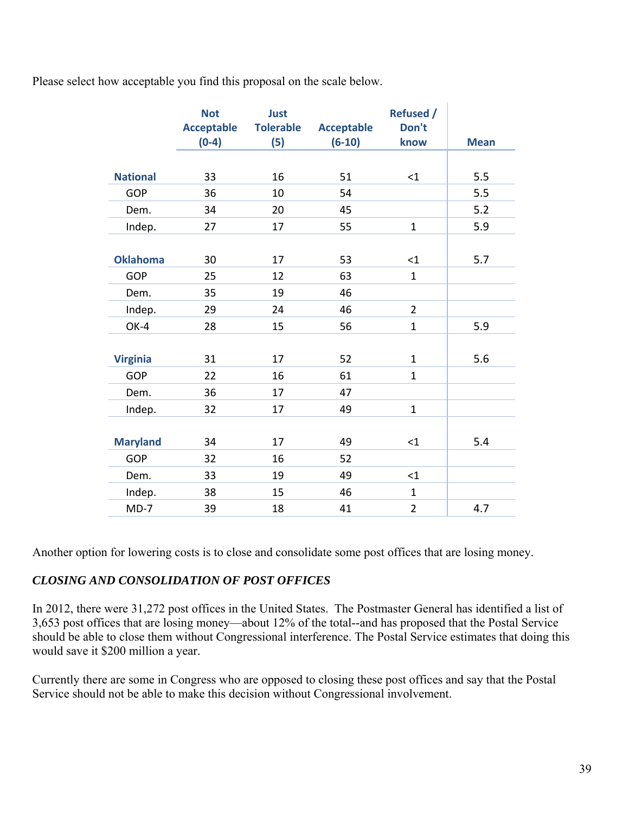Please select how acceptable you find this proposal on the scale below.

|                 | <b>Not</b>        | Just             |                   | <b>Refused /</b> |             |
|-----------------|-------------------|------------------|-------------------|------------------|-------------|
|                 | <b>Acceptable</b> | <b>Tolerable</b> | <b>Acceptable</b> | Don't            |             |
|                 | $(0-4)$           | (5)              | $(6-10)$          | know             | <b>Mean</b> |
|                 |                   |                  |                   |                  |             |
| <b>National</b> | 33                | 16               | 51                | <1               | 5.5         |
| GOP             | 36                | 10               | 54                |                  | 5.5         |
| Dem.            | 34                | 20               | 45                |                  | 5.2         |
| Indep.          | 27                | 17               | 55                | $\overline{1}$   | 5.9         |
|                 |                   |                  |                   |                  |             |
| <b>Oklahoma</b> | 30                | 17               | 53                | $<$ 1            | 5.7         |
| GOP             | 25                | 12               | 63                | $\mathbf 1$      |             |
| Dem.            | 35                | 19               | 46                |                  |             |
| Indep.          | 29                | 24               | 46                | $\overline{2}$   |             |
| OK-4            | 28                | 15               | 56                | $\mathbf{1}$     | 5.9         |
|                 |                   |                  |                   |                  |             |
| <b>Virginia</b> | 31                | 17               | 52                | $\mathbf{1}$     | 5.6         |
| <b>GOP</b>      | 22                | 16               | 61                | $\mathbf{1}$     |             |
| Dem.            | 36                | 17               | 47                |                  |             |
| Indep.          | 32                | 17               | 49                | $\mathbf{1}$     |             |
|                 |                   |                  |                   |                  |             |
| <b>Maryland</b> | 34                | 17               | 49                | $<$ 1            | 5.4         |
| <b>GOP</b>      | 32                | 16               | 52                |                  |             |
| Dem.            | 33                | 19               | 49                | $\leq 1$         |             |
| Indep.          | 38                | 15               | 46                | $\mathbf{1}$     |             |
| $MD-7$          | 39                | 18               | 41                | $\overline{2}$   | 4.7         |

Another option for lowering costs is to close and consolidate some post offices that are losing money.

#### *CLOSING AND CONSOLIDATION OF POST OFFICES*

In 2012, there were 31,272 post offices in the United States. The Postmaster General has identified a list of 3,653 post offices that are losing money—about 12% of the total--and has proposed that the Postal Service should be able to close them without Congressional interference. The Postal Service estimates that doing this would save it \$200 million a year.

Currently there are some in Congress who are opposed to closing these post offices and say that the Postal Service should not be able to make this decision without Congressional involvement.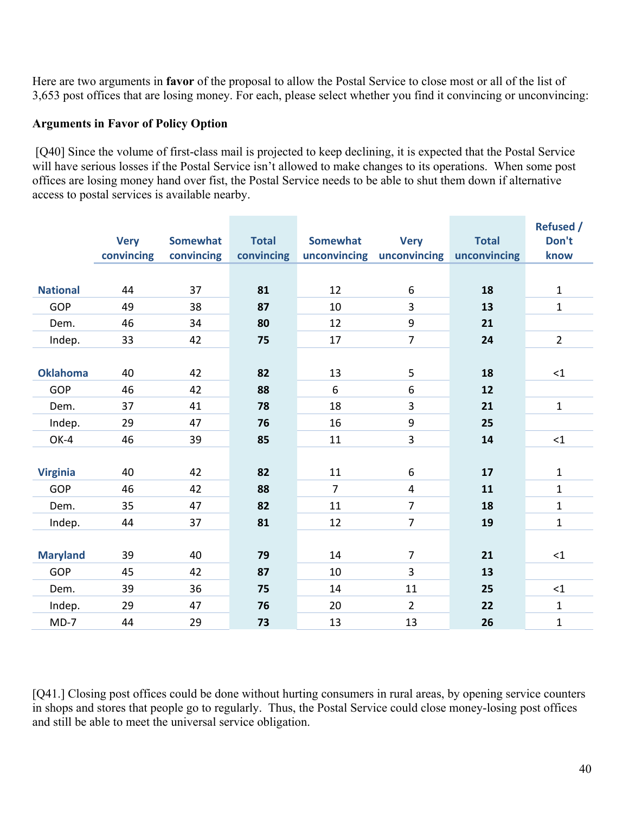Here are two arguments in **favor** of the proposal to allow the Postal Service to close most or all of the list of 3,653 post offices that are losing money. For each, please select whether you find it convincing or unconvincing:

#### **Arguments in Favor of Policy Option**

 [Q40] Since the volume of first-class mail is projected to keep declining, it is expected that the Postal Service will have serious losses if the Postal Service isn't allowed to make changes to its operations. When some post offices are losing money hand over fist, the Postal Service needs to be able to shut them down if alternative access to postal services is available nearby.

|                 | <b>Very</b> | <b>Somewhat</b> | <b>Total</b> | <b>Somewhat</b> | <b>Very</b>             | <b>Total</b> | <b>Refused /</b><br>Don't |
|-----------------|-------------|-----------------|--------------|-----------------|-------------------------|--------------|---------------------------|
|                 | convincing  | convincing      | convincing   | unconvincing    | unconvincing            | unconvincing | know                      |
|                 |             |                 |              |                 |                         |              |                           |
| <b>National</b> | 44          | 37              | 81           | 12              | 6                       | 18           | $\mathbf{1}$              |
| <b>GOP</b>      | 49          | 38              | 87           | 10              | 3                       | 13           | $\mathbf{1}$              |
| Dem.            | 46          | 34              | 80           | 12              | $\boldsymbol{9}$        | 21           |                           |
| Indep.          | 33          | 42              | 75           | 17              | $\overline{7}$          | 24           | $\overline{2}$            |
|                 |             |                 |              |                 |                         |              |                           |
| <b>Oklahoma</b> | 40          | 42              | 82           | 13              | 5                       | 18           | $\leq$ 1                  |
| GOP             | 46          | 42              | 88           | 6               | 6                       | 12           |                           |
| Dem.            | 37          | 41              | 78           | 18              | 3                       | 21           | $\mathbf{1}$              |
| Indep.          | 29          | 47              | 76           | 16              | $\boldsymbol{9}$        | 25           |                           |
| OK-4            | 46          | 39              | 85           | 11              | 3                       | 14           | $\leq$ 1                  |
|                 |             |                 |              |                 |                         |              |                           |
| <b>Virginia</b> | 40          | 42              | 82           | 11              | $\boldsymbol{6}$        | 17           | $\mathbf{1}$              |
| <b>GOP</b>      | 46          | 42              | 88           | $\overline{7}$  | $\overline{\mathbf{4}}$ | 11           | $\mathbf{1}$              |
| Dem.            | 35          | 47              | 82           | 11              | $\overline{7}$          | 18           | $\mathbf{1}$              |
| Indep.          | 44          | 37              | 81           | 12              | $\overline{7}$          | 19           | $\mathbf 1$               |
|                 |             |                 |              |                 |                         |              |                           |
| <b>Maryland</b> | 39          | 40              | 79           | 14              | $\overline{7}$          | 21           | <1                        |
| GOP             | 45          | 42              | 87           | 10              | 3                       | 13           |                           |
| Dem.            | 39          | 36              | 75           | 14              | 11                      | 25           | <1                        |
| Indep.          | 29          | 47              | 76           | 20              | $\overline{2}$          | 22           | $\mathbf{1}$              |
| $MD-7$          | 44          | 29              | 73           | 13              | 13                      | 26           | $\mathbf{1}$              |

[Q41.] Closing post offices could be done without hurting consumers in rural areas, by opening service counters in shops and stores that people go to regularly. Thus, the Postal Service could close money-losing post offices and still be able to meet the universal service obligation.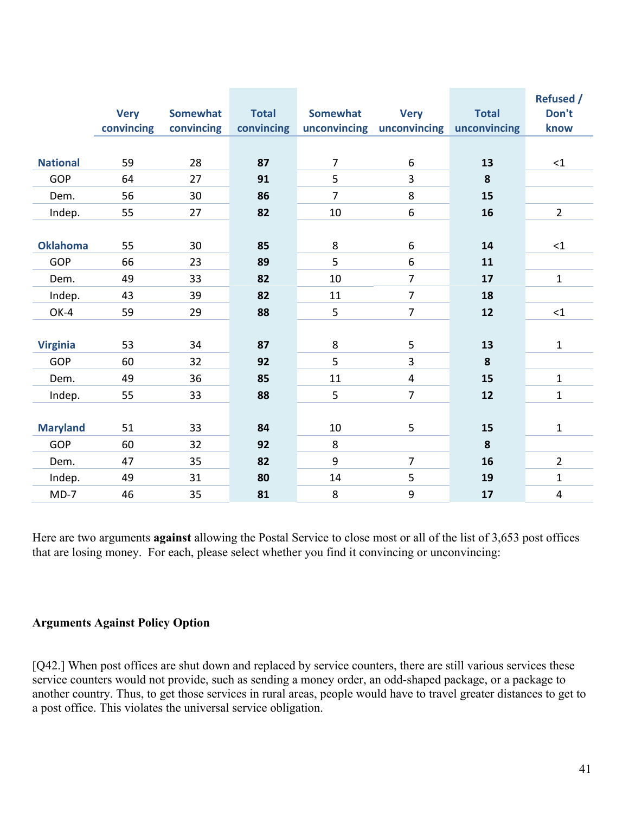|                 | <b>Very</b><br>convincing | <b>Somewhat</b><br>convincing | <b>Total</b><br>convincing | <b>Somewhat</b> | <b>Very</b><br>unconvincing unconvincing | <b>Total</b><br>unconvincing | <b>Refused /</b><br>Don't<br>know |
|-----------------|---------------------------|-------------------------------|----------------------------|-----------------|------------------------------------------|------------------------------|-----------------------------------|
|                 |                           |                               |                            |                 |                                          |                              |                                   |
| <b>National</b> | 59                        | 28                            | 87                         | $\overline{7}$  | 6                                        | 13                           | $\leq 1$                          |
| GOP             | 64                        | 27                            | 91                         | 5               | $\overline{3}$                           | 8                            |                                   |
| Dem.            | 56                        | 30                            | 86                         | $\overline{7}$  | 8                                        | 15                           |                                   |
| Indep.          | 55                        | 27                            | 82                         | 10              | 6                                        | 16                           | $\overline{2}$                    |
|                 |                           |                               |                            |                 |                                          |                              |                                   |
| <b>Oklahoma</b> | 55                        | 30                            | 85                         | 8               | 6                                        | 14                           | <1                                |
| GOP             | 66                        | 23                            | 89                         | 5               | 6                                        | 11                           |                                   |
| Dem.            | 49                        | 33                            | 82                         | 10              | $\overline{7}$                           | 17                           | $\mathbf 1$                       |
| Indep.          | 43                        | 39                            | 82                         | 11              | $\overline{7}$                           | 18                           |                                   |
| OK-4            | 59                        | 29                            | 88                         | 5               | $\overline{7}$                           | 12                           | ${<}1$                            |
|                 |                           |                               |                            |                 |                                          |                              |                                   |
| <b>Virginia</b> | 53                        | 34                            | 87                         | 8               | 5                                        | 13                           | $\mathbf{1}$                      |
| <b>GOP</b>      | 60                        | 32                            | 92                         | 5               | $\overline{3}$                           | 8                            |                                   |
| Dem.            | 49                        | 36                            | 85                         | 11              | $\overline{4}$                           | 15                           | $\mathbf{1}$                      |
| Indep.          | 55                        | 33                            | 88                         | 5               | $\overline{7}$                           | 12                           | $\mathbf{1}$                      |
|                 |                           |                               |                            |                 |                                          |                              |                                   |
| <b>Maryland</b> | 51                        | 33                            | 84                         | 10              | 5                                        | 15                           | $\mathbf 1$                       |
| <b>GOP</b>      | 60                        | 32                            | 92                         | 8               |                                          | 8                            |                                   |
| Dem.            | 47                        | 35                            | 82                         | 9               | $\overline{7}$                           | 16                           | $\overline{2}$                    |
| Indep.          | 49                        | 31                            | 80                         | 14              | 5                                        | 19                           | $\mathbf 1$                       |
| $MD-7$          | 46                        | 35                            | 81                         | 8               | 9                                        | 17                           | $\overline{\mathbf{4}}$           |

Here are two arguments **against** allowing the Postal Service to close most or all of the list of 3,653 post offices that are losing money. For each, please select whether you find it convincing or unconvincing:

### **Arguments Against Policy Option**

[Q42.] When post offices are shut down and replaced by service counters, there are still various services these service counters would not provide, such as sending a money order, an odd-shaped package, or a package to another country. Thus, to get those services in rural areas, people would have to travel greater distances to get to a post office. This violates the universal service obligation.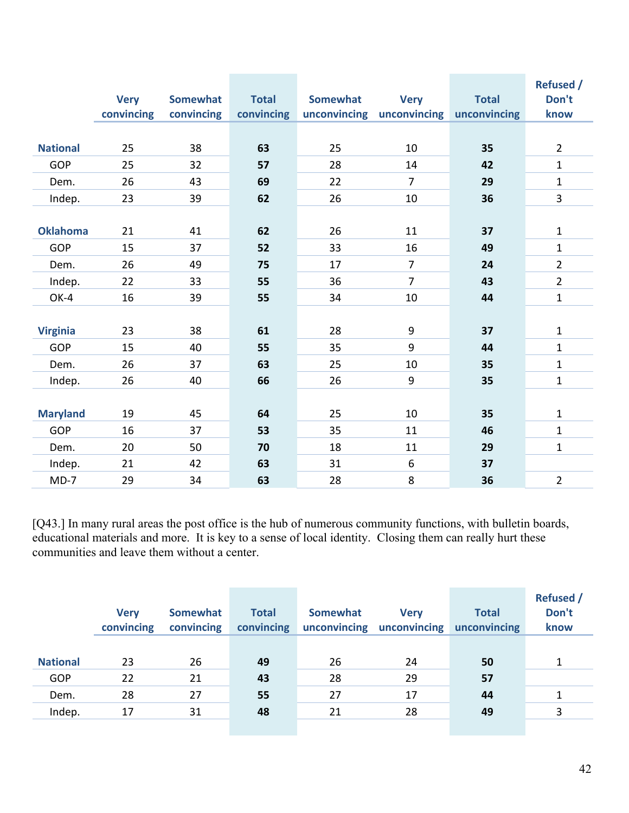|                 |             |                 |              |                 |                           |              | <b>Refused /</b> |
|-----------------|-------------|-----------------|--------------|-----------------|---------------------------|--------------|------------------|
|                 | <b>Very</b> | <b>Somewhat</b> | <b>Total</b> | <b>Somewhat</b> | <b>Very</b>               | <b>Total</b> | Don't            |
|                 | convincing  | convincing      | convincing   |                 | unconvincing unconvincing | unconvincing | know             |
|                 |             |                 |              |                 |                           |              |                  |
| <b>National</b> | 25          | 38              | 63           | 25              | 10                        | 35           | $\overline{2}$   |
| <b>GOP</b>      | 25          | 32              | 57           | 28              | 14                        | 42           | $\mathbf{1}$     |
| Dem.            | 26          | 43              | 69           | 22              | $\overline{7}$            | 29           | $\mathbf 1$      |
| Indep.          | 23          | 39              | 62           | 26              | 10                        | 36           | $\overline{3}$   |
|                 |             |                 |              |                 |                           |              |                  |
| <b>Oklahoma</b> | 21          | 41              | 62           | 26              | 11                        | 37           | $\mathbf 1$      |
| <b>GOP</b>      | 15          | 37              | 52           | 33              | 16                        | 49           | $\mathbf 1$      |
| Dem.            | 26          | 49              | 75           | 17              | $\overline{7}$            | 24           | $\overline{2}$   |
| Indep.          | 22          | 33              | 55           | 36              | $\overline{7}$            | 43           | $\overline{2}$   |
| OK-4            | 16          | 39              | 55           | 34              | 10                        | 44           | $\mathbf{1}$     |
|                 |             |                 |              |                 |                           |              |                  |
| <b>Virginia</b> | 23          | 38              | 61           | 28              | 9                         | 37           | $\mathbf{1}$     |
| <b>GOP</b>      | 15          | 40              | 55           | 35              | 9                         | 44           | $\mathbf 1$      |
| Dem.            | 26          | 37              | 63           | 25              | 10                        | 35           | $\mathbf{1}$     |
| Indep.          | 26          | 40              | 66           | 26              | 9                         | 35           | $\mathbf{1}$     |
|                 |             |                 |              |                 |                           |              |                  |
| <b>Maryland</b> | 19          | 45              | 64           | 25              | 10                        | 35           | $\mathbf 1$      |
| <b>GOP</b>      | 16          | 37              | 53           | 35              | 11                        | 46           | $\mathbf{1}$     |
| Dem.            | 20          | 50              | 70           | 18              | 11                        | 29           | $\mathbf{1}$     |
| Indep.          | 21          | 42              | 63           | 31              | 6                         | 37           |                  |
| $MD-7$          | 29          | 34              | 63           | 28              | 8                         | 36           | $\overline{2}$   |

[Q43.] In many rural areas the post office is the hub of numerous community functions, with bulletin boards, educational materials and more. It is key to a sense of local identity. Closing them can really hurt these communities and leave them without a center.

|                 | <b>Very</b><br>convincing | <b>Somewhat</b><br>convincing | <b>Total</b><br>convincing | <b>Somewhat</b><br>unconvincing | <b>Very</b><br>unconvincing | <b>Total</b><br>unconvincing | <b>Refused</b> /<br>Don't<br>know |
|-----------------|---------------------------|-------------------------------|----------------------------|---------------------------------|-----------------------------|------------------------------|-----------------------------------|
| <b>National</b> | 23                        | 26                            | 49                         | 26                              | 24                          | 50                           | 1                                 |
| GOP             | 22                        | 21                            | 43                         | 28                              | 29                          | 57                           |                                   |
| Dem.            | 28                        | 27                            | 55                         | 27                              | 17                          | 44                           |                                   |
| Indep.          | 17                        | 31                            | 48                         | 21                              | 28                          | 49                           |                                   |
|                 |                           |                               |                            |                                 |                             |                              |                                   |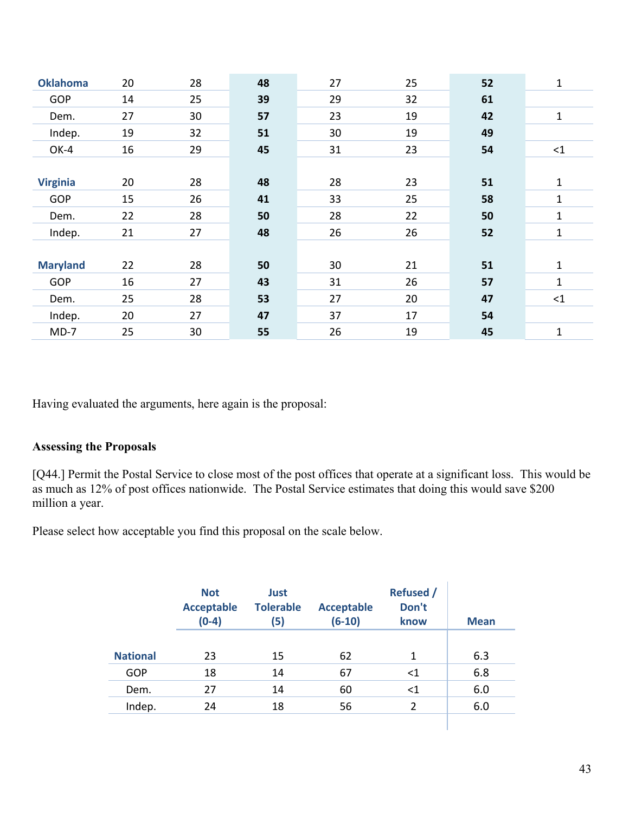| <b>Oklahoma</b> | 20 | 28 | 48 | 27 | 25 | 52 | 1            |
|-----------------|----|----|----|----|----|----|--------------|
| GOP             | 14 | 25 | 39 | 29 | 32 | 61 |              |
| Dem.            | 27 | 30 | 57 | 23 | 19 | 42 | $\mathbf{1}$ |
| Indep.          | 19 | 32 | 51 | 30 | 19 | 49 |              |
| OK-4            | 16 | 29 | 45 | 31 | 23 | 54 | $\leq$ 1     |
|                 |    |    |    |    |    |    |              |
| <b>Virginia</b> | 20 | 28 | 48 | 28 | 23 | 51 | 1            |
| GOP             | 15 | 26 | 41 | 33 | 25 | 58 | $\mathbf{1}$ |
| Dem.            | 22 | 28 | 50 | 28 | 22 | 50 | 1            |
| Indep.          | 21 | 27 | 48 | 26 | 26 | 52 | $\mathbf 1$  |
|                 |    |    |    |    |    |    |              |
| <b>Maryland</b> | 22 | 28 | 50 | 30 | 21 | 51 | $\mathbf{1}$ |
| <b>GOP</b>      | 16 | 27 | 43 | 31 | 26 | 57 | $\mathbf{1}$ |
| Dem.            | 25 | 28 | 53 | 27 | 20 | 47 | $\leq$ 1     |
| Indep.          | 20 | 27 | 47 | 37 | 17 | 54 |              |
| $MD-7$          | 25 | 30 | 55 | 26 | 19 | 45 | 1            |
|                 |    |    |    |    |    |    |              |

Having evaluated the arguments, here again is the proposal:

#### **Assessing the Proposals**

[Q44.] Permit the Postal Service to close most of the post offices that operate at a significant loss. This would be as much as 12% of post offices nationwide. The Postal Service estimates that doing this would save \$200 million a year.

Please select how acceptable you find this proposal on the scale below.

|                 | <b>Not</b><br><b>Acceptable</b><br>$(0-4)$ | Just<br><b>Tolerable</b><br>(5) | <b>Acceptable</b><br>$(6-10)$ | <b>Refused</b> /<br>Don't<br>know | <b>Mean</b> |
|-----------------|--------------------------------------------|---------------------------------|-------------------------------|-----------------------------------|-------------|
| <b>National</b> | 23                                         | 15                              | 62                            | 1                                 | 6.3         |
| GOP             | 18                                         | 14                              | 67                            | $<$ 1                             | 6.8         |
| Dem.            | 27                                         | 14                              | 60                            | $<$ 1                             | 6.0         |
| Indep.          | 24                                         | 18                              | 56                            | 2                                 | 6.0         |
|                 |                                            |                                 |                               |                                   |             |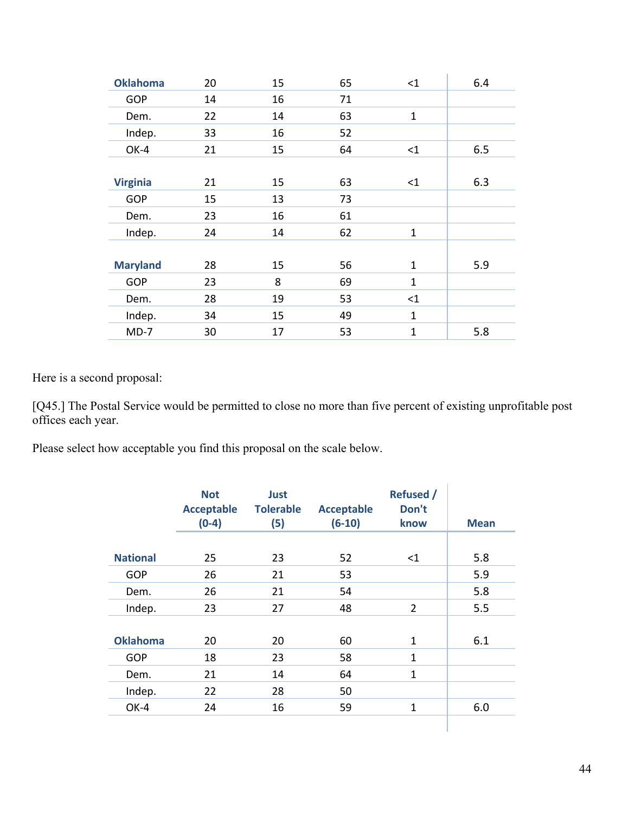| <b>Oklahoma</b> | 20 | 15 | 65 | <1           | 6.4 |
|-----------------|----|----|----|--------------|-----|
| <b>GOP</b>      | 14 | 16 | 71 |              |     |
| Dem.            | 22 | 14 | 63 | $\mathbf{1}$ |     |
| Indep.          | 33 | 16 | 52 |              |     |
| OK-4            | 21 | 15 | 64 | <1           | 6.5 |
|                 |    |    |    |              |     |
| <b>Virginia</b> | 21 | 15 | 63 | $\leq$ 1     | 6.3 |
| <b>GOP</b>      | 15 | 13 | 73 |              |     |
| Dem.            | 23 | 16 | 61 |              |     |
| Indep.          | 24 | 14 | 62 | $\mathbf{1}$ |     |
|                 |    |    |    |              |     |
| <b>Maryland</b> | 28 | 15 | 56 | $\mathbf{1}$ | 5.9 |
| <b>GOP</b>      | 23 | 8  | 69 | $\mathbf{1}$ |     |
| Dem.            | 28 | 19 | 53 | <1           |     |
| Indep.          | 34 | 15 | 49 | $\mathbf{1}$ |     |
| $MD-7$          | 30 | 17 | 53 | $\mathbf{1}$ | 5.8 |

Here is a second proposal:

[Q45.] The Postal Service would be permitted to close no more than five percent of existing unprofitable post offices each year.

Please select how acceptable you find this proposal on the scale below.

|                 | <b>Not</b><br><b>Acceptable</b><br>$(0-4)$ | Just<br><b>Tolerable</b><br>(5) | <b>Acceptable</b><br>$(6-10)$ | <b>Refused /</b><br>Don't<br>know | <b>Mean</b> |
|-----------------|--------------------------------------------|---------------------------------|-------------------------------|-----------------------------------|-------------|
|                 |                                            |                                 |                               |                                   |             |
| <b>National</b> | 25                                         | 23                              | 52                            | $<$ 1                             | 5.8         |
| <b>GOP</b>      | 26                                         | 21                              | 53                            |                                   | 5.9         |
| Dem.            | 26                                         | 21                              | 54                            |                                   | 5.8         |
| Indep.          | 23                                         | 27                              | 48                            | $\overline{2}$                    | 5.5         |
|                 |                                            |                                 |                               |                                   |             |
| <b>Oklahoma</b> | 20                                         | 20                              | 60                            | $\mathbf{1}$                      | 6.1         |
| <b>GOP</b>      | 18                                         | 23                              | 58                            | $\mathbf{1}$                      |             |
| Dem.            | 21                                         | 14                              | 64                            | 1                                 |             |
| Indep.          | 22                                         | 28                              | 50                            |                                   |             |
| OK-4            | 24                                         | 16                              | 59                            | 1                                 | 6.0         |
|                 |                                            |                                 |                               |                                   |             |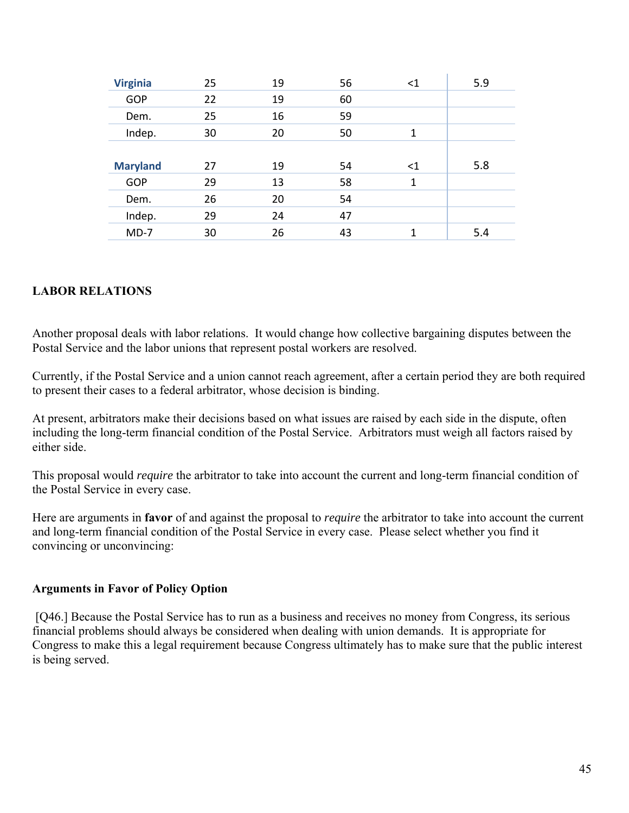| 5.9 |
|-----|
|     |
|     |
|     |
|     |
| 5.8 |
|     |
|     |
|     |
| 5.4 |
|     |

#### **LABOR RELATIONS**

Another proposal deals with labor relations. It would change how collective bargaining disputes between the Postal Service and the labor unions that represent postal workers are resolved.

Currently, if the Postal Service and a union cannot reach agreement, after a certain period they are both required to present their cases to a federal arbitrator, whose decision is binding.

At present, arbitrators make their decisions based on what issues are raised by each side in the dispute, often including the long-term financial condition of the Postal Service. Arbitrators must weigh all factors raised by either side.

This proposal would *require* the arbitrator to take into account the current and long-term financial condition of the Postal Service in every case.

Here are arguments in **favor** of and against the proposal to *require* the arbitrator to take into account the current and long-term financial condition of the Postal Service in every case. Please select whether you find it convincing or unconvincing:

#### **Arguments in Favor of Policy Option**

 [Q46.] Because the Postal Service has to run as a business and receives no money from Congress, its serious financial problems should always be considered when dealing with union demands. It is appropriate for Congress to make this a legal requirement because Congress ultimately has to make sure that the public interest is being served.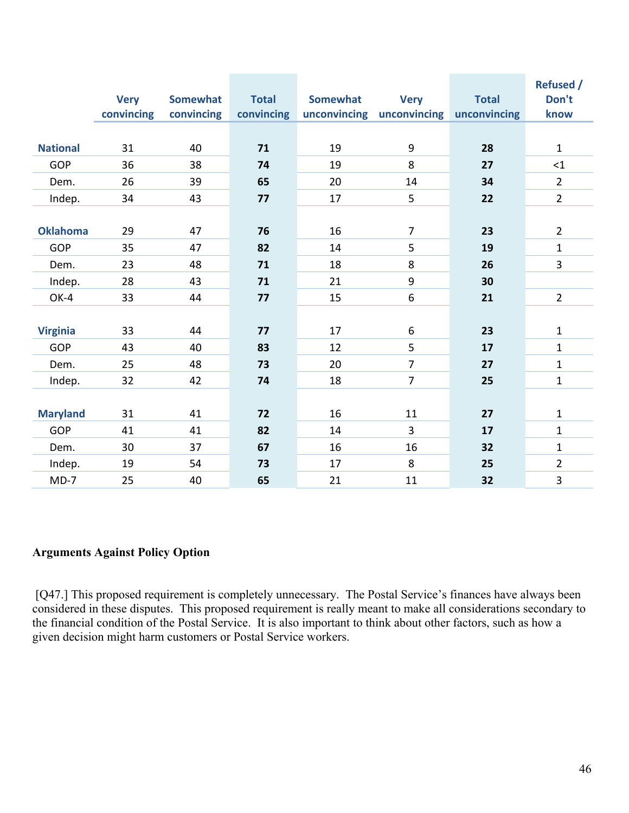|                 | <b>Very</b> | <b>Somewhat</b> | <b>Total</b> | <b>Somewhat</b> | <b>Very</b>               | <b>Total</b> | <b>Refused /</b><br>Don't |
|-----------------|-------------|-----------------|--------------|-----------------|---------------------------|--------------|---------------------------|
|                 | convincing  | convincing      | convincing   |                 | unconvincing unconvincing | unconvincing | know                      |
|                 |             |                 |              |                 |                           |              |                           |
| <b>National</b> | 31          | 40              | 71           | 19              | 9                         | 28           | $\mathbf{1}$              |
| <b>GOP</b>      | 36          | 38              | 74           | 19              | 8                         | 27           | <1                        |
| Dem.            | 26          | 39              | 65           | 20              | 14                        | 34           | $\overline{2}$            |
| Indep.          | 34          | 43              | 77           | 17              | 5                         | 22           | $\overline{2}$            |
|                 |             |                 |              |                 |                           |              |                           |
| <b>Oklahoma</b> | 29          | 47              | 76           | 16              | $\overline{7}$            | 23           | $\overline{2}$            |
| <b>GOP</b>      | 35          | 47              | 82           | 14              | 5                         | 19           | $\mathbf{1}$              |
| Dem.            | 23          | 48              | 71           | 18              | 8                         | 26           | 3                         |
| Indep.          | 28          | 43              | 71           | 21              | 9                         | 30           |                           |
| OK-4            | 33          | 44              | 77           | 15              | 6                         | 21           | $\overline{2}$            |
|                 |             |                 |              |                 |                           |              |                           |
| <b>Virginia</b> | 33          | 44              | 77           | 17              | 6                         | 23           | $\mathbf 1$               |
| <b>GOP</b>      | 43          | 40              | 83           | 12              | 5                         | 17           | $\mathbf{1}$              |
| Dem.            | 25          | 48              | 73           | 20              | $\overline{7}$            | 27           | $\mathbf{1}$              |
| Indep.          | 32          | 42              | 74           | 18              | $\overline{7}$            | 25           | $\mathbf{1}$              |
|                 |             |                 |              |                 |                           |              |                           |
| <b>Maryland</b> | 31          | 41              | 72           | 16              | 11                        | 27           | $\mathbf 1$               |
| <b>GOP</b>      | 41          | 41              | 82           | 14              | $\overline{3}$            | 17           | $\mathbf{1}$              |
| Dem.            | 30          | 37              | 67           | 16              | 16                        | 32           | $\mathbf 1$               |
| Indep.          | 19          | 54              | 73           | 17              | 8                         | 25           | $\overline{2}$            |
| $MD-7$          | 25          | 40              | 65           | 21              | 11                        | 32           | 3                         |

#### **Arguments Against Policy Option**

 [Q47.] This proposed requirement is completely unnecessary. The Postal Service's finances have always been considered in these disputes. This proposed requirement is really meant to make all considerations secondary to the financial condition of the Postal Service. It is also important to think about other factors, such as how a given decision might harm customers or Postal Service workers.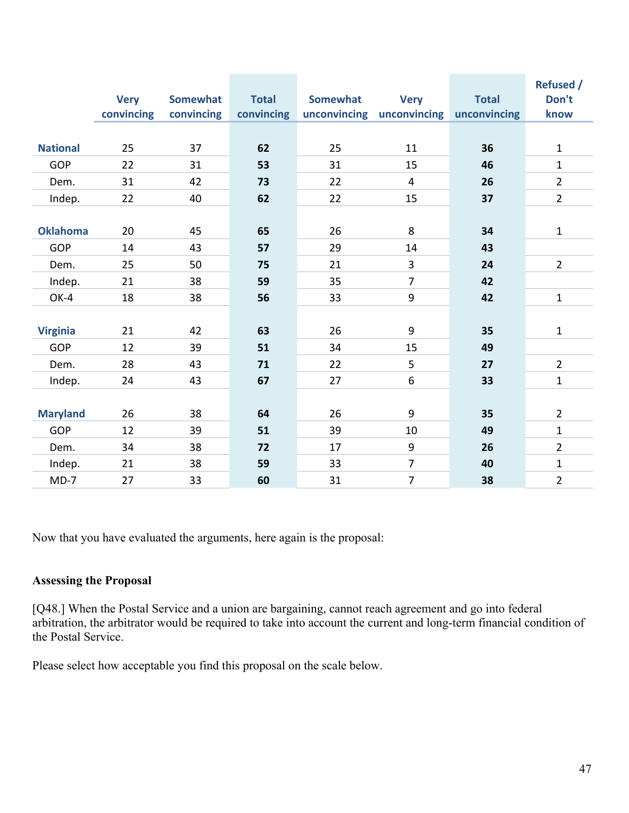|                 |             |                 |              |                 |                           |              | <b>Refused /</b> |
|-----------------|-------------|-----------------|--------------|-----------------|---------------------------|--------------|------------------|
|                 | <b>Very</b> | <b>Somewhat</b> | <b>Total</b> | <b>Somewhat</b> | <b>Very</b>               | <b>Total</b> | Don't            |
|                 | convincing  | convincing      | convincing   |                 | unconvincing unconvincing | unconvincing | know             |
|                 |             |                 |              |                 |                           |              |                  |
| <b>National</b> | 25          | 37              | 62           | 25              | 11                        | 36           | $\mathbf{1}$     |
| <b>GOP</b>      | 22          | 31              | 53           | 31              | 15                        | 46           | $\mathbf 1$      |
| Dem.            | 31          | 42              | 73           | 22              | $\overline{4}$            | 26           | $\overline{2}$   |
| Indep.          | 22          | 40              | 62           | 22              | 15                        | 37           | $\overline{2}$   |
|                 |             |                 |              |                 |                           |              |                  |
| <b>Oklahoma</b> | 20          | 45              | 65           | 26              | 8                         | 34           | $\mathbf{1}$     |
| <b>GOP</b>      | 14          | 43              | 57           | 29              | 14                        | 43           |                  |
| Dem.            | 25          | 50              | 75           | 21              | 3                         | 24           | $\overline{2}$   |
| Indep.          | 21          | 38              | 59           | 35              | $\overline{7}$            | 42           |                  |
| OK-4            | 18          | 38              | 56           | 33              | 9                         | 42           | $\mathbf 1$      |
|                 |             |                 |              |                 |                           |              |                  |
| <b>Virginia</b> | 21          | 42              | 63           | 26              | 9                         | 35           | $\mathbf 1$      |
| <b>GOP</b>      | 12          | 39              | 51           | 34              | 15                        | 49           |                  |
| Dem.            | 28          | 43              | 71           | 22              | 5                         | 27           | $\overline{2}$   |
| Indep.          | 24          | 43              | 67           | 27              | 6                         | 33           | $\mathbf{1}$     |
|                 |             |                 |              |                 |                           |              |                  |
| <b>Maryland</b> | 26          | 38              | 64           | 26              | 9                         | 35           | $\overline{2}$   |
| <b>GOP</b>      | 12          | 39              | 51           | 39              | 10                        | 49           | $\mathbf{1}$     |
| Dem.            | 34          | 38              | 72           | 17              | 9                         | 26           | $\overline{2}$   |
| Indep.          | 21          | 38              | 59           | 33              | $\overline{7}$            | 40           | $\mathbf{1}$     |
| $MD-7$          | 27          | 33              | 60           | 31              | $\overline{7}$            | 38           | $\overline{2}$   |

Now that you have evaluated the arguments, here again is the proposal:

#### **Assessing the Proposal**

[Q48.] When the Postal Service and a union are bargaining, cannot reach agreement and go into federal arbitration, the arbitrator would be required to take into account the current and long-term financial condition of the Postal Service.

Please select how acceptable you find this proposal on the scale below.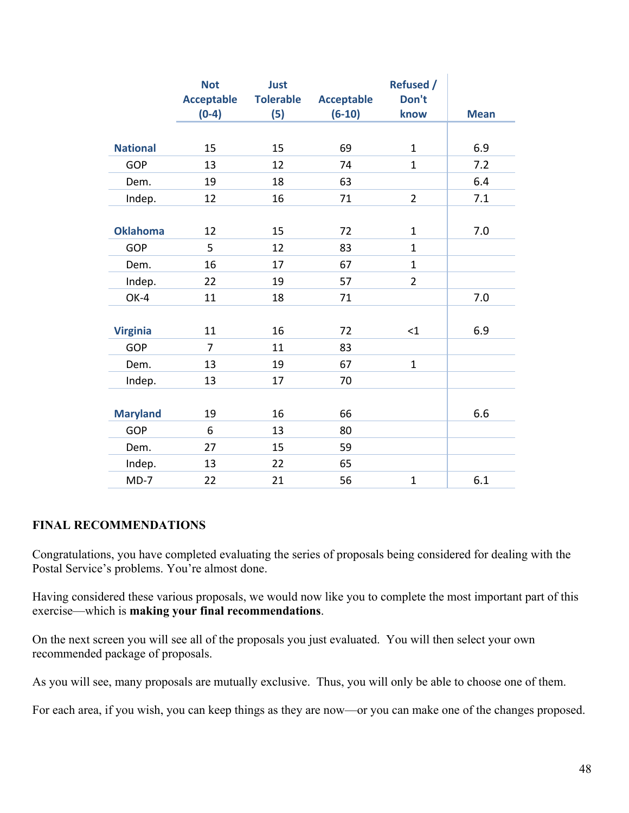|                 | <b>Not</b><br><b>Acceptable</b><br>$(0-4)$ | <b>Just</b><br><b>Tolerable</b><br>(5) | <b>Acceptable</b><br>$(6-10)$ | <b>Refused /</b><br>Don't<br>know | <b>Mean</b> |
|-----------------|--------------------------------------------|----------------------------------------|-------------------------------|-----------------------------------|-------------|
| <b>National</b> | 15                                         | 15                                     | 69                            | $\mathbf{1}$                      | 6.9         |
| <b>GOP</b>      | 13                                         | 12                                     | 74                            | $\mathbf{1}$                      | 7.2         |
| Dem.            | 19                                         | 18                                     | 63                            |                                   | 6.4         |
| Indep.          | 12                                         | 16                                     | 71                            | $\overline{2}$                    | 7.1         |
|                 |                                            |                                        |                               |                                   |             |
| <b>Oklahoma</b> | 12                                         | 15                                     | 72                            | $\mathbf{1}$                      | 7.0         |
| <b>GOP</b>      | 5                                          | 12                                     | 83                            | $\mathbf{1}$                      |             |
| Dem.            | 16                                         | 17                                     | 67                            | $\mathbf{1}$                      |             |
| Indep.          | 22                                         | 19                                     | 57                            | $\overline{2}$                    |             |
| OK-4            | 11                                         | 18                                     | 71                            |                                   | 7.0         |
|                 |                                            |                                        |                               |                                   |             |
| <b>Virginia</b> | 11                                         | 16                                     | 72                            | $<$ 1                             | 6.9         |
| <b>GOP</b>      | $\overline{7}$                             | 11                                     | 83                            |                                   |             |
| Dem.            | 13                                         | 19                                     | 67                            | $\mathbf{1}$                      |             |
| Indep.          | 13                                         | 17                                     | 70                            |                                   |             |
|                 |                                            |                                        |                               |                                   |             |
| <b>Maryland</b> | 19                                         | 16                                     | 66                            |                                   | 6.6         |
| <b>GOP</b>      | 6                                          | 13                                     | 80                            |                                   |             |
| Dem.            | 27                                         | 15                                     | 59                            |                                   |             |
| Indep.          | 13                                         | 22                                     | 65                            |                                   |             |
| $MD-7$          | 22                                         | 21                                     | 56                            | $\mathbf{1}$                      | 6.1         |

#### **FINAL RECOMMENDATIONS**

Congratulations, you have completed evaluating the series of proposals being considered for dealing with the Postal Service's problems. You're almost done.

Having considered these various proposals, we would now like you to complete the most important part of this exercise—which is **making your final recommendations**.

On the next screen you will see all of the proposals you just evaluated. You will then select your own recommended package of proposals.

As you will see, many proposals are mutually exclusive. Thus, you will only be able to choose one of them.

For each area, if you wish, you can keep things as they are now—or you can make one of the changes proposed.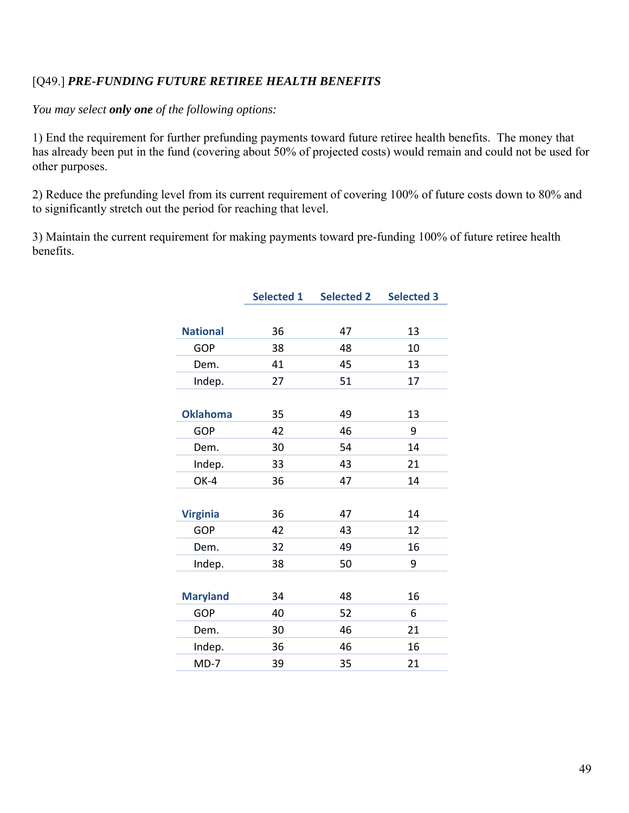# [Q49.] *PRE-FUNDING FUTURE RETIREE HEALTH BENEFITS*

*You may select only one of the following options:* 

1) End the requirement for further prefunding payments toward future retiree health benefits. The money that has already been put in the fund (covering about 50% of projected costs) would remain and could not be used for other purposes.

2) Reduce the prefunding level from its current requirement of covering 100% of future costs down to 80% and to significantly stretch out the period for reaching that level.

3) Maintain the current requirement for making payments toward pre-funding 100% of future retiree health benefits.

|                 | <b>Selected 1</b> | <b>Selected 2</b> | <b>Selected 3</b> |
|-----------------|-------------------|-------------------|-------------------|
|                 |                   |                   |                   |
| <b>National</b> | 36                | 47                | 13                |
| <b>GOP</b>      | 38                | 48                | 10                |
| Dem.            | 41                | 45                | 13                |
| Indep.          | 27                | 51                | 17                |
|                 |                   |                   |                   |
| <b>Oklahoma</b> | 35                | 49                | 13                |
| <b>GOP</b>      | 42                | 46                | 9                 |
| Dem.            | 30                | 54                | 14                |
| Indep.          | 33                | 43                | 21                |
| OK-4            | 36                | 47                | 14                |
|                 |                   |                   |                   |
| <b>Virginia</b> | 36                | 47                | 14                |
| <b>GOP</b>      | 42                | 43                | 12                |
| Dem.            | 32                | 49                | 16                |
| Indep.          | 38                | 50                | 9                 |
|                 |                   |                   |                   |
| <b>Maryland</b> | 34                | 48                | 16                |
| <b>GOP</b>      | 40                | 52                | 6                 |
| Dem.            | 30                | 46                | 21                |
| Indep.          | 36                | 46                | 16                |
| $MD-7$          | 39                | 35                | 21                |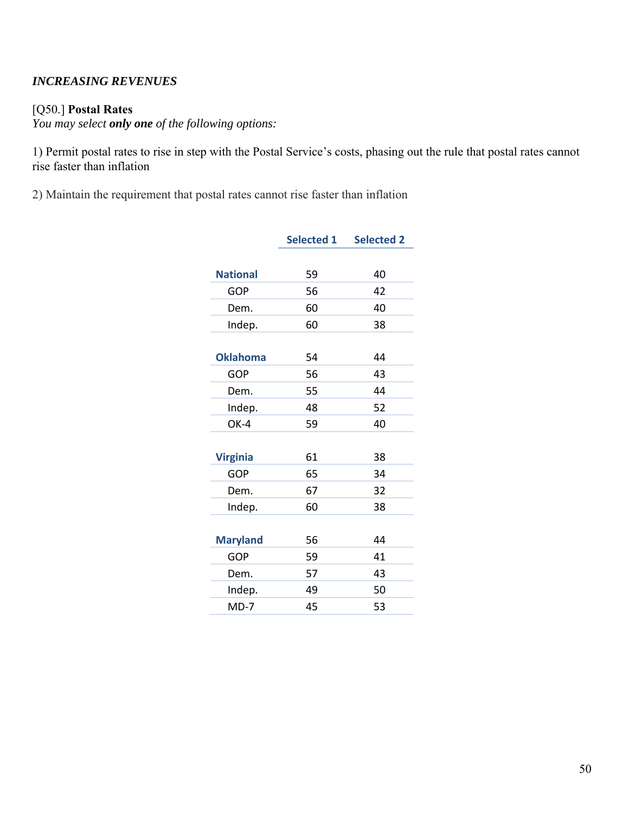#### *INCREASING REVENUES*

#### [Q50.] **Postal Rates**

*You may select only one of the following options:* 

1) Permit postal rates to rise in step with the Postal Service's costs, phasing out the rule that postal rates cannot rise faster than inflation

2) Maintain the requirement that postal rates cannot rise faster than inflation

|                 | <b>Selected 1</b> | <b>Selected 2</b> |
|-----------------|-------------------|-------------------|
|                 |                   |                   |
| <b>National</b> | 59                | 40                |
| <b>GOP</b>      | 56                | 42                |
| Dem.            | 60                | 40                |
| Indep.          | 60                | 38                |
|                 |                   |                   |
| <b>Oklahoma</b> | 54                | 44                |
| GOP             | 56                | 43                |
| Dem.            | 55                | 44                |
| Indep.          | 48                | 52                |
| OK-4            | 59                | 40                |
|                 |                   |                   |
| <b>Virginia</b> | 61                | 38                |
| <b>GOP</b>      | 65                | 34                |
| Dem.            | 67                | 32                |
| Indep.          | 60                | 38                |
|                 |                   |                   |
| <b>Maryland</b> | 56                | 44                |
| <b>GOP</b>      | 59                | 41                |
| Dem.            | 57                | 43                |
| Indep.          | 49                | 50                |
| $MD-7$          | 45                | 53                |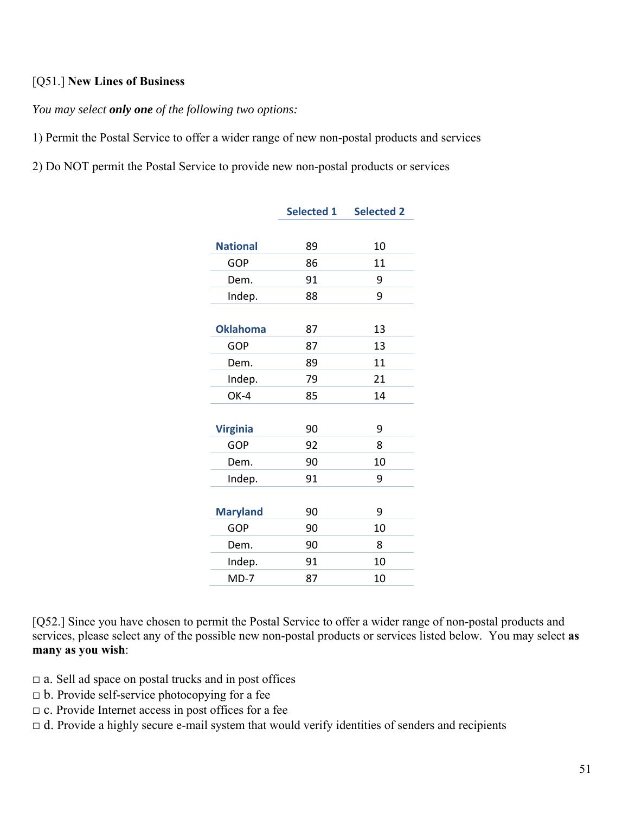#### [Q51.] **New Lines of Business**

*You may select only one of the following two options:* 

1) Permit the Postal Service to offer a wider range of new non-postal products and services

2) Do NOT permit the Postal Service to provide new non-postal products or services

|                 | <b>Selected 1</b> | <b>Selected 2</b> |
|-----------------|-------------------|-------------------|
|                 |                   |                   |
| <b>National</b> | 89                | 10                |
| <b>GOP</b>      | 86                | 11                |
| Dem.            | 91                | 9                 |
| Indep.          | 88                | 9                 |
|                 |                   |                   |
| <b>Oklahoma</b> | 87                | 13                |
| <b>GOP</b>      | 87                | 13                |
| Dem.            | 89                | 11                |
| Indep.          | 79                | 21                |
| OK-4            | 85                | 14                |
|                 |                   |                   |
| <b>Virginia</b> | 90                | 9                 |
| <b>GOP</b>      | 92                | 8                 |
| Dem.            | 90                | 10                |
| Indep.          | 91                | 9                 |
|                 |                   |                   |
| <b>Maryland</b> | 90                | 9                 |
| <b>GOP</b>      | 90                | 10                |
| Dem.            | 90                | 8                 |
| Indep.          | 91                | 10                |
| $MD-7$          | 87                | 10                |

[Q52.] Since you have chosen to permit the Postal Service to offer a wider range of non-postal products and services, please select any of the possible new non-postal products or services listed below. You may select **as many as you wish**:

- $\Box$  a. Sell ad space on postal trucks and in post offices
- $\Box$  b. Provide self-service photocopying for a fee
- $\Box$  c. Provide Internet access in post offices for a fee
- $\Box$  d. Provide a highly secure e-mail system that would verify identities of senders and recipients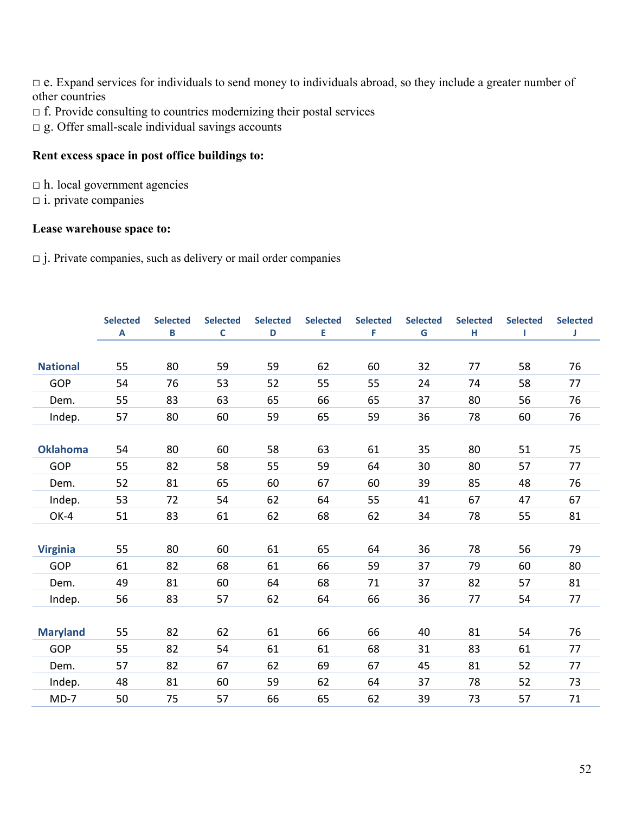□ e. Expand services for individuals to send money to individuals abroad, so they include a greater number of other countries

- $\Box$  f. Provide consulting to countries modernizing their postal services
- □ g. Offer small-scale individual savings accounts

#### **Rent excess space in post office buildings to:**

 $\Box$  h. local government agencies

 $\Box$  i. private companies

#### **Lease warehouse space to:**

 $\Box$  j. Private companies, such as delivery or mail order companies

|                 | <b>Selected</b> | <b>Selected</b> | <b>Selected</b> | <b>Selected</b> | <b>Selected</b> | <b>Selected</b> | <b>Selected</b> | <b>Selected</b> | <b>Selected</b> | <b>Selected</b> |
|-----------------|-----------------|-----------------|-----------------|-----------------|-----------------|-----------------|-----------------|-----------------|-----------------|-----------------|
|                 | A               | B               | $\mathsf{C}$    | $\mathsf D$     | E               | F               | G               | н               |                 | J               |
|                 |                 |                 |                 |                 |                 |                 |                 |                 |                 |                 |
| <b>National</b> | 55              | 80              | 59              | 59              | 62              | 60              | 32              | 77              | 58              | 76              |
| <b>GOP</b>      | 54              | 76              | 53              | 52              | 55              | 55              | 24              | 74              | 58              | 77              |
| Dem.            | 55              | 83              | 63              | 65              | 66              | 65              | 37              | 80              | 56              | 76              |
| Indep.          | 57              | 80              | 60              | 59              | 65              | 59              | 36              | 78              | 60              | 76              |
|                 |                 |                 |                 |                 |                 |                 |                 |                 |                 |                 |
| <b>Oklahoma</b> | 54              | 80              | 60              | 58              | 63              | 61              | 35              | 80              | 51              | 75              |
| <b>GOP</b>      | 55              | 82              | 58              | 55              | 59              | 64              | 30              | 80              | 57              | 77              |
| Dem.            | 52              | 81              | 65              | 60              | 67              | 60              | 39              | 85              | 48              | 76              |
| Indep.          | 53              | 72              | 54              | 62              | 64              | 55              | 41              | 67              | 47              | 67              |
| OK-4            | 51              | 83              | 61              | 62              | 68              | 62              | 34              | 78              | 55              | 81              |
|                 |                 |                 |                 |                 |                 |                 |                 |                 |                 |                 |
| <b>Virginia</b> | 55              | 80              | 60              | 61              | 65              | 64              | 36              | 78              | 56              | 79              |
| <b>GOP</b>      | 61              | 82              | 68              | 61              | 66              | 59              | 37              | 79              | 60              | 80              |
| Dem.            | 49              | 81              | 60              | 64              | 68              | 71              | 37              | 82              | 57              | 81              |
| Indep.          | 56              | 83              | 57              | 62              | 64              | 66              | 36              | 77              | 54              | 77              |
|                 |                 |                 |                 |                 |                 |                 |                 |                 |                 |                 |
| <b>Maryland</b> | 55              | 82              | 62              | 61              | 66              | 66              | 40              | 81              | 54              | 76              |
| <b>GOP</b>      | 55              | 82              | 54              | 61              | 61              | 68              | 31              | 83              | 61              | 77              |
| Dem.            | 57              | 82              | 67              | 62              | 69              | 67              | 45              | 81              | 52              | 77              |
| Indep.          | 48              | 81              | 60              | 59              | 62              | 64              | 37              | 78              | 52              | 73              |
| $MD-7$          | 50              | 75              | 57              | 66              | 65              | 62              | 39              | 73              | 57              | 71              |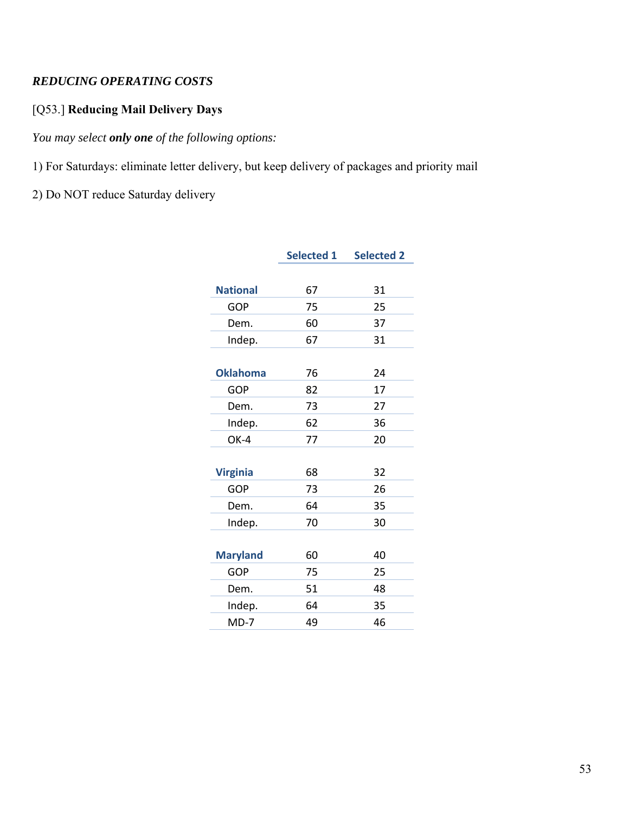# *REDUCING OPERATING COSTS*

# [Q53.] **Reducing Mail Delivery Days**

*You may select only one of the following options:* 

1) For Saturdays: eliminate letter delivery, but keep delivery of packages and priority mail

2) Do NOT reduce Saturday delivery

|                 | <b>Selected 1</b> | <b>Selected 2</b> |
|-----------------|-------------------|-------------------|
|                 |                   |                   |
| <b>National</b> | 67                | 31                |
| <b>GOP</b>      | 75                | 25                |
| Dem.            | 60                | 37                |
| Indep.          | 67                | 31                |
|                 |                   |                   |
| <b>Oklahoma</b> | 76                | 24                |
| <b>GOP</b>      | 82                | 17                |
| Dem.            | 73                | 27                |
| Indep.          | 62                | 36                |
| OK-4            | 77                | 20                |
|                 |                   |                   |
| <b>Virginia</b> | 68                | 32                |
| <b>GOP</b>      | 73                | 26                |
| Dem.            | 64                | 35                |
| Indep.          | 70                | 30                |
|                 |                   |                   |
| <b>Maryland</b> | 60                | 40                |
| <b>GOP</b>      | 75                | 25                |
| Dem.            | 51                | 48                |
| Indep.          | 64                | 35                |
| $MD-7$          | 49                | 46                |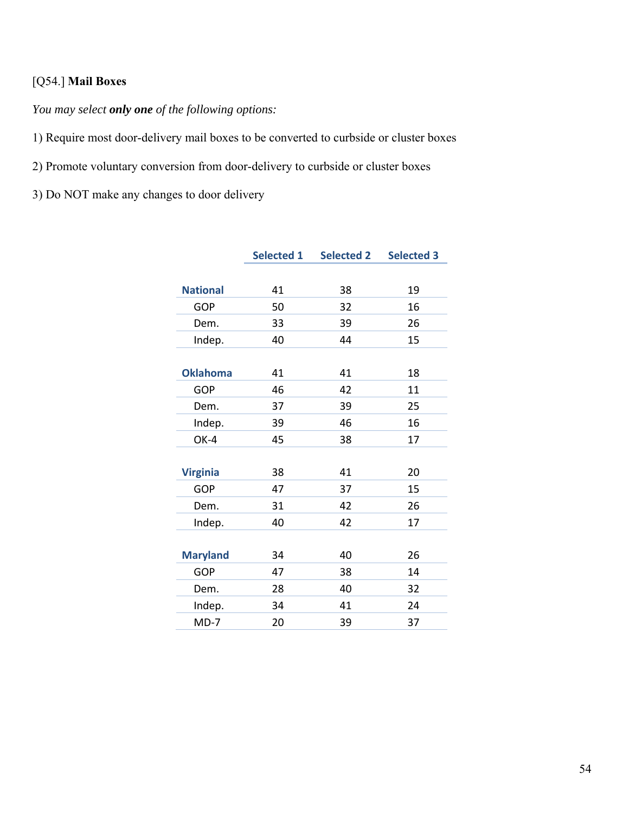# [Q54.] **Mail Boxes**

*You may select only one of the following options:* 

1) Require most door-delivery mail boxes to be converted to curbside or cluster boxes

2) Promote voluntary conversion from door-delivery to curbside or cluster boxes

3) Do NOT make any changes to door delivery

|                 | <b>Selected 1</b> | <b>Selected 2</b> | <b>Selected 3</b> |
|-----------------|-------------------|-------------------|-------------------|
|                 |                   |                   |                   |
| <b>National</b> | 41                | 38                | 19                |
| <b>GOP</b>      | 50                | 32                | 16                |
| Dem.            | 33                | 39                | 26                |
| Indep.          | 40                | 44                | 15                |
|                 |                   |                   |                   |
| <b>Oklahoma</b> | 41                | 41                | 18                |
| <b>GOP</b>      | 46                | 42                | 11                |
| Dem.            | 37                | 39                | 25                |
| Indep.          | 39                | 46                | 16                |
| OK-4            | 45                | 38                | 17                |
|                 |                   |                   |                   |
| <b>Virginia</b> | 38                | 41                | 20                |
| <b>GOP</b>      | 47                | 37                | 15                |
| Dem.            | 31                | 42                | 26                |
| Indep.          | 40                | 42                | 17                |
|                 |                   |                   |                   |
| <b>Maryland</b> | 34                | 40                | 26                |
| <b>GOP</b>      | 47                | 38                | 14                |
| Dem.            | 28                | 40                | 32                |
| Indep.          | 34                | 41                | 24                |
| $MD-7$          | 20                | 39                | 37                |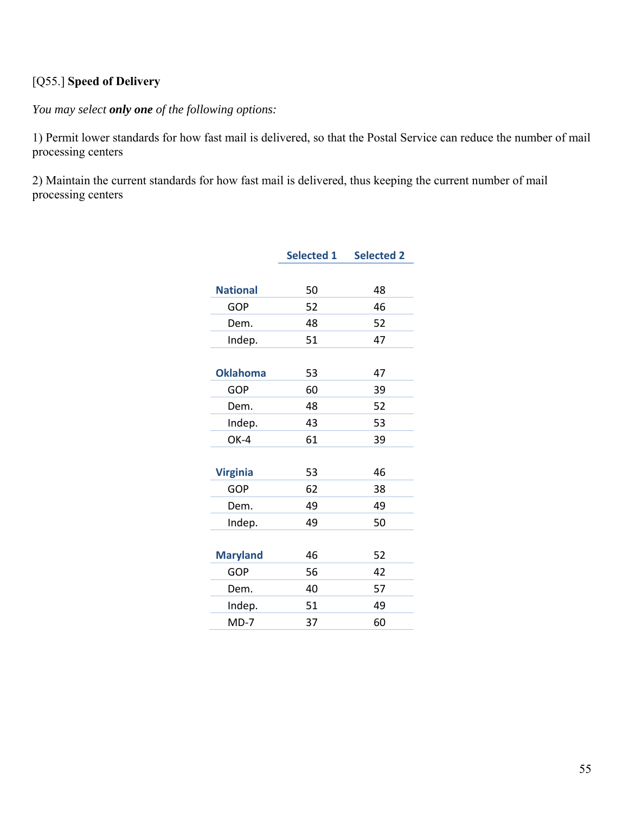# [Q55.] **Speed of Delivery**

*You may select only one of the following options:* 

1) Permit lower standards for how fast mail is delivered, so that the Postal Service can reduce the number of mail processing centers

2) Maintain the current standards for how fast mail is delivered, thus keeping the current number of mail processing centers

|                 | <b>Selected 1</b> | <b>Selected 2</b> |
|-----------------|-------------------|-------------------|
|                 |                   |                   |
| <b>National</b> | 50                | 48                |
| <b>GOP</b>      | 52                | 46                |
| Dem.            | 48                | 52                |
| Indep.          | 51                | 47                |
|                 |                   |                   |
| <b>Oklahoma</b> | 53                | 47                |
| <b>GOP</b>      | 60                | 39                |
| Dem.            | 48                | 52                |
| Indep.          | 43                | 53                |
| OK-4            | 61                | 39                |
|                 |                   |                   |
| <b>Virginia</b> | 53                | 46                |
| <b>GOP</b>      | 62                | 38                |
| Dem.            | 49                | 49                |
| Indep.          | 49                | 50                |
|                 |                   |                   |
| <b>Maryland</b> | 46                | 52                |
| <b>GOP</b>      | 56                | 42                |
| Dem.            | 40                | 57                |
| Indep.          | 51                | 49                |
| $MD-7$          | 37                | 60                |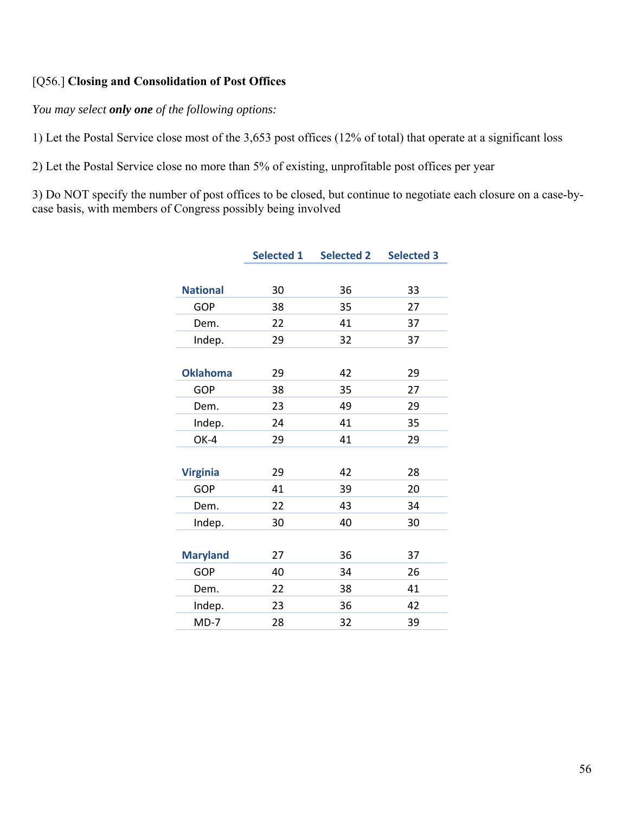#### [Q56.] **Closing and Consolidation of Post Offices**

*You may select only one of the following options:* 

1) Let the Postal Service close most of the 3,653 post offices (12% of total) that operate at a significant loss

2) Let the Postal Service close no more than 5% of existing, unprofitable post offices per year

3) Do NOT specify the number of post offices to be closed, but continue to negotiate each closure on a case-bycase basis, with members of Congress possibly being involved

|                 | <b>Selected 1</b> | <b>Selected 2</b> | <b>Selected 3</b> |
|-----------------|-------------------|-------------------|-------------------|
|                 |                   |                   |                   |
| <b>National</b> | 30                | 36                | 33                |
| <b>GOP</b>      | 38                | 35                | 27                |
| Dem.            | 22                | 41                | 37                |
| Indep.          | 29                | 32                | 37                |
|                 |                   |                   |                   |
| <b>Oklahoma</b> | 29                | 42                | 29                |
| <b>GOP</b>      | 38                | 35                | 27                |
| Dem.            | 23                | 49                | 29                |
| Indep.          | 24                | 41                | 35                |
| OK-4            | 29                | 41                | 29                |
|                 |                   |                   |                   |
| <b>Virginia</b> | 29                | 42                | 28                |
| <b>GOP</b>      | 41                | 39                | 20                |
| Dem.            | 22                | 43                | 34                |
| Indep.          | 30                | 40                | 30                |
|                 |                   |                   |                   |
| <b>Maryland</b> | 27                | 36                | 37                |
| GOP             | 40                | 34                | 26                |
| Dem.            | 22                | 38                | 41                |
| Indep.          | 23                | 36                | 42                |
| $MD-7$          | 28                | 32                | 39                |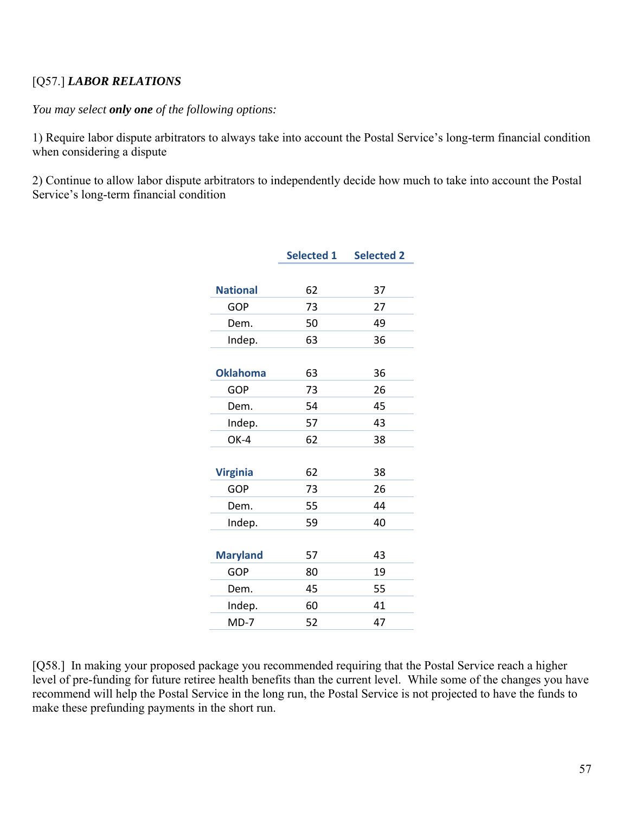# [Q57.] *LABOR RELATIONS*

#### *You may select only one of the following options:*

1) Require labor dispute arbitrators to always take into account the Postal Service's long-term financial condition when considering a dispute

2) Continue to allow labor dispute arbitrators to independently decide how much to take into account the Postal Service's long-term financial condition

|                 | <b>Selected 1</b> | <b>Selected 2</b> |
|-----------------|-------------------|-------------------|
|                 |                   |                   |
| <b>National</b> | 62                | 37                |
| <b>GOP</b>      | 73                | 27                |
| Dem.            | 50                | 49                |
| Indep.          | 63                | 36                |
|                 |                   |                   |
| <b>Oklahoma</b> | 63                | 36                |
| GOP             | 73                | 26                |
| Dem.            | 54                | 45                |
| Indep.          | 57                | 43                |
| OK-4            | 62                | 38                |
|                 |                   |                   |
| <b>Virginia</b> | 62                | 38                |
| GOP             | 73                | 26                |
| Dem.            | 55                | 44                |
| Indep.          | 59                | 40                |
|                 |                   |                   |
| <b>Maryland</b> | 57                | 43                |
| <b>GOP</b>      | 80                | 19                |
| Dem.            | 45                | 55                |
| Indep.          | 60                | 41                |
| $MD-7$          | 52                | 47                |

[Q58.] In making your proposed package you recommended requiring that the Postal Service reach a higher level of pre-funding for future retiree health benefits than the current level. While some of the changes you have recommend will help the Postal Service in the long run, the Postal Service is not projected to have the funds to make these prefunding payments in the short run.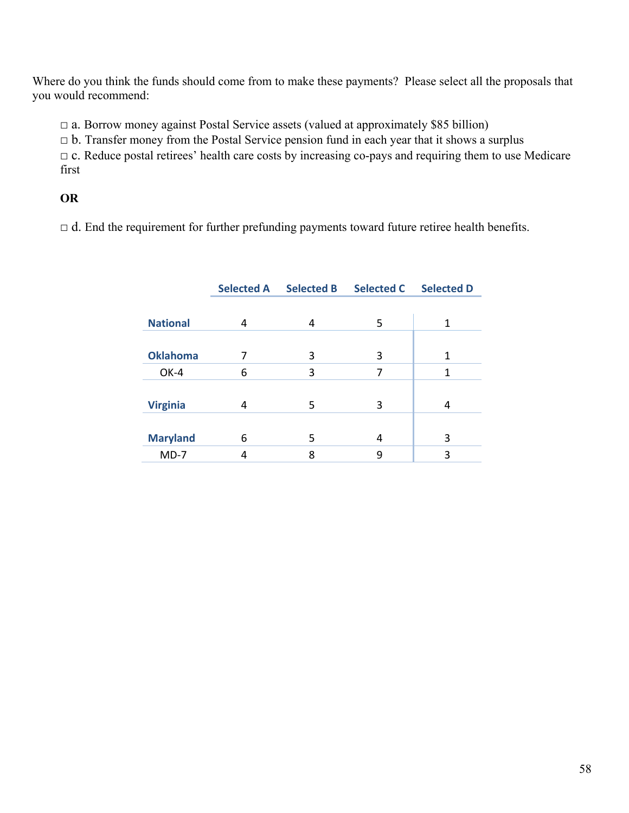Where do you think the funds should come from to make these payments? Please select all the proposals that you would recommend:

 $\Box$  a. Borrow money against Postal Service assets (valued at approximately \$85 billion)

 $\Box$  b. Transfer money from the Postal Service pension fund in each year that it shows a surplus

□ c. Reduce postal retirees' health care costs by increasing co-pays and requiring them to use Medicare first

# **OR**

 $\Box$  d. End the requirement for further prefunding payments toward future retiree health benefits.

|                 | <b>Selected A</b> | <b>Selected B</b> | <b>Selected C</b> | <b>Selected D</b> |
|-----------------|-------------------|-------------------|-------------------|-------------------|
|                 |                   |                   |                   |                   |
| <b>National</b> | 4                 | 4                 | 5                 | 1                 |
|                 |                   |                   |                   |                   |
| <b>Oklahoma</b> | 7                 | 3                 | 3                 | 1                 |
| OK-4            | 6                 | 3                 | 7                 | 1                 |
|                 |                   |                   |                   |                   |
| <b>Virginia</b> | 4                 | 5                 | 3                 | 4                 |
|                 |                   |                   |                   |                   |
| <b>Maryland</b> | 6                 | 5                 | 4                 | 3                 |
| $MD-7$          | 4                 | 8                 | 9                 | 3                 |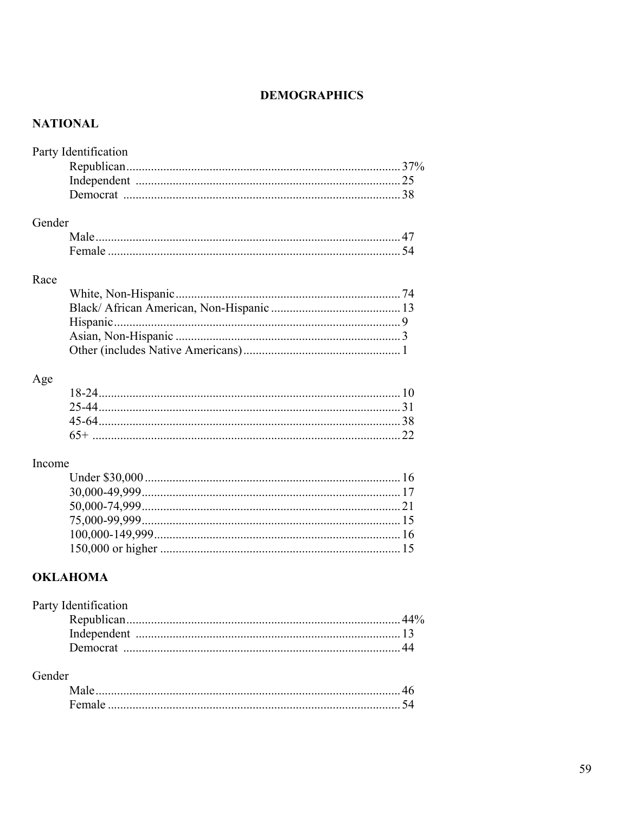# **DEMOGRAPHICS**

# **NATIONAL**

|        | Party Identification |  |
|--------|----------------------|--|
|        |                      |  |
|        |                      |  |
|        |                      |  |
| Gender |                      |  |
|        |                      |  |
|        |                      |  |
| Race   |                      |  |
|        |                      |  |
|        |                      |  |
|        |                      |  |
|        |                      |  |
|        |                      |  |
| Age    |                      |  |
|        |                      |  |
|        |                      |  |
|        |                      |  |
|        |                      |  |
| Income |                      |  |
|        |                      |  |
|        |                      |  |
|        |                      |  |
|        |                      |  |
|        |                      |  |
|        |                      |  |
|        | <b>OKLAHOMA</b>      |  |
|        | Party Identification |  |
|        |                      |  |
|        |                      |  |
|        |                      |  |

### Gender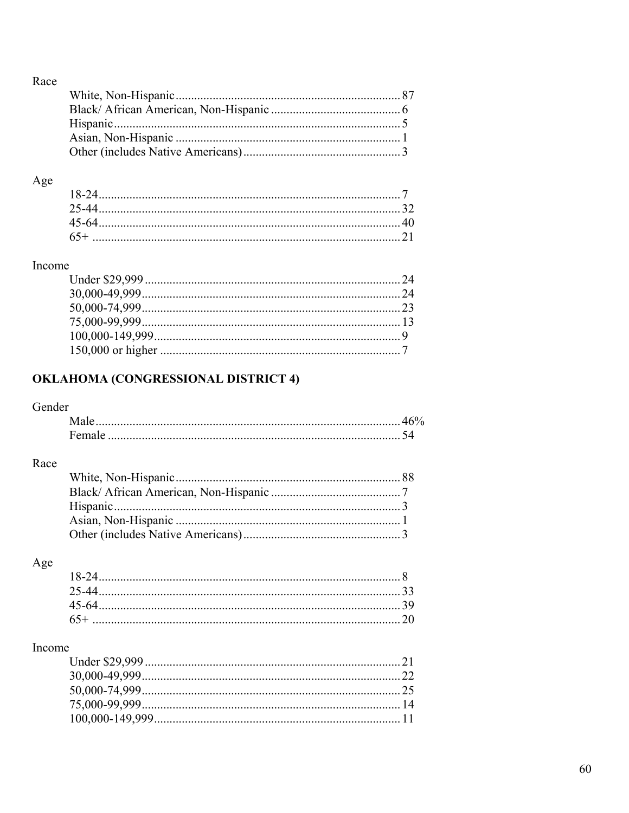|--|

# $\rm Age$

# Income

# OKLAHOMA (CONGRESSIONAL DISTRICT 4)

# Gender

# Race

# Age

# Income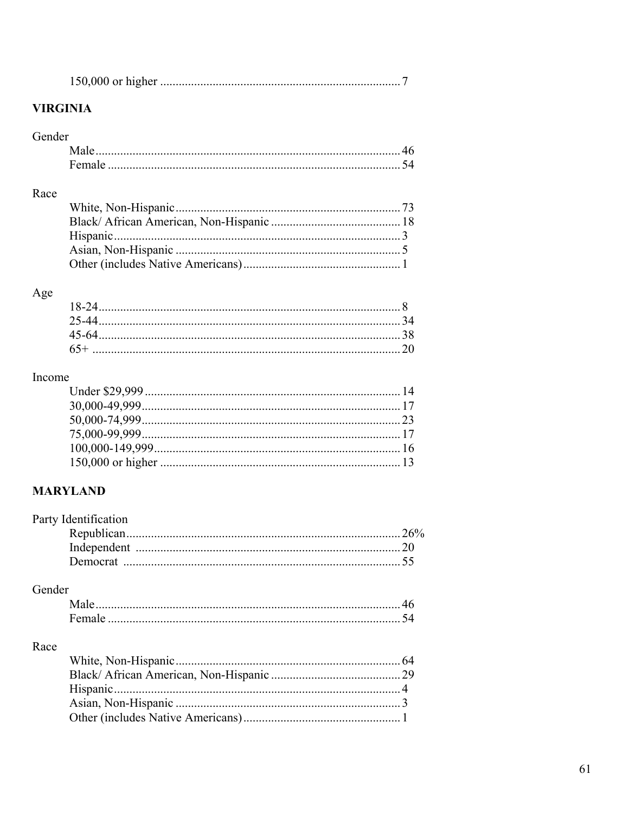|--|

# **VIRGINIA**

#### Gender

#### Race

# Age

# Income

# **MARYLAND**

| Party Identification |  |
|----------------------|--|
|                      |  |
|                      |  |
|                      |  |
|                      |  |

# Gender

# Race